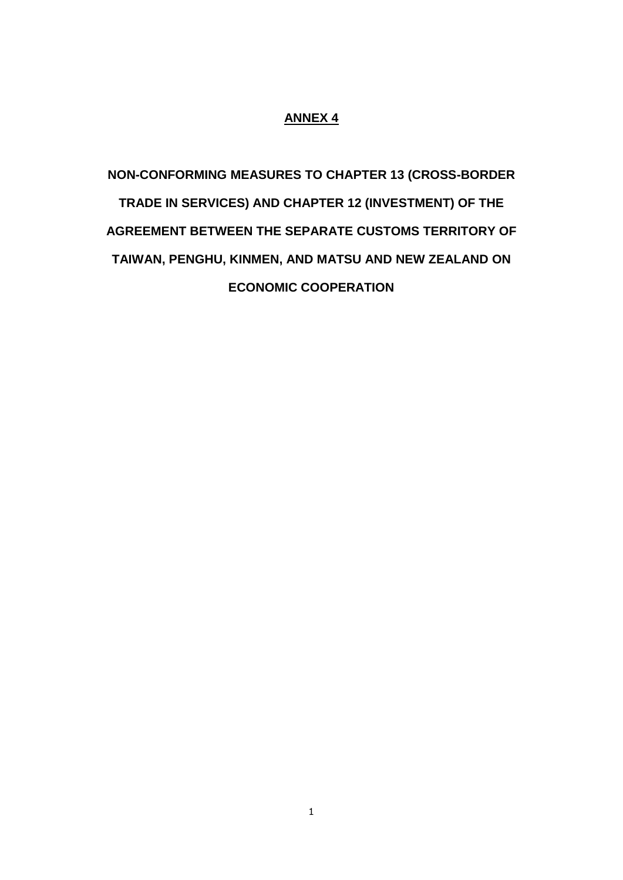## **ANNEX 4**

**NON-CONFORMING MEASURES TO CHAPTER 13 (CROSS-BORDER TRADE IN SERVICES) AND CHAPTER 12 (INVESTMENT) OF THE AGREEMENT BETWEEN THE SEPARATE CUSTOMS TERRITORY OF TAIWAN, PENGHU, KINMEN, AND MATSU AND NEW ZEALAND ON ECONOMIC COOPERATION**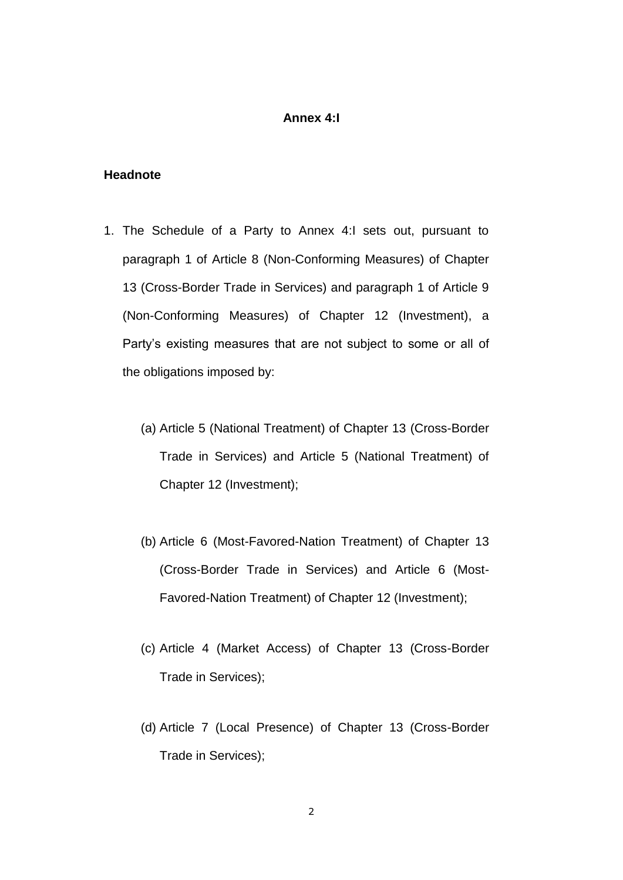#### **Annex 4:I**

### **Headnote**

- 1. The Schedule of a Party to Annex 4:I sets out, pursuant to paragraph 1 of Article 8 (Non-Conforming Measures) of Chapter 13 (Cross-Border Trade in Services) and paragraph 1 of Article 9 (Non-Conforming Measures) of Chapter 12 (Investment), a Party's existing measures that are not subject to some or all of the obligations imposed by:
	- (a) Article 5 (National Treatment) of Chapter 13 (Cross-Border Trade in Services) and Article 5 (National Treatment) of Chapter 12 (Investment);
	- (b) Article 6 (Most-Favored-Nation Treatment) of Chapter 13 (Cross-Border Trade in Services) and Article 6 (Most-Favored-Nation Treatment) of Chapter 12 (Investment);
	- (c) Article 4 (Market Access) of Chapter 13 (Cross-Border Trade in Services);
	- (d) Article 7 (Local Presence) of Chapter 13 (Cross-Border Trade in Services);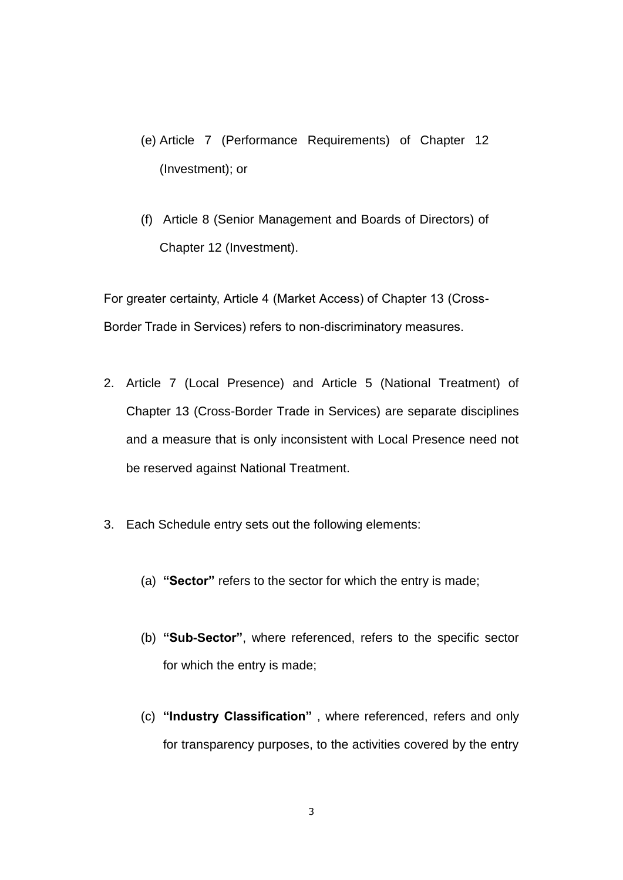- (e) Article 7 (Performance Requirements) of Chapter 12 (Investment); or
- (f) Article 8 (Senior Management and Boards of Directors) of Chapter 12 (Investment).

For greater certainty, Article 4 (Market Access) of Chapter 13 (Cross-Border Trade in Services) refers to non-discriminatory measures.

- 2. Article 7 (Local Presence) and Article 5 (National Treatment) of Chapter 13 (Cross-Border Trade in Services) are separate disciplines and a measure that is only inconsistent with Local Presence need not be reserved against National Treatment.
- 3. Each Schedule entry sets out the following elements:
	- (a) **"Sector"** refers to the sector for which the entry is made;
	- (b) **"Sub-Sector"**, where referenced, refers to the specific sector for which the entry is made;
	- (c) **"Industry Classification"** , where referenced, refers and only for transparency purposes, to the activities covered by the entry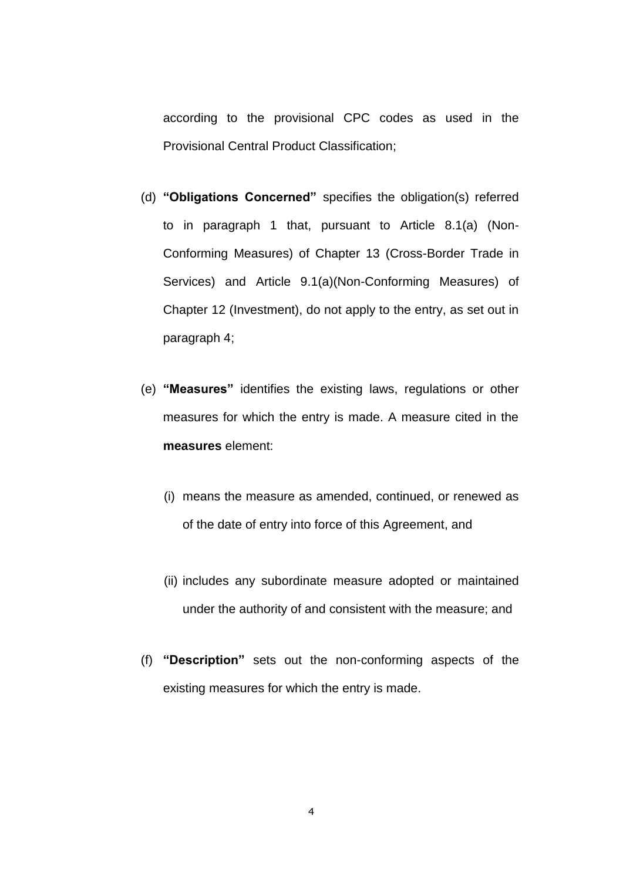according to the provisional CPC codes as used in the Provisional Central Product Classification;

- (d) **"Obligations Concerned"** specifies the obligation(s) referred to in paragraph 1 that, pursuant to Article 8.1(a) (Non-Conforming Measures) of Chapter 13 (Cross-Border Trade in Services) and Article 9.1(a)(Non-Conforming Measures) of Chapter 12 (Investment), do not apply to the entry, as set out in paragraph 4;
- (e) **"Measures"** identifies the existing laws, regulations or other measures for which the entry is made. A measure cited in the **measures** element:
	- (i) means the measure as amended, continued, or renewed as of the date of entry into force of this Agreement, and
	- (ii) includes any subordinate measure adopted or maintained under the authority of and consistent with the measure; and
- (f) **"Description"** sets out the non-conforming aspects of the existing measures for which the entry is made.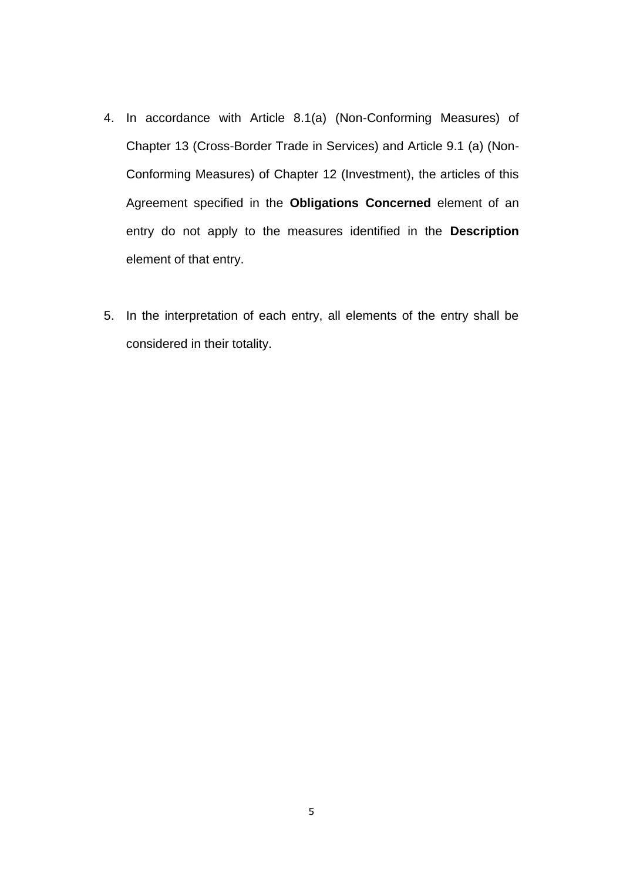- 4. In accordance with Article 8.1(a) (Non-Conforming Measures) of Chapter 13 (Cross-Border Trade in Services) and Article 9.1 (a) (Non-Conforming Measures) of Chapter 12 (Investment), the articles of this Agreement specified in the **Obligations Concerned** element of an entry do not apply to the measures identified in the **Description** element of that entry.
- 5. In the interpretation of each entry, all elements of the entry shall be considered in their totality.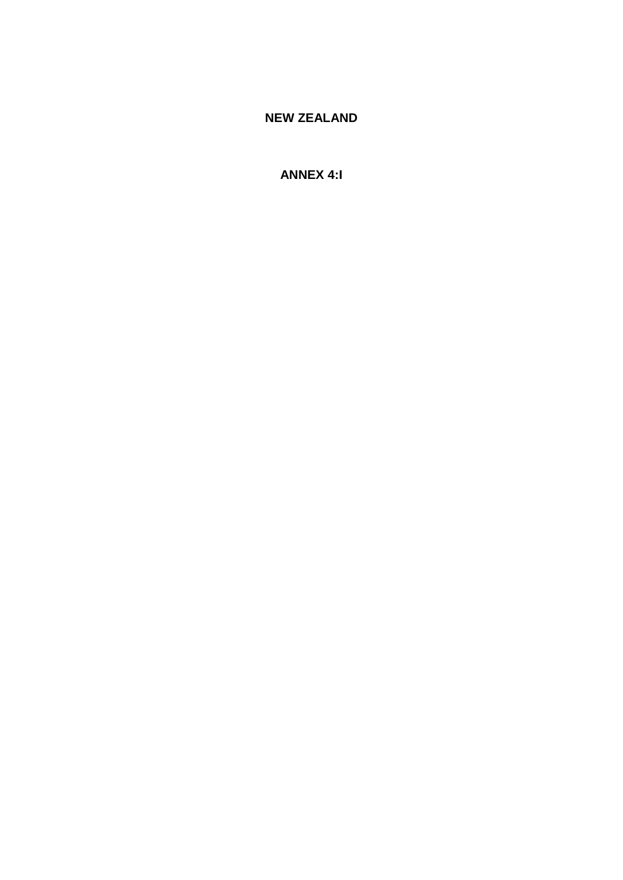# **NEW ZEALAND**

# **ANNEX 4:I**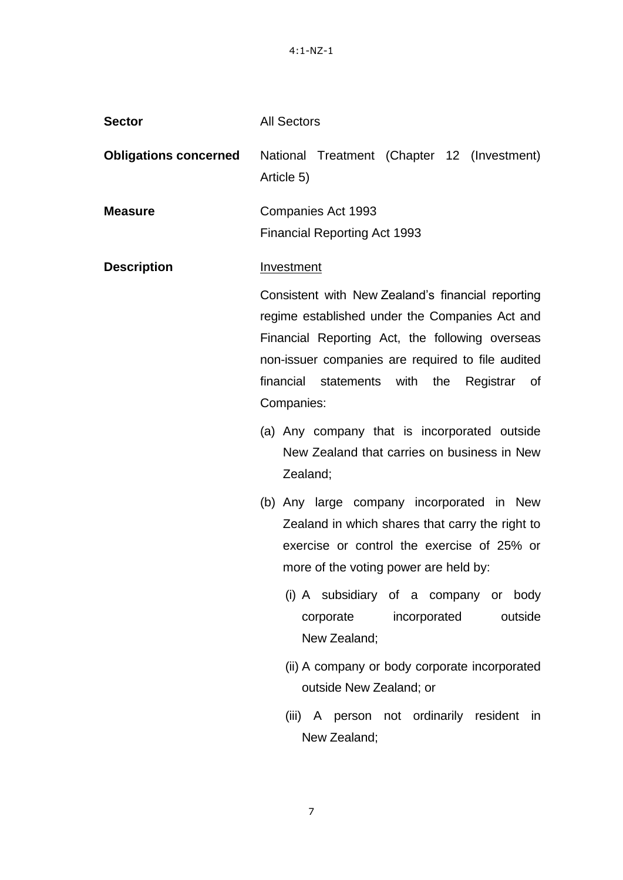| <b>Sector</b>                | <b>All Sectors</b>                                                                                                                                                                                                                                                                                                                                                                                                         |
|------------------------------|----------------------------------------------------------------------------------------------------------------------------------------------------------------------------------------------------------------------------------------------------------------------------------------------------------------------------------------------------------------------------------------------------------------------------|
| <b>Obligations concerned</b> | National Treatment (Chapter 12 (Investment)<br>Article 5)                                                                                                                                                                                                                                                                                                                                                                  |
| <b>Measure</b>               | Companies Act 1993<br><b>Financial Reporting Act 1993</b>                                                                                                                                                                                                                                                                                                                                                                  |
| <b>Description</b>           | <b>Investment</b><br>Consistent with New Zealand's financial reporting<br>regime established under the Companies Act and<br>Financial Reporting Act, the following overseas<br>non-issuer companies are required to file audited<br>financial<br>statements with<br>the<br>Registrar<br>οf<br>Companies:<br>(a) Any company that is incorporated outside<br>New Zealand that carries on business in New<br>Zealand:        |
|                              | (b) Any large company incorporated in New<br>Zealand in which shares that carry the right to<br>exercise or control the exercise of 25% or<br>more of the voting power are held by:<br>(i) A subsidiary of a company or body<br>outside<br>corporate incorporated<br>New Zealand;<br>(ii) A company or body corporate incorporated<br>outside New Zealand; or<br>(iii) A person not ordinarily resident in<br>New Zealand; |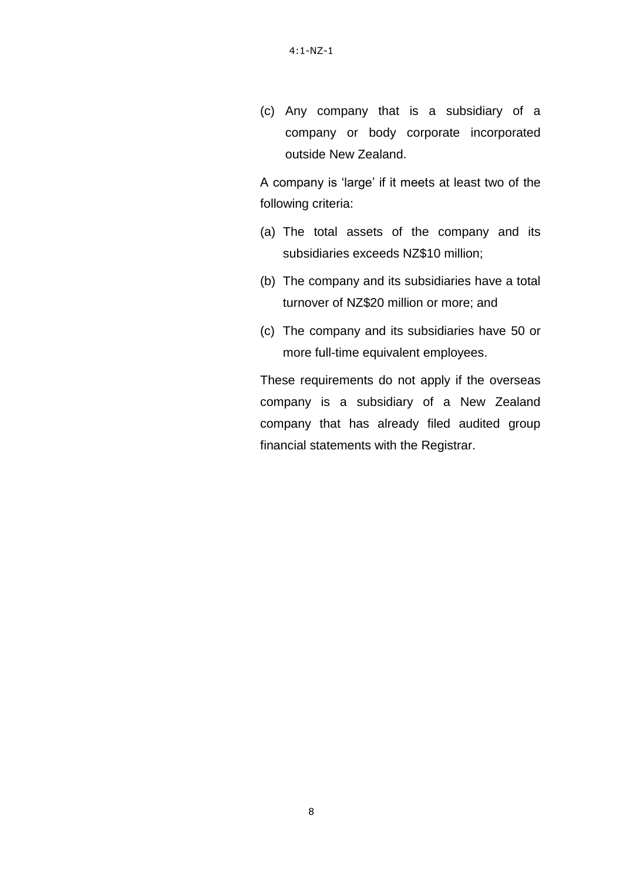(c) Any company that is a subsidiary of a company or body corporate incorporated outside New Zealand.

A company is "large" if it meets at least two of the following criteria:

- (a) The total assets of the company and its subsidiaries exceeds NZ\$10 million;
- (b) The company and its subsidiaries have a total turnover of NZ\$20 million or more; and
- (c) The company and its subsidiaries have 50 or more full-time equivalent employees.

These requirements do not apply if the overseas company is a subsidiary of a New Zealand company that has already filed audited group financial statements with the Registrar.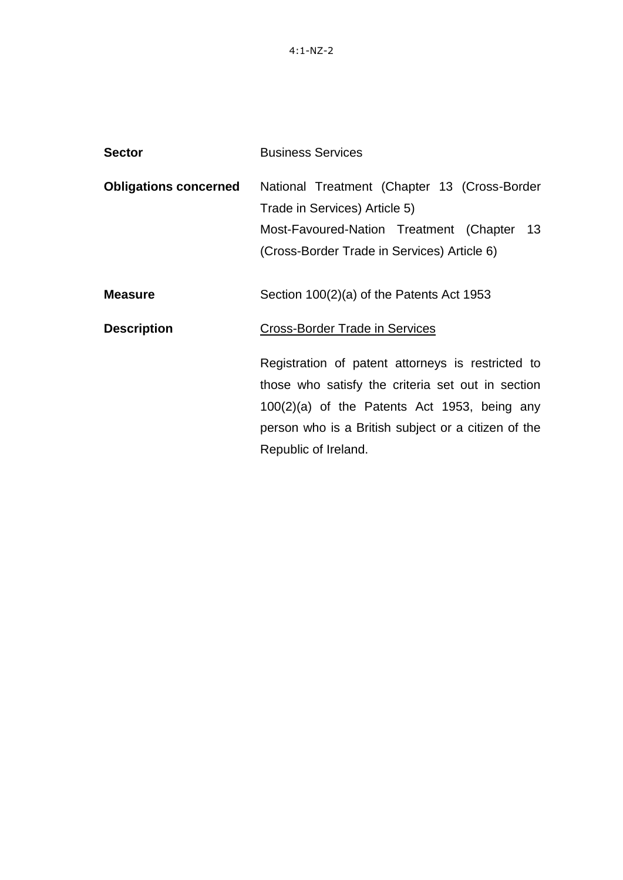| <b>Sector</b>                | <b>Business Services</b>                                                                                                                                                                                                                |
|------------------------------|-----------------------------------------------------------------------------------------------------------------------------------------------------------------------------------------------------------------------------------------|
| <b>Obligations concerned</b> | National Treatment (Chapter 13 (Cross-Border<br>Trade in Services) Article 5)                                                                                                                                                           |
|                              | Most-Favoured-Nation Treatment (Chapter 13                                                                                                                                                                                              |
|                              | (Cross-Border Trade in Services) Article 6)                                                                                                                                                                                             |
| <b>Measure</b>               | Section 100(2)(a) of the Patents Act 1953                                                                                                                                                                                               |
| <b>Description</b>           | Cross-Border Trade in Services                                                                                                                                                                                                          |
|                              | Registration of patent attorneys is restricted to<br>those who satisfy the criteria set out in section<br>$100(2)(a)$ of the Patents Act 1953, being any<br>person who is a British subject or a citizen of the<br>Republic of Ireland. |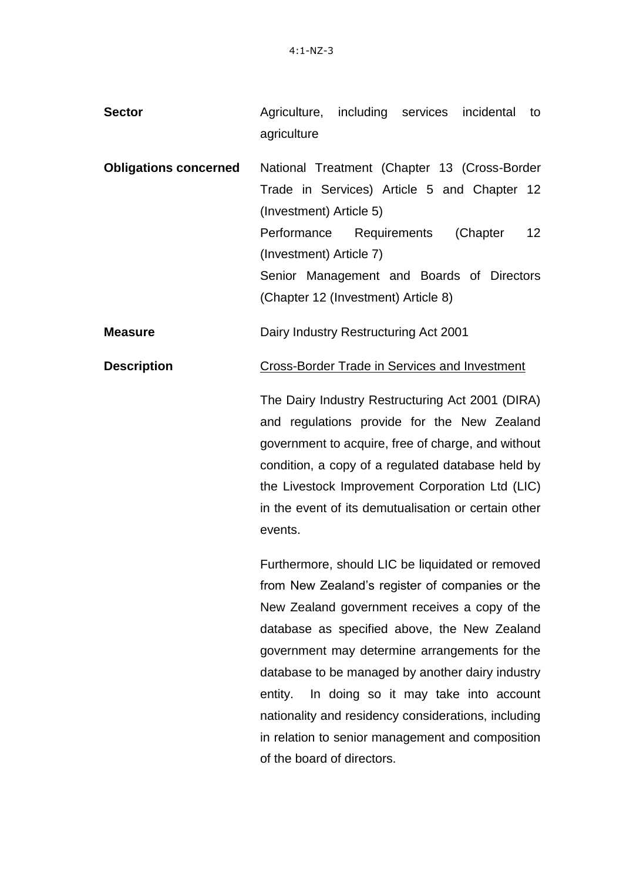| <b>Sector</b>                | Agriculture, including services<br>incidental<br>to<br>agriculture                                                                                                                                                                                                                                                                                                                       |
|------------------------------|------------------------------------------------------------------------------------------------------------------------------------------------------------------------------------------------------------------------------------------------------------------------------------------------------------------------------------------------------------------------------------------|
| <b>Obligations concerned</b> | National Treatment (Chapter 13 (Cross-Border<br>Trade in Services) Article 5 and Chapter 12<br>(Investment) Article 5)<br>Performance<br>Requirements<br>(Chapter<br>12<br>(Investment) Article 7)<br>Senior Management and Boards of Directors<br>(Chapter 12 (Investment) Article 8)                                                                                                   |
| <b>Measure</b>               | Dairy Industry Restructuring Act 2001                                                                                                                                                                                                                                                                                                                                                    |
| <b>Description</b>           | <b>Cross-Border Trade in Services and Investment</b><br>The Dairy Industry Restructuring Act 2001 (DIRA)<br>and regulations provide for the New Zealand<br>government to acquire, free of charge, and without<br>condition, a copy of a regulated database held by<br>the Livestock Improvement Corporation Ltd (LIC)<br>in the event of its demutualisation or certain other<br>events. |
|                              | Furthermore, should LIC be liquidated or removed<br>from New Zealand's register of companies or the<br>New Zealand government receives a copy of the                                                                                                                                                                                                                                     |

database as specified above, the New Zealand government may determine arrangements for the database to be managed by another dairy industry entity. In doing so it may take into account nationality and residency considerations, including in relation to senior management and composition of the board of directors.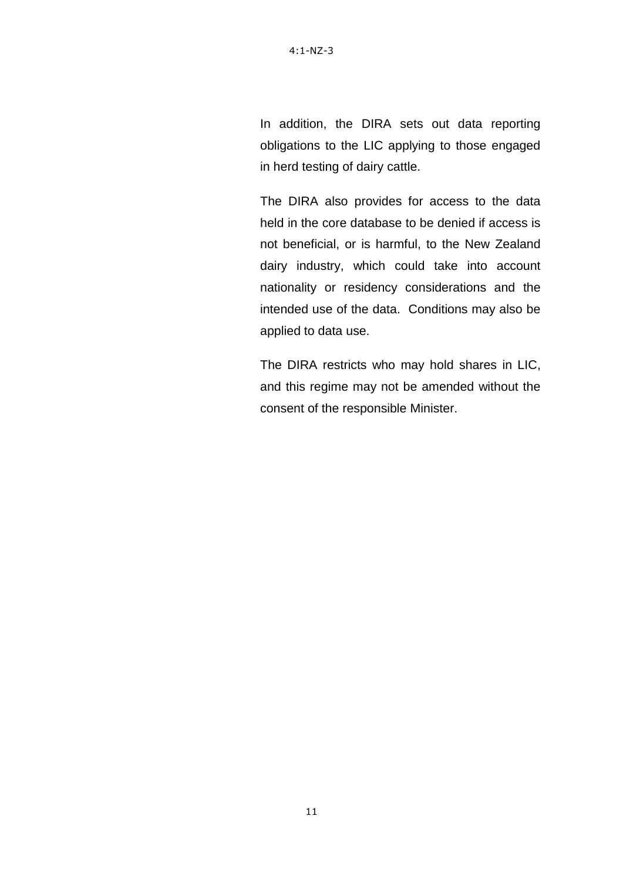In addition, the DIRA sets out data reporting obligations to the LIC applying to those engaged in herd testing of dairy cattle.

The DIRA also provides for access to the data held in the core database to be denied if access is not beneficial, or is harmful, to the New Zealand dairy industry, which could take into account nationality or residency considerations and the intended use of the data. Conditions may also be applied to data use.

The DIRA restricts who may hold shares in LIC, and this regime may not be amended without the consent of the responsible Minister.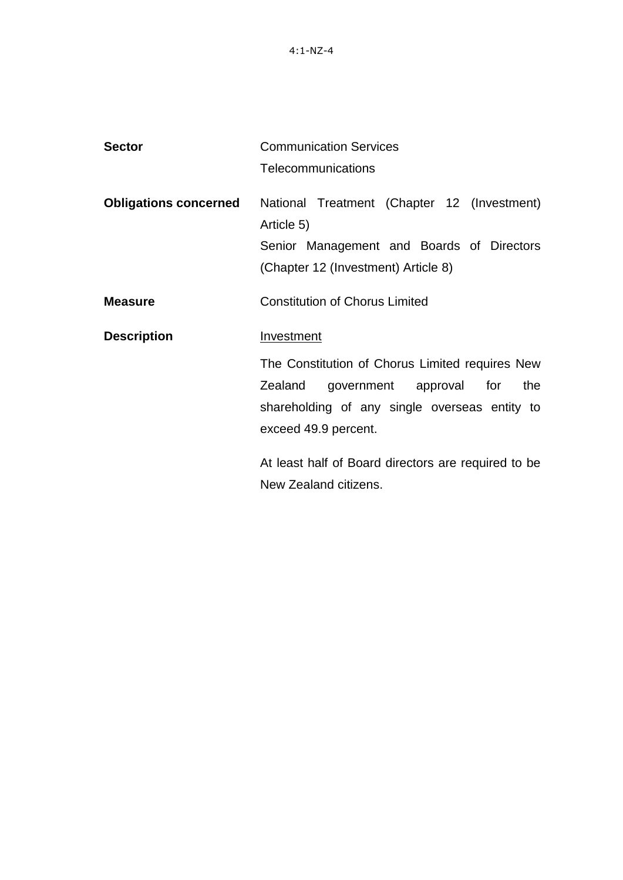| <b>Sector</b>                | <b>Communication Services</b>                                                                                                                                                       |
|------------------------------|-------------------------------------------------------------------------------------------------------------------------------------------------------------------------------------|
|                              | Telecommunications                                                                                                                                                                  |
| <b>Obligations concerned</b> | National Treatment (Chapter 12 (Investment)<br>Article 5)<br>Senior Management and Boards of Directors<br>(Chapter 12 (Investment) Article 8)                                       |
| <b>Measure</b>               | <b>Constitution of Chorus Limited</b>                                                                                                                                               |
| <b>Description</b>           | Investment<br>The Constitution of Chorus Limited requires New<br>Zealand<br>government approval for<br>the<br>shareholding of any single overseas entity to<br>exceed 49.9 percent. |
|                              | At least half of Board directors are required to be<br>New Zealand citizens.                                                                                                        |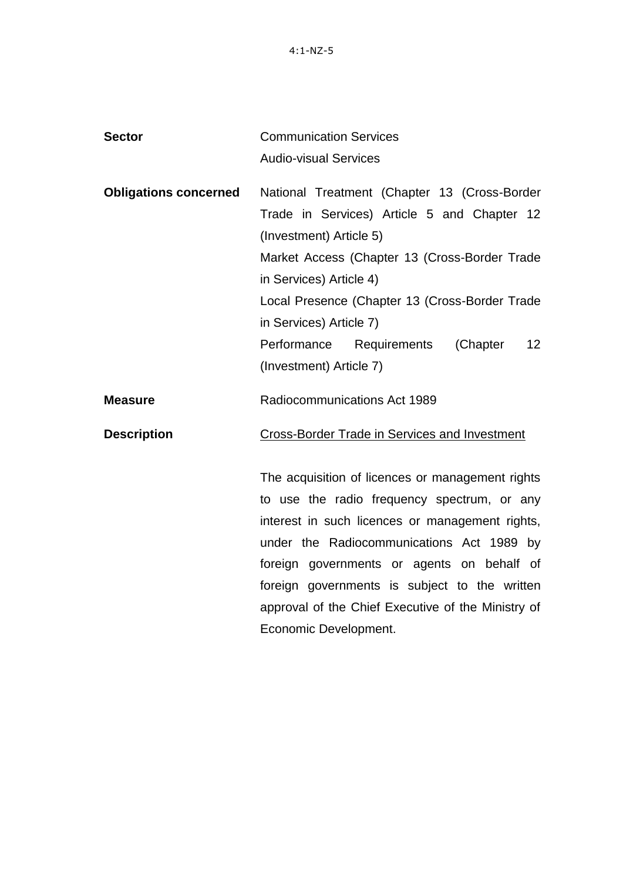4:1-NZ-5

| <b>Sector</b>                | <b>Communication Services</b>                                                                                                                                                                                                                                                                                                                        |
|------------------------------|------------------------------------------------------------------------------------------------------------------------------------------------------------------------------------------------------------------------------------------------------------------------------------------------------------------------------------------------------|
|                              | <b>Audio-visual Services</b>                                                                                                                                                                                                                                                                                                                         |
| <b>Obligations concerned</b> | National Treatment (Chapter 13 (Cross-Border<br>Trade in Services) Article 5 and Chapter 12<br>(Investment) Article 5)<br>Market Access (Chapter 13 (Cross-Border Trade<br>in Services) Article 4)<br>Local Presence (Chapter 13 (Cross-Border Trade<br>in Services) Article 7)<br>Performance Requirements<br>(Chapter<br>12 <sup>2</sup>           |
|                              | (Investment) Article 7)                                                                                                                                                                                                                                                                                                                              |
| <b>Measure</b>               | Radiocommunications Act 1989                                                                                                                                                                                                                                                                                                                         |
| <b>Description</b>           | Cross-Border Trade in Services and Investment                                                                                                                                                                                                                                                                                                        |
|                              | The acquisition of licences or management rights<br>to use the radio frequency spectrum, or any<br>interest in such licences or management rights,<br>under the Radiocommunications Act 1989 by<br>foreign governments or agents on behalf of<br>foreign governments is subject to the written<br>approval of the Chief Executive of the Ministry of |
|                              | Economic Development.                                                                                                                                                                                                                                                                                                                                |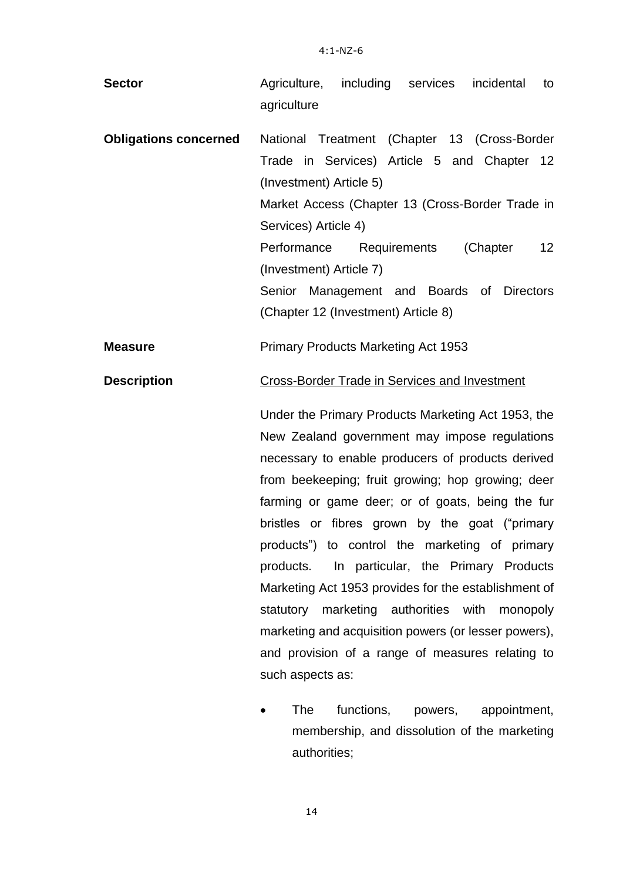| <b>Sector</b>                | Agriculture, including services incidental<br>to     |
|------------------------------|------------------------------------------------------|
|                              | agriculture                                          |
|                              |                                                      |
| <b>Obligations concerned</b> | National Treatment (Chapter 13 (Cross-Border         |
|                              | Trade in Services) Article 5 and Chapter 12          |
|                              | (Investment) Article 5)                              |
|                              | Market Access (Chapter 13 (Cross-Border Trade in     |
|                              | Services) Article 4)                                 |
|                              | 12<br>Performance Requirements<br>(Chapter           |
|                              | (Investment) Article 7)                              |
|                              | Senior Management and Boards of Directors            |
|                              | (Chapter 12 (Investment) Article 8)                  |
|                              |                                                      |
| <b>Measure</b>               | <b>Primary Products Marketing Act 1953</b>           |
| <b>Description</b>           | Cross-Border Trade in Services and Investment        |
|                              | Under the Primary Products Marketing Act 1953, the   |
|                              | New Zealand government may impose regulations        |
|                              | necessary to enable producers of products derived    |
|                              | from beekeeping; fruit growing; hop growing; deer    |
|                              | farming or game deer; or of goats, being the fur     |
|                              | bristles or fibres grown by the goat ("primary       |
|                              | products") to control the marketing of primary       |
|                              | In particular, the Primary Products<br>products.     |
|                              | Marketing Act 1953 provides for the establishment of |
|                              | statutory marketing authorities with<br>monopoly     |
|                              | marketing and acquisition powers (or lesser powers), |
|                              | and provision of a range of measures relating to     |
|                              |                                                      |

• The functions, powers, appointment, membership, and dissolution of the marketing authorities;

14

such aspects as: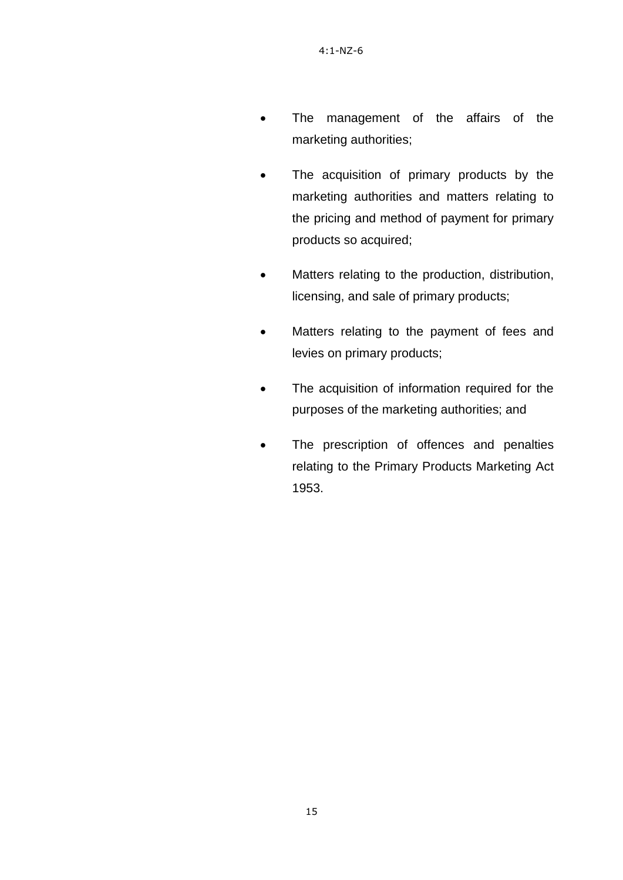- The management of the affairs of the marketing authorities;
- The acquisition of primary products by the marketing authorities and matters relating to the pricing and method of payment for primary products so acquired;
- Matters relating to the production, distribution, licensing, and sale of primary products;
- Matters relating to the payment of fees and levies on primary products;
- The acquisition of information required for the purposes of the marketing authorities; and
- The prescription of offences and penalties relating to the Primary Products Marketing Act 1953.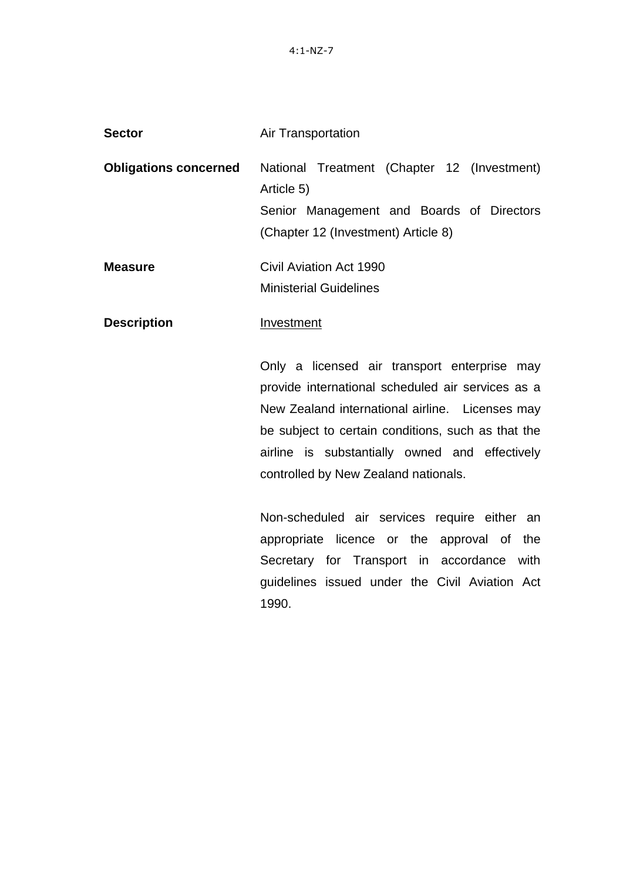| <b>Sector</b>                | <b>Air Transportation</b>                                                                                                                     |
|------------------------------|-----------------------------------------------------------------------------------------------------------------------------------------------|
| <b>Obligations concerned</b> | National Treatment (Chapter 12 (Investment)<br>Article 5)<br>Senior Management and Boards of Directors<br>(Chapter 12 (Investment) Article 8) |
| <b>Measure</b>               | Civil Aviation Act 1990<br><b>Ministerial Guidelines</b>                                                                                      |
| <b>Description</b>           | Investment                                                                                                                                    |
|                              | Only a licensed air transport enterprise may                                                                                                  |
|                              | provide international scheduled air services as a                                                                                             |
|                              | New Zealand international airline Licenses may                                                                                                |

New Zealand international airline. Licenses may be subject to certain conditions, such as that the airline is substantially owned and effectively controlled by New Zealand nationals.

Non-scheduled air services require either an appropriate licence or the approval of the Secretary for Transport in accordance with guidelines issued under the Civil Aviation Act 1990.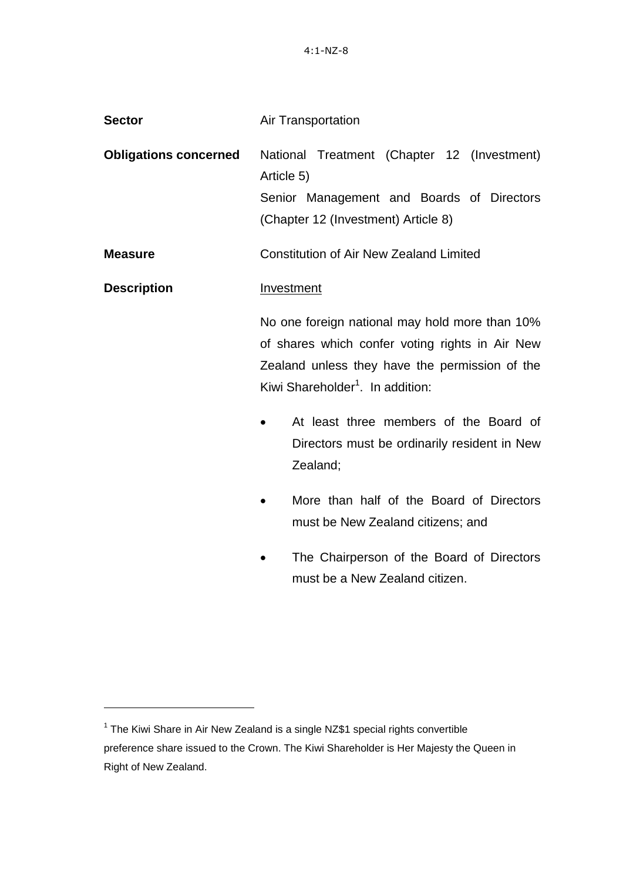| <b>Sector</b>                | Air Transportation                                                                                                                                                                                                                                                                                        |
|------------------------------|-----------------------------------------------------------------------------------------------------------------------------------------------------------------------------------------------------------------------------------------------------------------------------------------------------------|
| <b>Obligations concerned</b> | National Treatment (Chapter 12 (Investment)<br>Article 5)<br>Senior Management and Boards of Directors<br>(Chapter 12 (Investment) Article 8)                                                                                                                                                             |
| <b>Measure</b>               | <b>Constitution of Air New Zealand Limited</b>                                                                                                                                                                                                                                                            |
| <b>Description</b>           | Investment                                                                                                                                                                                                                                                                                                |
|                              | No one foreign national may hold more than 10%<br>of shares which confer voting rights in Air New<br>Zealand unless they have the permission of the<br>Kiwi Shareholder <sup>1</sup> . In addition:<br>At least three members of the Board of<br>Directors must be ordinarily resident in New<br>Zealand; |
|                              | More than half of the Board of Directors<br>must be New Zealand citizens; and                                                                                                                                                                                                                             |
|                              | The Chairperson of the Board of Directors<br>must be a New Zealand citizen.                                                                                                                                                                                                                               |

 $\overline{a}$ 

 $1$  The Kiwi Share in Air New Zealand is a single NZ\$1 special rights convertible preference share issued to the Crown. The Kiwi Shareholder is Her Majesty the Queen in Right of New Zealand.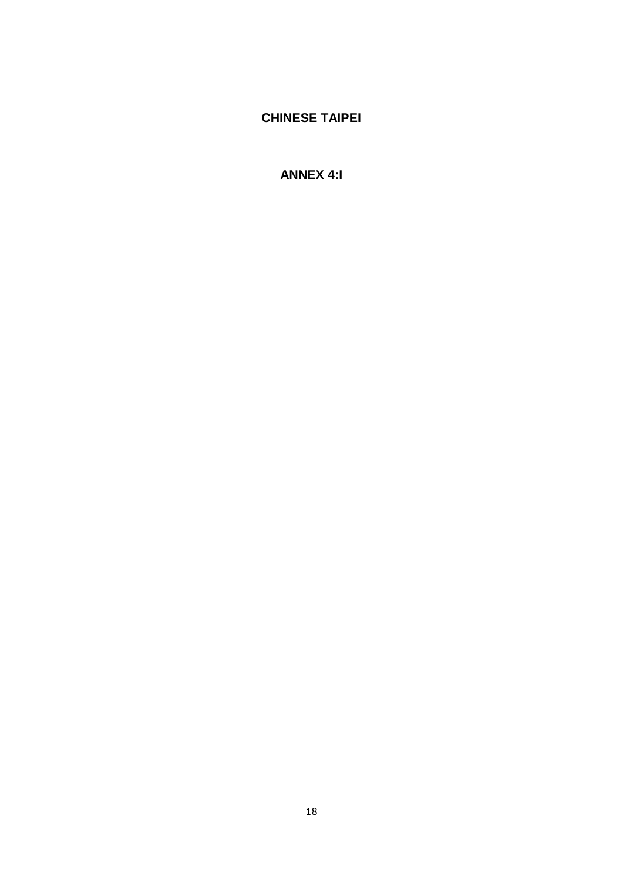# **CHINESE TAIPEI**

# **ANNEX 4:I**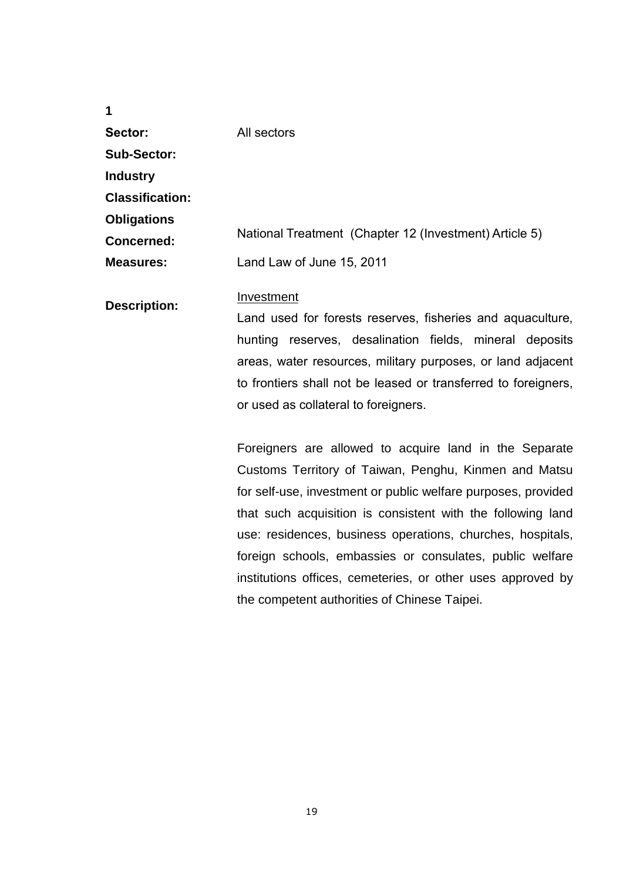| 1                      |                                                                                                                                                                                                                                                                                                                                                                                                                                          |
|------------------------|------------------------------------------------------------------------------------------------------------------------------------------------------------------------------------------------------------------------------------------------------------------------------------------------------------------------------------------------------------------------------------------------------------------------------------------|
| Sector:                | All sectors                                                                                                                                                                                                                                                                                                                                                                                                                              |
| <b>Sub-Sector:</b>     |                                                                                                                                                                                                                                                                                                                                                                                                                                          |
| <b>Industry</b>        |                                                                                                                                                                                                                                                                                                                                                                                                                                          |
| <b>Classification:</b> |                                                                                                                                                                                                                                                                                                                                                                                                                                          |
| <b>Obligations</b>     |                                                                                                                                                                                                                                                                                                                                                                                                                                          |
| <b>Concerned:</b>      | National Treatment (Chapter 12 (Investment) Article 5)                                                                                                                                                                                                                                                                                                                                                                                   |
| <b>Measures:</b>       | Land Law of June 15, 2011                                                                                                                                                                                                                                                                                                                                                                                                                |
| <b>Description:</b>    | Investment<br>Land used for forests reserves, fisheries and aquaculture,                                                                                                                                                                                                                                                                                                                                                                 |
|                        | hunting reserves, desalination fields, mineral deposits<br>areas, water resources, military purposes, or land adjacent<br>to frontiers shall not be leased or transferred to foreigners,<br>or used as collateral to foreigners.                                                                                                                                                                                                         |
|                        | Foreigners are allowed to acquire land in the Separate<br>Customs Territory of Taiwan, Penghu, Kinmen and Matsu<br>for self-use, investment or public welfare purposes, provided<br>that such acquisition is consistent with the following land<br>use: residences, business operations, churches, hospitals,<br>foreign schools, embassies or consulates, public welfare<br>institutions offices, cemeteries, or other uses approved by |

the competent authorities of Chinese Taipei.

19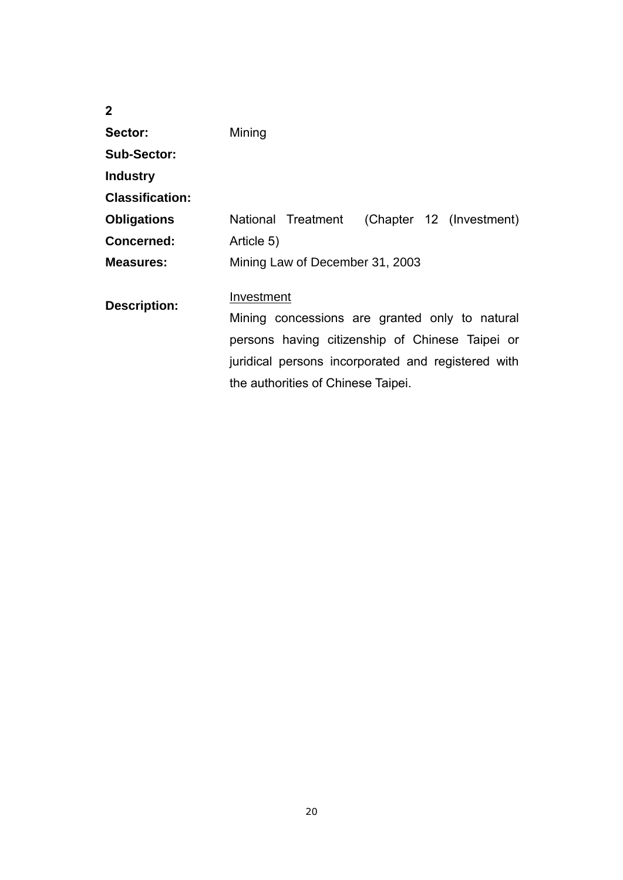| 2                      |                                                              |
|------------------------|--------------------------------------------------------------|
| Sector:                | Mining                                                       |
| <b>Sub-Sector:</b>     |                                                              |
| <b>Industry</b>        |                                                              |
| <b>Classification:</b> |                                                              |
| <b>Obligations</b>     | National Treatment<br>(Chapter 12 (Investment)               |
| Concerned:             | Article 5)                                                   |
| Measures:              | Mining Law of December 31, 2003                              |
| <b>Description:</b>    | Investment<br>Mining concessions are granted only to natural |
|                        |                                                              |
|                        | persons having citizenship of Chinese Taipei or              |
|                        | juridical persons incorporated and registered with           |
|                        | the authorities of Chinese Taipei.                           |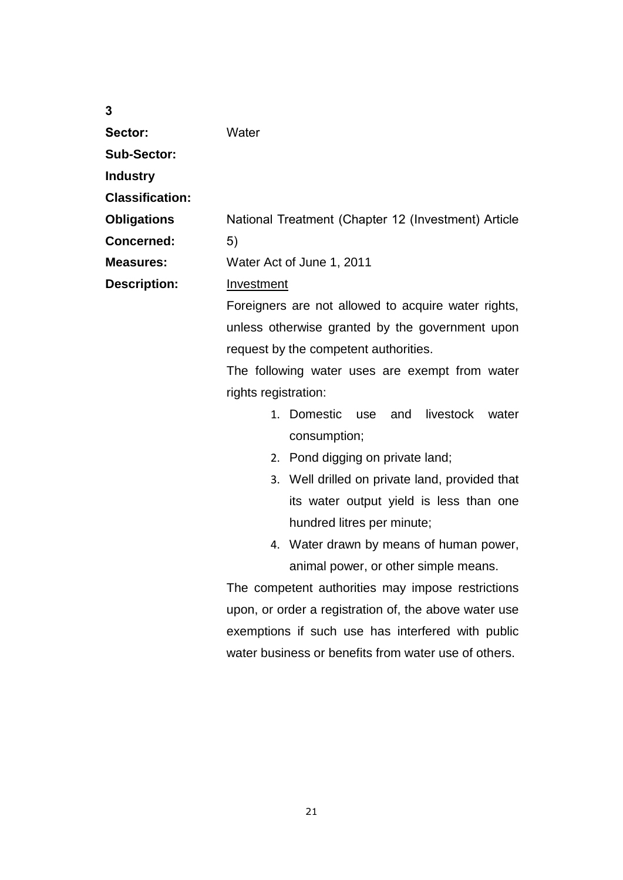| 3                      |                                                       |
|------------------------|-------------------------------------------------------|
| Sector:                | Water                                                 |
| <b>Sub-Sector:</b>     |                                                       |
| <b>Industry</b>        |                                                       |
| <b>Classification:</b> |                                                       |
| <b>Obligations</b>     | National Treatment (Chapter 12 (Investment) Article   |
| <b>Concerned:</b>      | 5)                                                    |
| <b>Measures:</b>       | Water Act of June 1, 2011                             |
| <b>Description:</b>    | Investment                                            |
|                        | Foreigners are not allowed to acquire water rights,   |
|                        | unless otherwise granted by the government upon       |
|                        | request by the competent authorities.                 |
|                        | The following water uses are exempt from water        |
|                        | rights registration:                                  |
|                        | 1. Domestic<br>and<br>livestock<br>use<br>water       |
|                        | consumption;                                          |
|                        | 2. Pond digging on private land;                      |
|                        | 3. Well drilled on private land, provided that        |
|                        | its water output yield is less than one               |
|                        | hundred litres per minute;                            |
|                        | 4. Water drawn by means of human power,               |
|                        | animal power, or other simple means.                  |
|                        | The competent authorities may impose restrictions     |
|                        | upon, or order a registration of, the above water use |
|                        | exemptions if such use has interfered with public     |
|                        | water business or benefits from water use of others.  |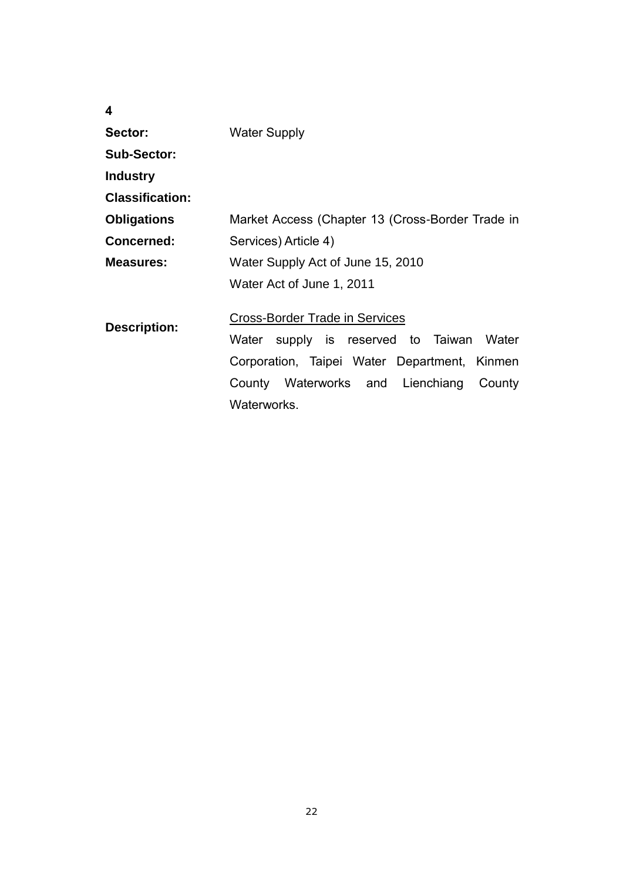| 4                      |                                                  |
|------------------------|--------------------------------------------------|
| Sector:                | <b>Water Supply</b>                              |
| Sub-Sector:            |                                                  |
| <b>Industry</b>        |                                                  |
| <b>Classification:</b> |                                                  |
| <b>Obligations</b>     | Market Access (Chapter 13 (Cross-Border Trade in |
| Concerned:             | Services) Article 4)                             |
| Measures:              | Water Supply Act of June 15, 2010                |
|                        | Water Act of June 1, 2011                        |
| <b>Description:</b>    | <b>Cross-Border Trade in Services</b>            |
|                        | supply is reserved to Taiwan<br>Water<br>Water   |
|                        | Corporation, Taipei Water Department, Kinmen     |
|                        | County Waterworks and Lienchiang<br>County       |
|                        | Waterworks.                                      |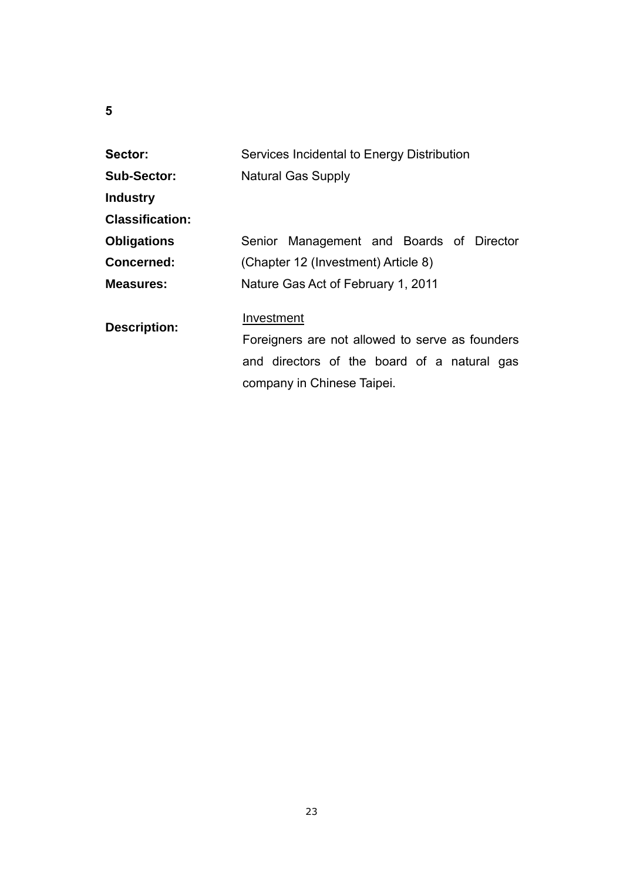# **5**

| Sector:                | Services Incidental to Energy Distribution                                |
|------------------------|---------------------------------------------------------------------------|
| <b>Sub-Sector:</b>     | <b>Natural Gas Supply</b>                                                 |
| <b>Industry</b>        |                                                                           |
| <b>Classification:</b> |                                                                           |
| <b>Obligations</b>     | Senior Management and Boards of Director                                  |
| <b>Concerned:</b>      | (Chapter 12 (Investment) Article 8)                                       |
| Measures:              | Nature Gas Act of February 1, 2011                                        |
| <b>Description:</b>    | Investment<br>Foreigners are not allowed to serve as founders             |
|                        | and directors of the board of a natural gas<br>company in Chinese Taipei. |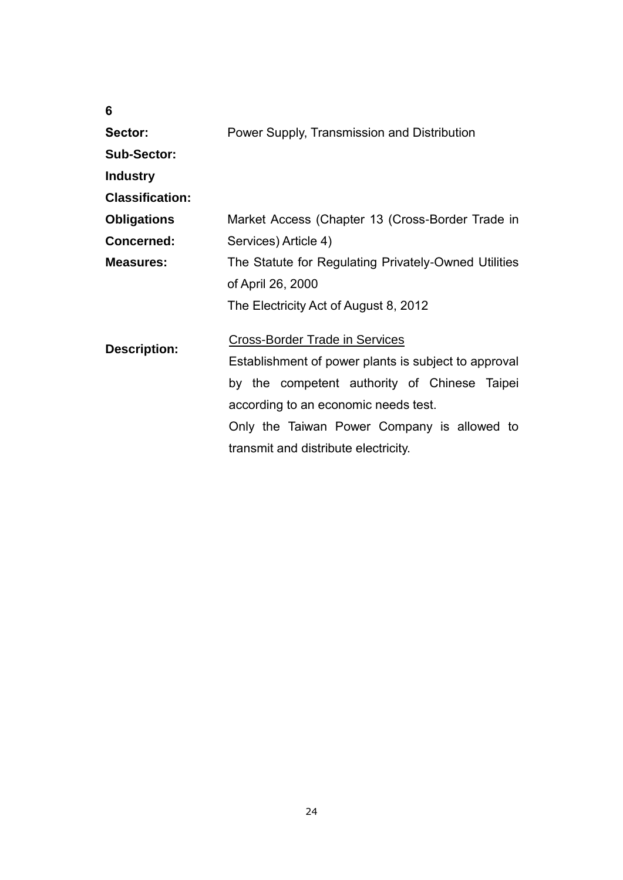|   | ۱<br>۰<br>P. |
|---|--------------|
| ć | I<br>I<br>٦  |
| × | I<br>۰.      |

| Sector:                | Power Supply, Transmission and Distribution                                                   |
|------------------------|-----------------------------------------------------------------------------------------------|
| <b>Sub-Sector:</b>     |                                                                                               |
| <b>Industry</b>        |                                                                                               |
| <b>Classification:</b> |                                                                                               |
| <b>Obligations</b>     | Market Access (Chapter 13 (Cross-Border Trade in                                              |
| <b>Concerned:</b>      | Services) Article 4)                                                                          |
| <b>Measures:</b>       | The Statute for Regulating Privately-Owned Utilities                                          |
|                        | of April 26, 2000                                                                             |
|                        | The Electricity Act of August 8, 2012                                                         |
| <b>Description:</b>    | <b>Cross-Border Trade in Services</b><br>Establishment of power plants is subject to approval |
|                        | by the competent authority of Chinese Taipei                                                  |
|                        | according to an economic needs test.                                                          |
|                        | Only the Taiwan Power Company is allowed to                                                   |
|                        | transmit and distribute electricity.                                                          |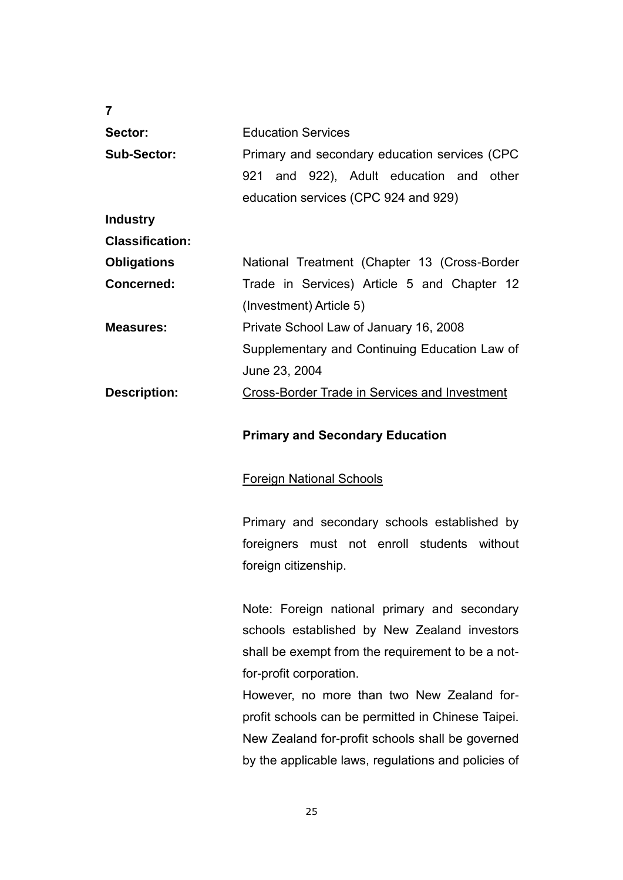| 7                      |                                                      |
|------------------------|------------------------------------------------------|
| Sector:                | <b>Education Services</b>                            |
| <b>Sub-Sector:</b>     | Primary and secondary education services (CPC        |
|                        | 921 and 922), Adult education and other              |
|                        | education services (CPC 924 and 929)                 |
| <b>Industry</b>        |                                                      |
| <b>Classification:</b> |                                                      |
| <b>Obligations</b>     | National Treatment (Chapter 13 (Cross-Border         |
| <b>Concerned:</b>      | Trade in Services) Article 5 and Chapter 12          |
|                        | (Investment) Article 5)                              |
| <b>Measures:</b>       | Private School Law of January 16, 2008               |
|                        | Supplementary and Continuing Education Law of        |
|                        | June 23, 2004                                        |
| <b>Description:</b>    | <b>Cross-Border Trade in Services and Investment</b> |
|                        |                                                      |

### **Primary and Secondary Education**

### Foreign National Schools

Primary and secondary schools established by foreigners must not enroll students without foreign citizenship.

Note: Foreign national primary and secondary schools established by New Zealand investors shall be exempt from the requirement to be a notfor-profit corporation.

However, no more than two New Zealand forprofit schools can be permitted in Chinese Taipei. New Zealand for-profit schools shall be governed by the applicable laws, regulations and policies of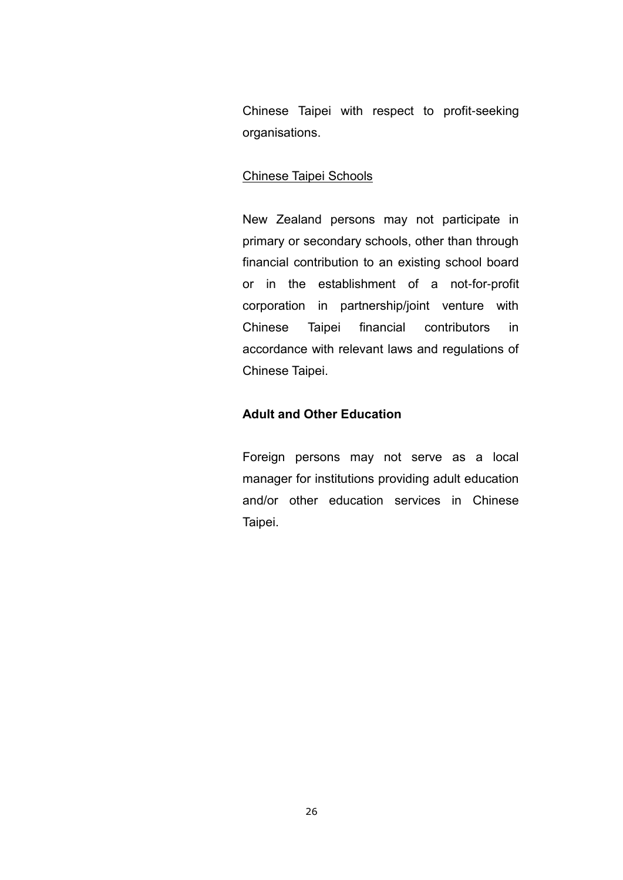Chinese Taipei with respect to profit-seeking organisations.

### Chinese Taipei Schools

New Zealand persons may not participate in primary or secondary schools, other than through financial contribution to an existing school board or in the establishment of a not-for-profit corporation in partnership/joint venture with Chinese Taipei financial contributors in accordance with relevant laws and regulations of Chinese Taipei.

### **Adult and Other Education**

Foreign persons may not serve as a local manager for institutions providing adult education and/or other education services in Chinese Taipei.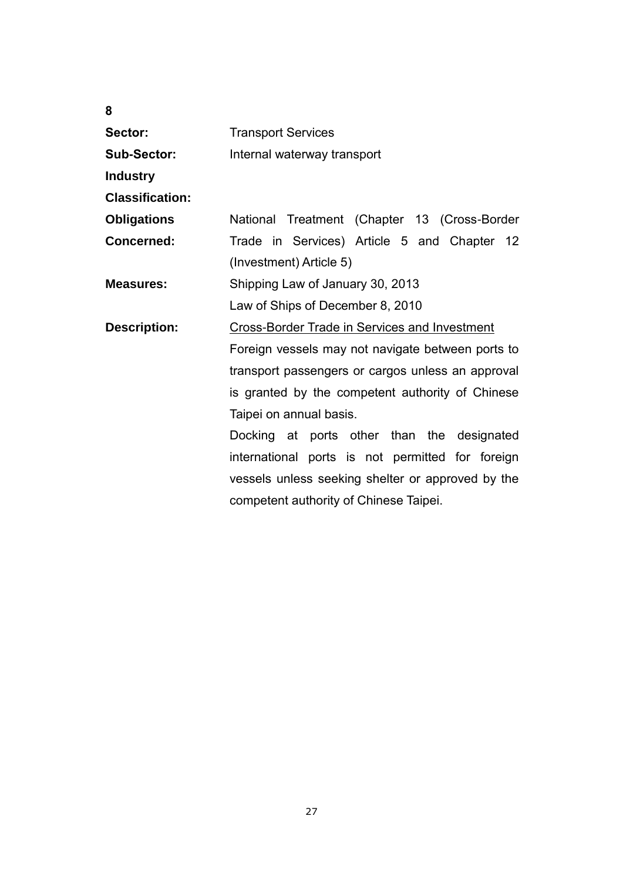| Sector:                | <b>Transport Services</b>                            |
|------------------------|------------------------------------------------------|
| <b>Sub-Sector:</b>     | Internal waterway transport                          |
| <b>Industry</b>        |                                                      |
| <b>Classification:</b> |                                                      |
| <b>Obligations</b>     | National Treatment (Chapter 13 (Cross-Border         |
| Concerned:             | Trade in Services) Article 5 and Chapter 12          |
|                        | (Investment) Article 5)                              |
| <b>Measures:</b>       | Shipping Law of January 30, 2013                     |
|                        | Law of Ships of December 8, 2010                     |
| <b>Description:</b>    | <b>Cross-Border Trade in Services and Investment</b> |
|                        | Foreign vessels may not navigate between ports to    |
|                        | transport passengers or cargos unless an approval    |
|                        | is granted by the competent authority of Chinese     |
|                        | Taipei on annual basis.                              |
|                        | Docking at ports other than the designated           |
|                        | international ports is not permitted for foreign     |
|                        | vessels unless seeking shelter or approved by the    |
|                        | competent authority of Chinese Taipei.               |

**8**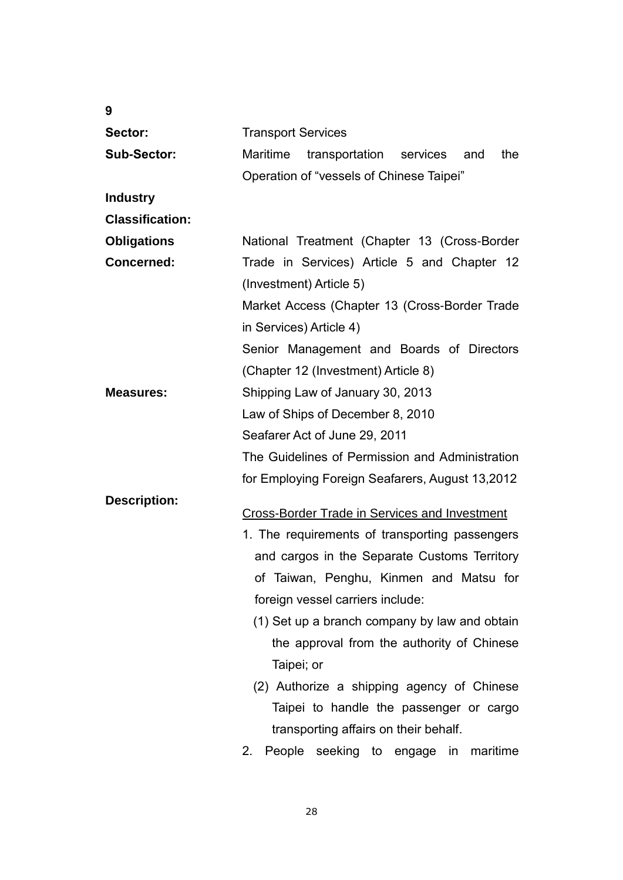| 9                      |                                                      |
|------------------------|------------------------------------------------------|
| Sector:                | <b>Transport Services</b>                            |
| <b>Sub-Sector:</b>     | Maritime<br>transportation services<br>the<br>and    |
|                        | Operation of "vessels of Chinese Taipei"             |
| <b>Industry</b>        |                                                      |
| <b>Classification:</b> |                                                      |
| <b>Obligations</b>     | National Treatment (Chapter 13 (Cross-Border         |
| <b>Concerned:</b>      | Trade in Services) Article 5 and Chapter 12          |
|                        | (Investment) Article 5)                              |
|                        | Market Access (Chapter 13 (Cross-Border Trade        |
|                        | in Services) Article 4)                              |
|                        | Senior Management and Boards of Directors            |
|                        | (Chapter 12 (Investment) Article 8)                  |
| <b>Measures:</b>       | Shipping Law of January 30, 2013                     |
|                        | Law of Ships of December 8, 2010                     |
|                        | Seafarer Act of June 29, 2011                        |
|                        | The Guidelines of Permission and Administration      |
|                        | for Employing Foreign Seafarers, August 13,2012      |
| <b>Description:</b>    |                                                      |
|                        | <b>Cross-Border Trade in Services and Investment</b> |
|                        | 1. The requirements of transporting passengers       |
|                        | and cargos in the Separate Customs Territory         |
|                        | of Taiwan, Penghu, Kinmen and Matsu for              |
|                        | foreign vessel carriers include:                     |
|                        | (1) Set up a branch company by law and obtain        |
|                        | the approval from the authority of Chinese           |
|                        | Taipei; or                                           |
|                        | (2) Authorize a shipping agency of Chinese           |
|                        | Taipei to handle the passenger or cargo              |
|                        | transporting affairs on their behalf.                |
|                        | People<br>maritime<br>2.<br>seeking to engage<br>in  |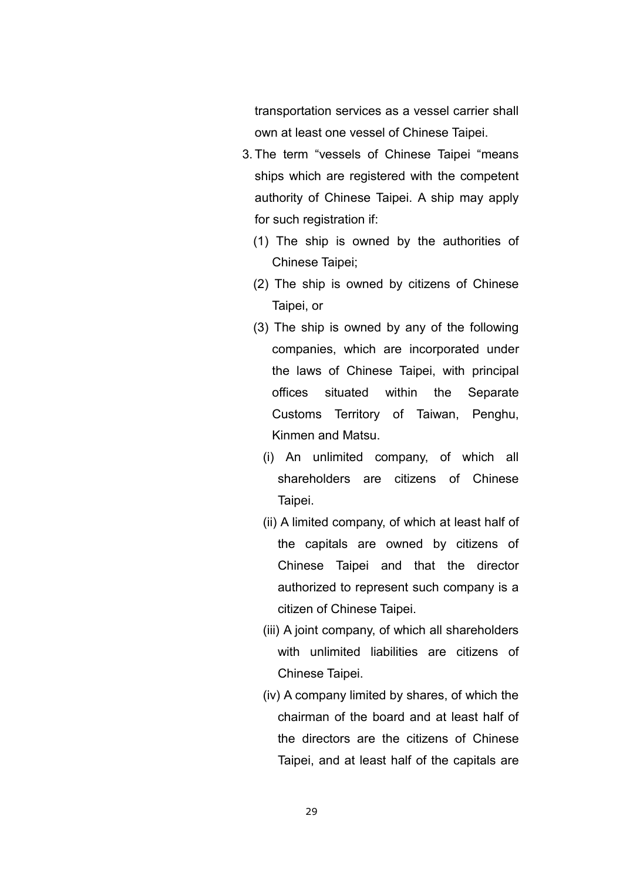transportation services as a vessel carrier shall own at least one vessel of Chinese Taipei.

- 3. The term "vessels of Chinese Taipei "means ships which are registered with the competent authority of Chinese Taipei. A ship may apply for such registration if:
	- (1) The ship is owned by the authorities of Chinese Taipei;
	- (2) The ship is owned by citizens of Chinese Taipei, or
	- (3) The ship is owned by any of the following companies, which are incorporated under the laws of Chinese Taipei, with principal offices situated within the Separate Customs Territory of Taiwan, Penghu, Kinmen and Matsu.
		- (i) An unlimited company, of which all shareholders are citizens of Chinese Taipei.
		- (ii) A limited company, of which at least half of the capitals are owned by citizens of Chinese Taipei and that the director authorized to represent such company is a citizen of Chinese Taipei.
		- (iii) A joint company, of which all shareholders with unlimited liabilities are citizens of Chinese Taipei.
		- (iv) A company limited by shares, of which the chairman of the board and at least half of the directors are the citizens of Chinese Taipei, and at least half of the capitals are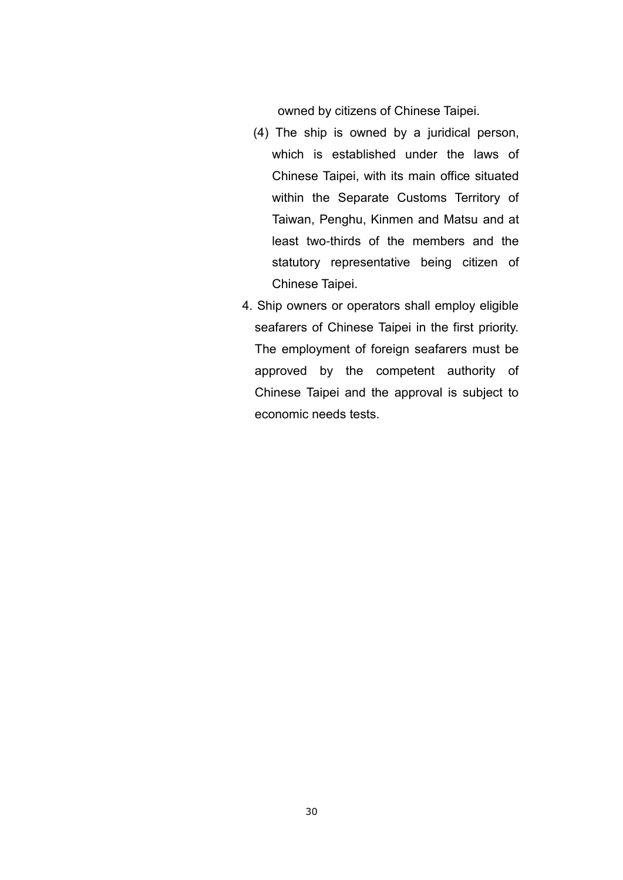owned by citizens of Chinese Taipei.

- (4) The ship is owned by a juridical person, which is established under the laws of Chinese Taipei, with its main office situated within the Separate Customs Territory of Taiwan, Penghu, Kinmen and Matsu and at least two-thirds of the members and the statutory representative being citizen of Chinese Taipei.
- 4. Ship owners or operators shall employ eligible seafarers of Chinese Taipei in the first priority. The employment of foreign seafarers must be approved by the competent authority of Chinese Taipei and the approval is subject to economic needs tests.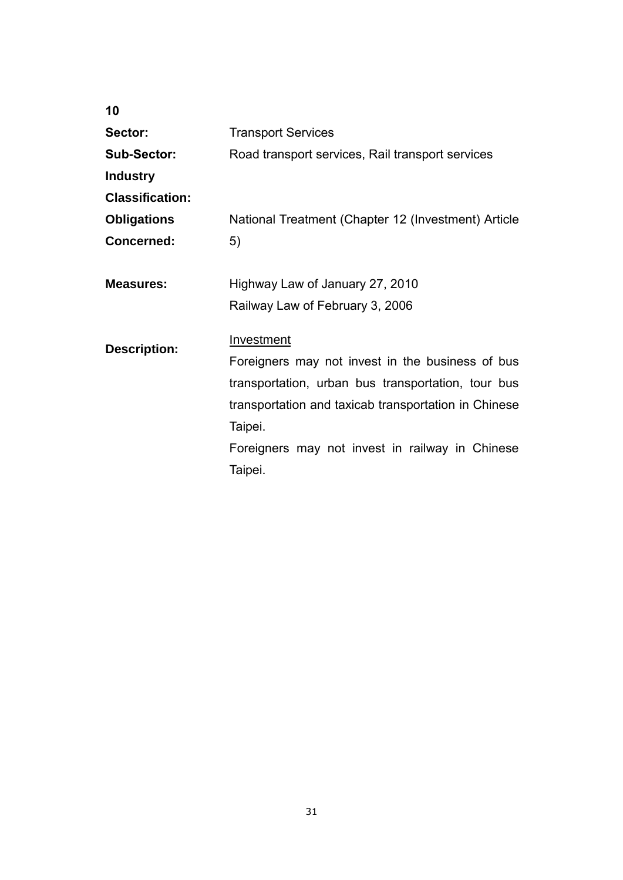| 10                     |                                                      |
|------------------------|------------------------------------------------------|
| Sector:                | <b>Transport Services</b>                            |
| <b>Sub-Sector:</b>     | Road transport services, Rail transport services     |
| <b>Industry</b>        |                                                      |
| <b>Classification:</b> |                                                      |
| <b>Obligations</b>     | National Treatment (Chapter 12 (Investment) Article  |
| <b>Concerned:</b>      | 5)                                                   |
|                        |                                                      |
| <b>Measures:</b>       | Highway Law of January 27, 2010                      |
|                        | Railway Law of February 3, 2006                      |
|                        |                                                      |
| <b>Description:</b>    | <b>Investment</b>                                    |
|                        | Foreigners may not invest in the business of bus     |
|                        | transportation, urban bus transportation, tour bus   |
|                        | transportation and taxicab transportation in Chinese |
|                        | Taipei.                                              |
|                        | Foreigners may not invest in railway in Chinese      |
|                        | Taipei.                                              |
|                        |                                                      |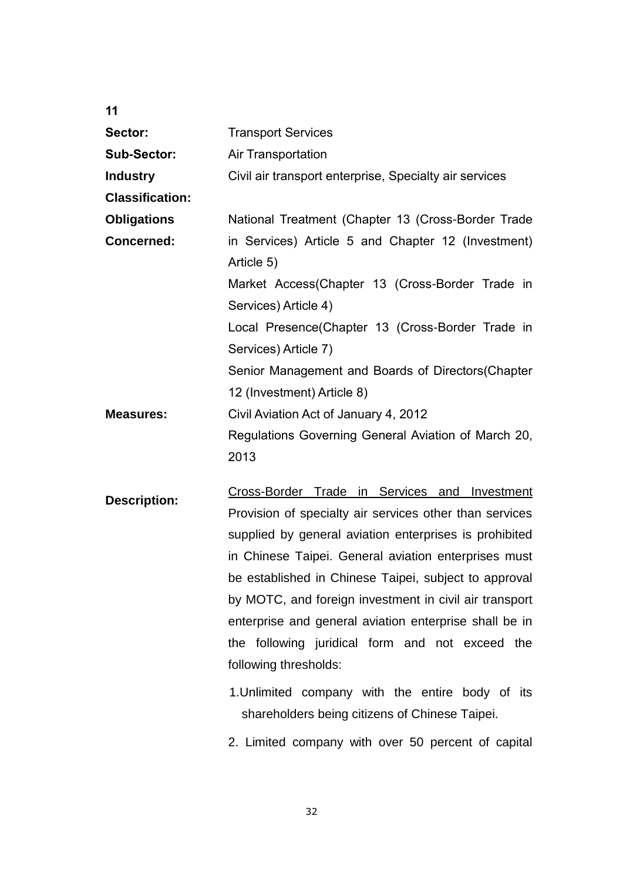| 11                     |                                                                                                                                                                                                                                                                                                                                                                                                                                                                                     |
|------------------------|-------------------------------------------------------------------------------------------------------------------------------------------------------------------------------------------------------------------------------------------------------------------------------------------------------------------------------------------------------------------------------------------------------------------------------------------------------------------------------------|
| Sector:                | <b>Transport Services</b>                                                                                                                                                                                                                                                                                                                                                                                                                                                           |
| <b>Sub-Sector:</b>     | Air Transportation                                                                                                                                                                                                                                                                                                                                                                                                                                                                  |
| <b>Industry</b>        | Civil air transport enterprise, Specialty air services                                                                                                                                                                                                                                                                                                                                                                                                                              |
| <b>Classification:</b> |                                                                                                                                                                                                                                                                                                                                                                                                                                                                                     |
| <b>Obligations</b>     | National Treatment (Chapter 13 (Cross-Border Trade                                                                                                                                                                                                                                                                                                                                                                                                                                  |
| <b>Concerned:</b>      | in Services) Article 5 and Chapter 12 (Investment)<br>Article 5)                                                                                                                                                                                                                                                                                                                                                                                                                    |
|                        | Market Access(Chapter 13 (Cross-Border Trade in<br>Services) Article 4)                                                                                                                                                                                                                                                                                                                                                                                                             |
|                        | Local Presence(Chapter 13 (Cross-Border Trade in<br>Services) Article 7)                                                                                                                                                                                                                                                                                                                                                                                                            |
|                        | Senior Management and Boards of Directors (Chapter<br>12 (Investment) Article 8)                                                                                                                                                                                                                                                                                                                                                                                                    |
| <b>Measures:</b>       | Civil Aviation Act of January 4, 2012<br>Regulations Governing General Aviation of March 20,<br>2013                                                                                                                                                                                                                                                                                                                                                                                |
| <b>Description:</b>    | Cross-Border Trade in Services and Investment<br>Provision of specialty air services other than services<br>supplied by general aviation enterprises is prohibited<br>in Chinese Taipei. General aviation enterprises must<br>be established in Chinese Taipei, subject to approval<br>by MOTC, and foreign investment in civil air transport<br>enterprise and general aviation enterprise shall be in<br>the following juridical form and not exceed the<br>following thresholds: |

1.Unlimited company with the entire body of its shareholders being citizens of Chinese Taipei.

2. Limited company with over 50 percent of capital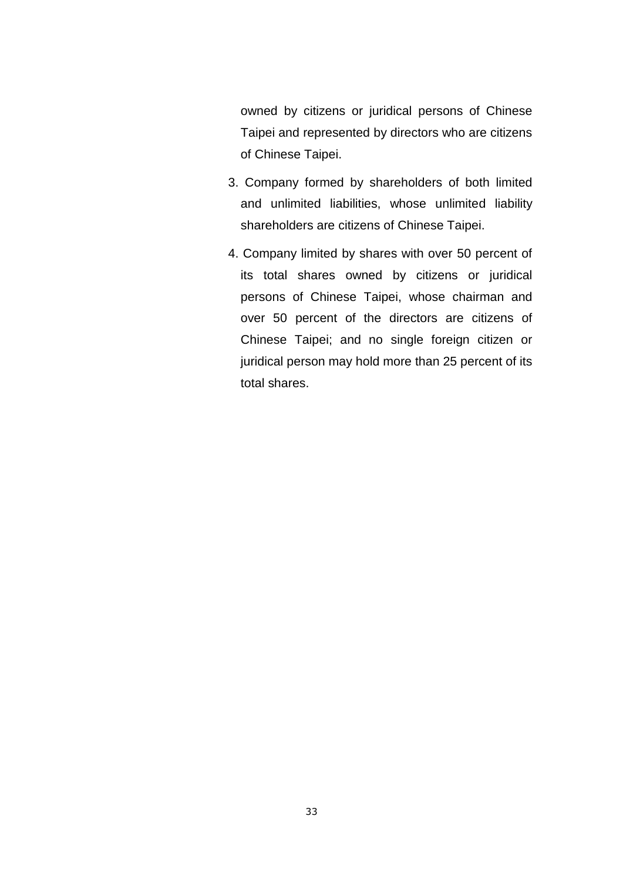owned by citizens or juridical persons of Chinese Taipei and represented by directors who are citizens of Chinese Taipei.

- 3. Company formed by shareholders of both limited and unlimited liabilities, whose unlimited liability shareholders are citizens of Chinese Taipei.
- 4. Company limited by shares with over 50 percent of its total shares owned by citizens or juridical persons of Chinese Taipei, whose chairman and over 50 percent of the directors are citizens of Chinese Taipei; and no single foreign citizen or juridical person may hold more than 25 percent of its total shares.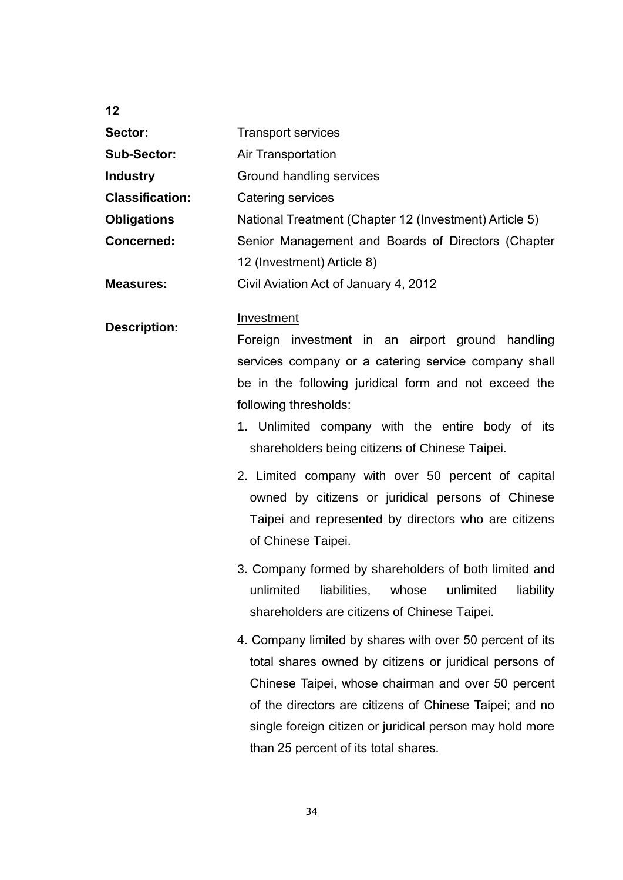**12**

| <b>Transport services</b>                              |
|--------------------------------------------------------|
| Air Transportation                                     |
| Ground handling services                               |
| Catering services                                      |
| National Treatment (Chapter 12 (Investment) Article 5) |
| Senior Management and Boards of Directors (Chapter     |
| 12 (Investment) Article 8)                             |
| Civil Aviation Act of January 4, 2012                  |
|                                                        |

#### **Description:** Investment

Foreign investment in an airport ground handling services company or a catering service company shall be in the following juridical form and not exceed the following thresholds:

- 1. Unlimited company with the entire body of its shareholders being citizens of Chinese Taipei.
- 2. Limited company with over 50 percent of capital owned by citizens or juridical persons of Chinese Taipei and represented by directors who are citizens of Chinese Taipei.
- 3. Company formed by shareholders of both limited and unlimited liabilities, whose unlimited liability shareholders are citizens of Chinese Taipei.
- 4. Company limited by shares with over 50 percent of its total shares owned by citizens or juridical persons of Chinese Taipei, whose chairman and over 50 percent of the directors are citizens of Chinese Taipei; and no single foreign citizen or juridical person may hold more than 25 percent of its total shares.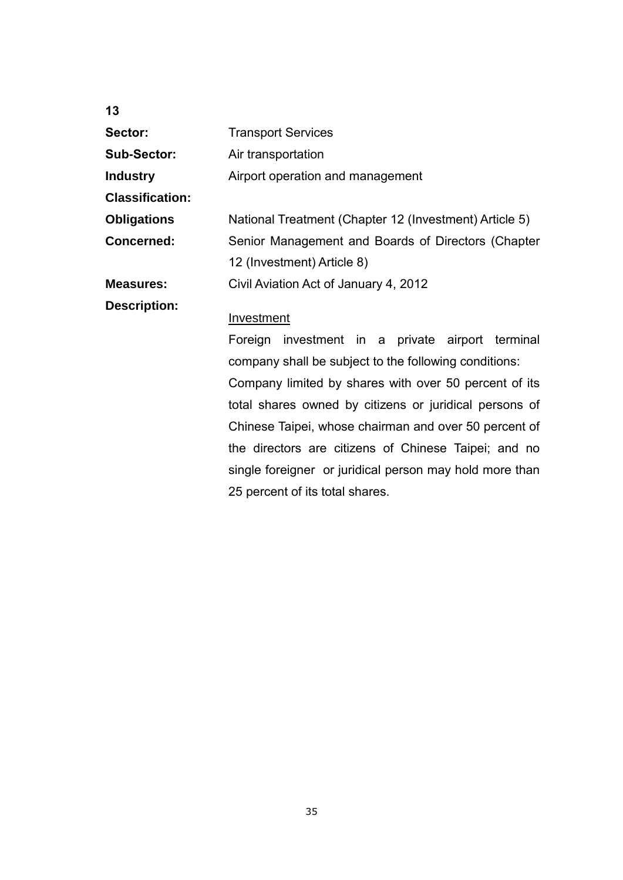| 13                     |                                                         |
|------------------------|---------------------------------------------------------|
| Sector:                | <b>Transport Services</b>                               |
| <b>Sub-Sector:</b>     | Air transportation                                      |
| <b>Industry</b>        | Airport operation and management                        |
| <b>Classification:</b> |                                                         |
| <b>Obligations</b>     | National Treatment (Chapter 12 (Investment) Article 5)  |
| <b>Concerned:</b>      | Senior Management and Boards of Directors (Chapter      |
|                        | 12 (Investment) Article 8)                              |
| <b>Measures:</b>       | Civil Aviation Act of January 4, 2012                   |
| <b>Description:</b>    | Investment                                              |
|                        | Foreign investment in a private airport terminal        |
|                        | company shall be subject to the following conditions:   |
|                        | Company limited by shares with over 50 percent of its   |
|                        | total shares owned by citizens or juridical persons of  |
|                        | Chinese Taipei, whose chairman and over 50 percent of   |
|                        | the directors are citizens of Chinese Taipei; and no    |
|                        | single foreigner or juridical person may hold more than |
|                        | 25 percent of its total shares.                         |

35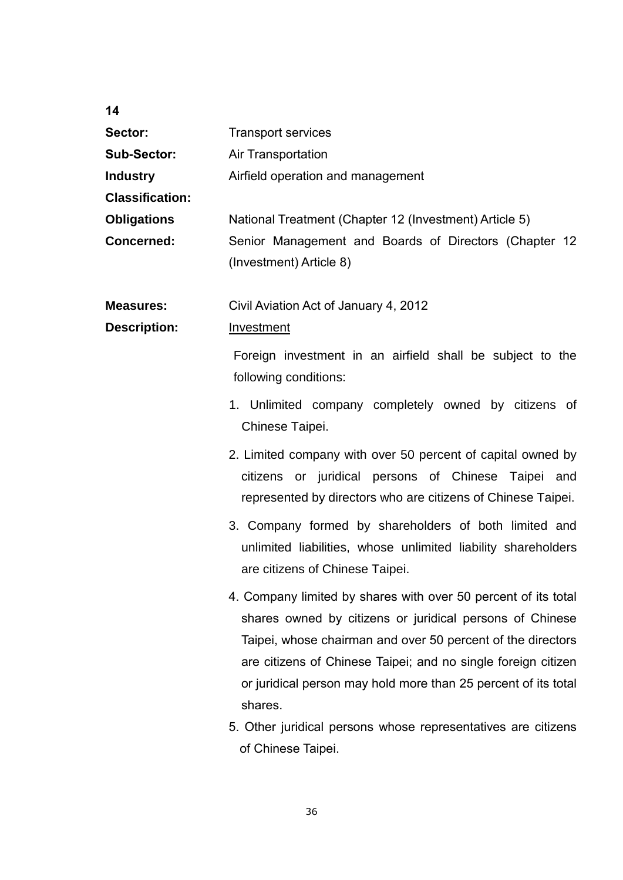| 14                     |                                                                                                                                                                                                                                                                                                                                         |
|------------------------|-----------------------------------------------------------------------------------------------------------------------------------------------------------------------------------------------------------------------------------------------------------------------------------------------------------------------------------------|
| Sector:                | <b>Transport services</b>                                                                                                                                                                                                                                                                                                               |
| <b>Sub-Sector:</b>     | Air Transportation                                                                                                                                                                                                                                                                                                                      |
| <b>Industry</b>        | Airfield operation and management                                                                                                                                                                                                                                                                                                       |
| <b>Classification:</b> |                                                                                                                                                                                                                                                                                                                                         |
| <b>Obligations</b>     | National Treatment (Chapter 12 (Investment) Article 5)                                                                                                                                                                                                                                                                                  |
| <b>Concerned:</b>      | Senior Management and Boards of Directors (Chapter 12<br>(Investment) Article 8)                                                                                                                                                                                                                                                        |
| <b>Measures:</b>       | Civil Aviation Act of January 4, 2012                                                                                                                                                                                                                                                                                                   |
| <b>Description:</b>    | Investment                                                                                                                                                                                                                                                                                                                              |
|                        | Foreign investment in an airfield shall be subject to the<br>following conditions:                                                                                                                                                                                                                                                      |
|                        | 1. Unlimited company completely owned by citizens of<br>Chinese Taipei.                                                                                                                                                                                                                                                                 |
|                        | 2. Limited company with over 50 percent of capital owned by<br>citizens or juridical persons of Chinese Taipei and<br>represented by directors who are citizens of Chinese Taipei.                                                                                                                                                      |
|                        | 3. Company formed by shareholders of both limited and<br>unlimited liabilities, whose unlimited liability shareholders<br>are citizens of Chinese Taipei.                                                                                                                                                                               |
|                        | 4. Company limited by shares with over 50 percent of its total<br>shares owned by citizens or juridical persons of Chinese<br>Taipei, whose chairman and over 50 percent of the directors<br>are citizens of Chinese Taipei; and no single foreign citizen<br>or juridical person may hold more than 25 percent of its total<br>shares. |
|                        | 5. Other juridical persons whose representatives are citizens<br>of Chinese Taipei.                                                                                                                                                                                                                                                     |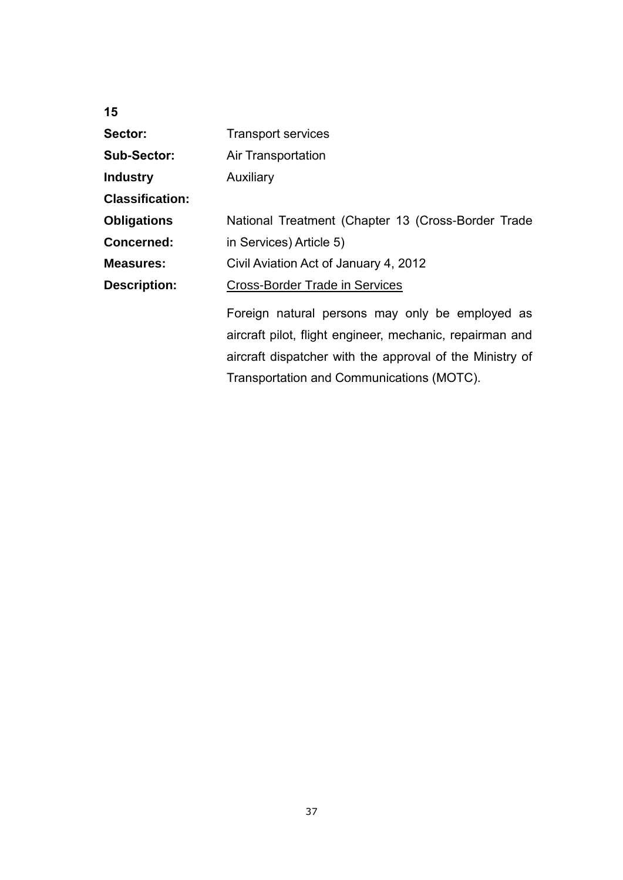| 15                     |                                                          |
|------------------------|----------------------------------------------------------|
| Sector:                | <b>Transport services</b>                                |
| <b>Sub-Sector:</b>     | <b>Air Transportation</b>                                |
| <b>Industry</b>        | Auxiliary                                                |
| <b>Classification:</b> |                                                          |
| <b>Obligations</b>     | National Treatment (Chapter 13 (Cross-Border Trade       |
| <b>Concerned:</b>      | in Services) Article 5)                                  |
| <b>Measures:</b>       | Civil Aviation Act of January 4, 2012                    |
| <b>Description:</b>    | <b>Cross-Border Trade in Services</b>                    |
|                        | Foreign natural persons may only be employed as          |
|                        | aircraft pilot, flight engineer, mechanic, repairman and |
|                        | aircraft dispatcher with the approval of the Ministry of |
|                        | Transportation and Communications (MOTC).                |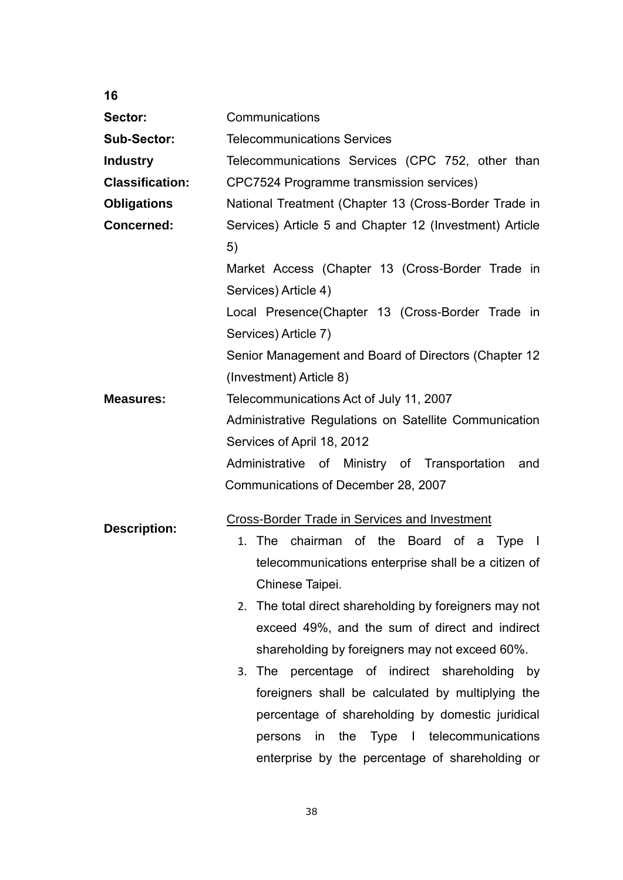| 16                     |                                                                                                                                                                                                                                                             |
|------------------------|-------------------------------------------------------------------------------------------------------------------------------------------------------------------------------------------------------------------------------------------------------------|
| Sector:                | Communications                                                                                                                                                                                                                                              |
| <b>Sub-Sector:</b>     | <b>Telecommunications Services</b>                                                                                                                                                                                                                          |
| <b>Industry</b>        | Telecommunications Services (CPC 752, other than                                                                                                                                                                                                            |
| <b>Classification:</b> | CPC7524 Programme transmission services)                                                                                                                                                                                                                    |
| <b>Obligations</b>     | National Treatment (Chapter 13 (Cross-Border Trade in                                                                                                                                                                                                       |
| <b>Concerned:</b>      | Services) Article 5 and Chapter 12 (Investment) Article                                                                                                                                                                                                     |
|                        | 5)                                                                                                                                                                                                                                                          |
|                        | Market Access (Chapter 13 (Cross-Border Trade in<br>Services) Article 4)                                                                                                                                                                                    |
|                        | Local Presence(Chapter 13 (Cross-Border Trade in<br>Services) Article 7)                                                                                                                                                                                    |
|                        | Senior Management and Board of Directors (Chapter 12<br>(Investment) Article 8)                                                                                                                                                                             |
| <b>Measures:</b>       | Telecommunications Act of July 11, 2007<br>Administrative Regulations on Satellite Communication<br>Services of April 18, 2012<br>Administrative of Ministry of Transportation<br>and                                                                       |
|                        | Communications of December 28, 2007                                                                                                                                                                                                                         |
| <b>Description:</b>    | <b>Cross-Border Trade in Services and Investment</b><br>chairman of the Board of a<br>1. The<br><b>Type</b><br>$\Box$<br>telecommunications enterprise shall be a citizen of<br>Chinese Taipei.                                                             |
|                        | The total direct shareholding by foreigners may not<br>2.<br>exceed 49%, and the sum of direct and indirect<br>shareholding by foreigners may not exceed 60%.                                                                                               |
|                        | 3. The percentage of indirect shareholding by<br>foreigners shall be calculated by multiplying the<br>percentage of shareholding by domestic juridical<br>the Type I telecommunications<br>persons<br>in<br>enterprise by the percentage of shareholding or |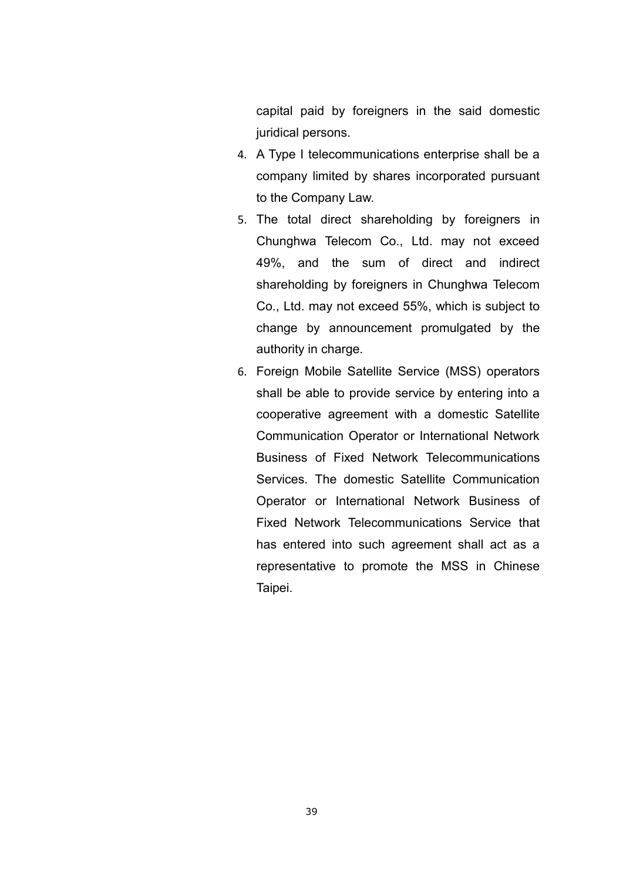capital paid by foreigners in the said domestic juridical persons.

- 4. A Type I telecommunications enterprise shall be a company limited by shares incorporated pursuant to the Company Law.
- 5. The total direct shareholding by foreigners in Chunghwa Telecom Co., Ltd. may not exceed 49%, and the sum of direct and indirect shareholding by foreigners in Chunghwa Telecom Co., Ltd. may not exceed 55%, which is subject to change by announcement promulgated by the authority in charge.
- 6. Foreign Mobile Satellite Service (MSS) operators shall be able to provide service by entering into a cooperative agreement with a domestic Satellite Communication Operator or International Network Business of Fixed Network Telecommunications Services. The domestic Satellite Communication Operator or International Network Business of Fixed Network Telecommunications Service that has entered into such agreement shall act as a representative to promote the MSS in Chinese Taipei.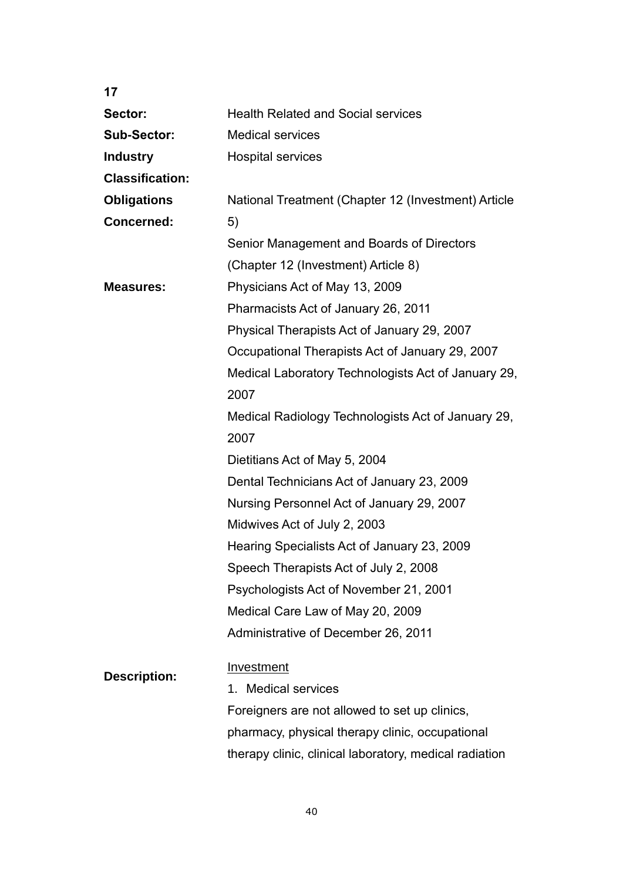| 17                     |                                                        |
|------------------------|--------------------------------------------------------|
| Sector:                | <b>Health Related and Social services</b>              |
| <b>Sub-Sector:</b>     | <b>Medical services</b>                                |
| <b>Industry</b>        | <b>Hospital services</b>                               |
| <b>Classification:</b> |                                                        |
| <b>Obligations</b>     | National Treatment (Chapter 12 (Investment) Article    |
| <b>Concerned:</b>      | 5)                                                     |
|                        | Senior Management and Boards of Directors              |
|                        | (Chapter 12 (Investment) Article 8)                    |
| <b>Measures:</b>       | Physicians Act of May 13, 2009                         |
|                        | Pharmacists Act of January 26, 2011                    |
|                        | Physical Therapists Act of January 29, 2007            |
|                        | Occupational Therapists Act of January 29, 2007        |
|                        | Medical Laboratory Technologists Act of January 29,    |
|                        | 2007                                                   |
|                        | Medical Radiology Technologists Act of January 29,     |
|                        | 2007                                                   |
|                        | Dietitians Act of May 5, 2004                          |
|                        | Dental Technicians Act of January 23, 2009             |
|                        | Nursing Personnel Act of January 29, 2007              |
|                        | Midwives Act of July 2, 2003                           |
|                        | Hearing Specialists Act of January 23, 2009            |
|                        | Speech Therapists Act of July 2, 2008                  |
|                        | Psychologists Act of November 21, 2001                 |
|                        | Medical Care Law of May 20, 2009                       |
|                        | Administrative of December 26, 2011                    |
|                        | <b>Investment</b>                                      |
| <b>Description:</b>    | 1. Medical services                                    |
|                        | Foreigners are not allowed to set up clinics,          |
|                        | pharmacy, physical therapy clinic, occupational        |
|                        | therapy clinic, clinical laboratory, medical radiation |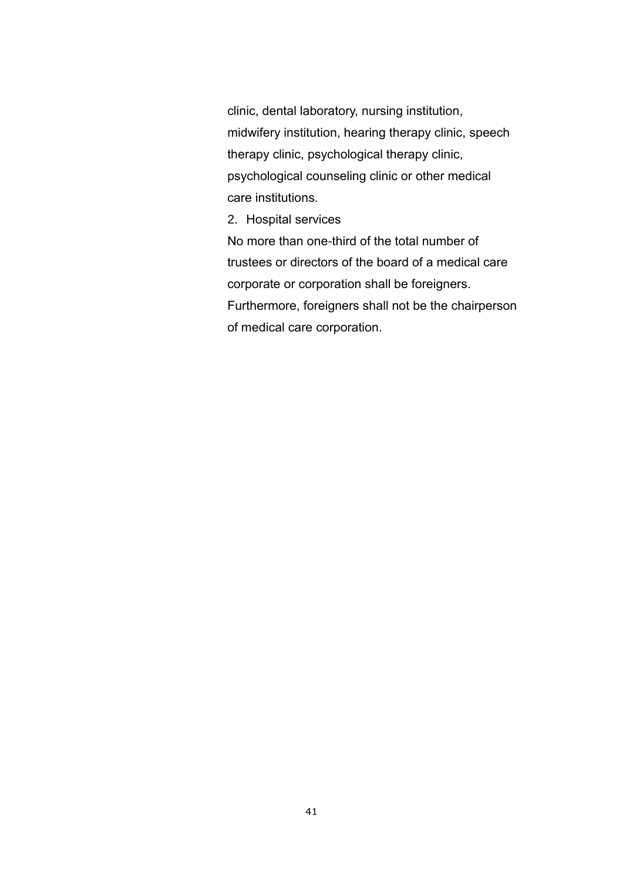clinic, dental laboratory, nursing institution, midwifery institution, hearing therapy clinic, speech therapy clinic, psychological therapy clinic, psychological counseling clinic or other medical care institutions.

2. Hospital services

No more than one-third of the total number of trustees or directors of the board of a medical care corporate or corporation shall be foreigners. Furthermore, foreigners shall not be the chairperson of medical care corporation.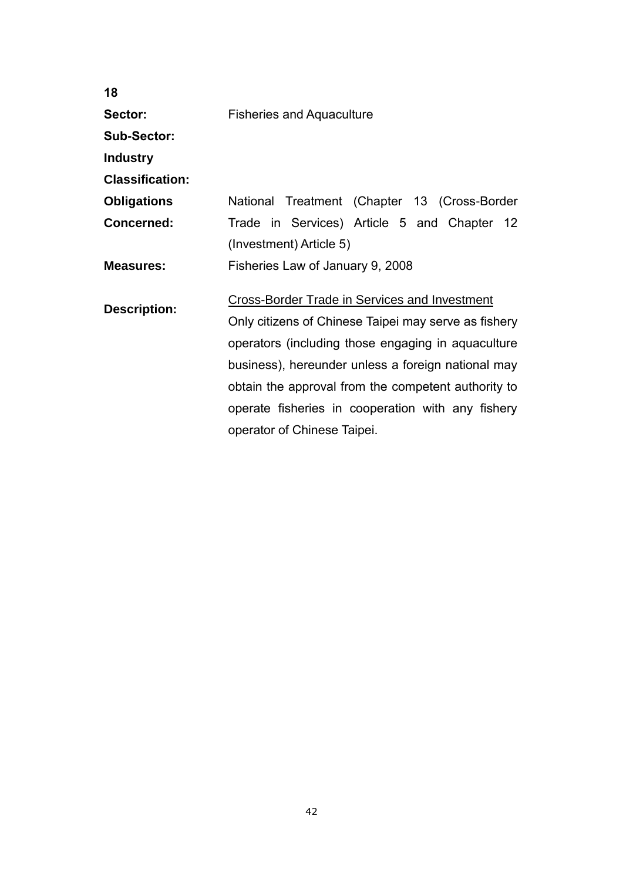| <b>Fisheries and Aquaculture</b>                                                                                                                                                                                                                                                                                                                             |
|--------------------------------------------------------------------------------------------------------------------------------------------------------------------------------------------------------------------------------------------------------------------------------------------------------------------------------------------------------------|
|                                                                                                                                                                                                                                                                                                                                                              |
|                                                                                                                                                                                                                                                                                                                                                              |
|                                                                                                                                                                                                                                                                                                                                                              |
| National Treatment (Chapter 13 (Cross-Border                                                                                                                                                                                                                                                                                                                 |
| Trade in Services) Article 5 and Chapter 12                                                                                                                                                                                                                                                                                                                  |
| (Investment) Article 5)                                                                                                                                                                                                                                                                                                                                      |
| Fisheries Law of January 9, 2008                                                                                                                                                                                                                                                                                                                             |
| Cross-Border Trade in Services and Investment<br>Only citizens of Chinese Taipei may serve as fishery<br>operators (including those engaging in aquaculture<br>business), hereunder unless a foreign national may<br>obtain the approval from the competent authority to<br>operate fisheries in cooperation with any fishery<br>operator of Chinese Taipei. |
|                                                                                                                                                                                                                                                                                                                                                              |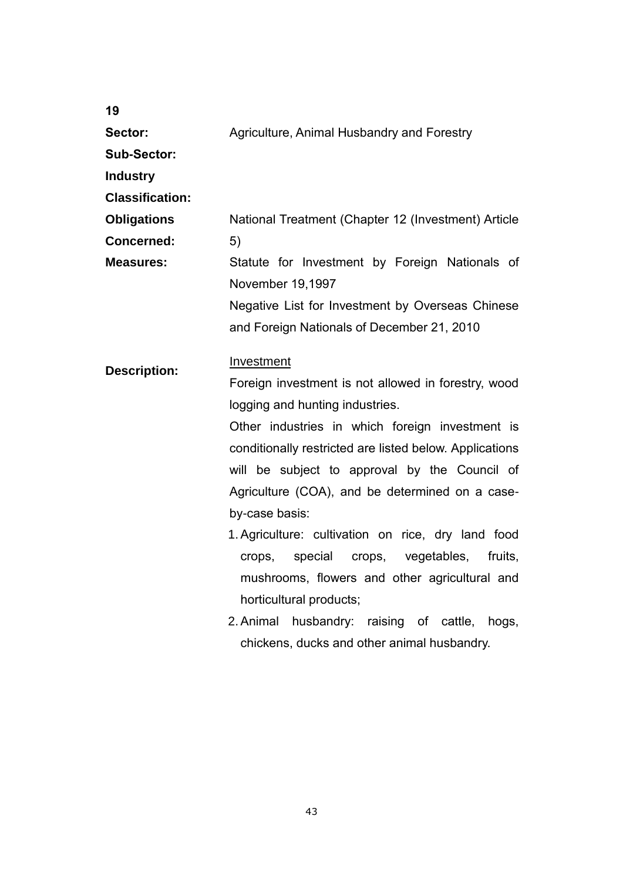| 19                     |                                                                    |
|------------------------|--------------------------------------------------------------------|
| Sector:                | Agriculture, Animal Husbandry and Forestry                         |
| <b>Sub-Sector:</b>     |                                                                    |
| <b>Industry</b>        |                                                                    |
| <b>Classification:</b> |                                                                    |
| <b>Obligations</b>     | National Treatment (Chapter 12 (Investment) Article                |
| <b>Concerned:</b>      | 5)                                                                 |
| <b>Measures:</b>       | Statute for Investment by Foreign Nationals of<br>November 19,1997 |
|                        | Negative List for Investment by Overseas Chinese                   |
|                        | and Foreign Nationals of December 21, 2010                         |
| <b>Description:</b>    | Investment                                                         |
|                        | Foreign investment is not allowed in forestry, wood                |
|                        | logging and hunting industries.                                    |
|                        | Other industries in which foreign investment is                    |
|                        | conditionally restricted are listed below. Applications            |
|                        | will be subject to approval by the Council of                      |
|                        | Agriculture (COA), and be determined on a case-                    |
|                        | by-case basis:                                                     |
|                        | 1. Agriculture: cultivation on rice, dry land food                 |
|                        | vegetables,<br>fruits,<br>special<br>crops,<br>crops,              |
|                        | mushrooms, flowers and other agricultural and                      |
|                        | horticultural products;                                            |
|                        | husbandry: raising of cattle,<br>2. Animal<br>hogs,                |
|                        | chickens, ducks and other animal husbandry.                        |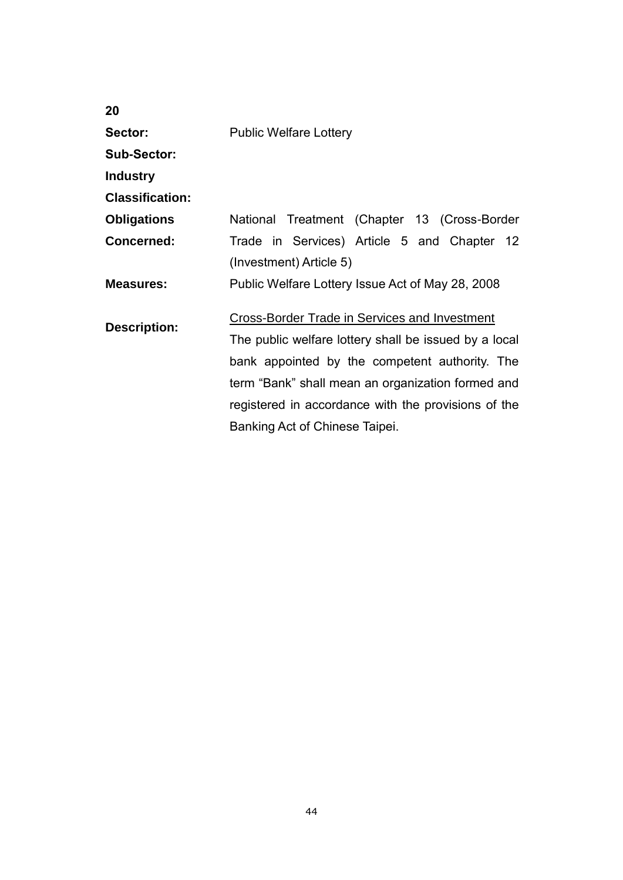| 20                     |                                                       |
|------------------------|-------------------------------------------------------|
| Sector:                | <b>Public Welfare Lottery</b>                         |
| <b>Sub-Sector:</b>     |                                                       |
| <b>Industry</b>        |                                                       |
| <b>Classification:</b> |                                                       |
| <b>Obligations</b>     | National Treatment (Chapter 13 (Cross-Border          |
| Concerned:             | Trade in Services) Article 5 and Chapter 12           |
|                        | (Investment) Article 5)                               |
| <b>Measures:</b>       | Public Welfare Lottery Issue Act of May 28, 2008      |
| <b>Description:</b>    | Cross-Border Trade in Services and Investment         |
|                        | The public welfare lottery shall be issued by a local |
|                        | bank appointed by the competent authority. The        |
|                        | term "Bank" shall mean an organization formed and     |
|                        | registered in accordance with the provisions of the   |
|                        | Banking Act of Chinese Taipei.                        |
|                        |                                                       |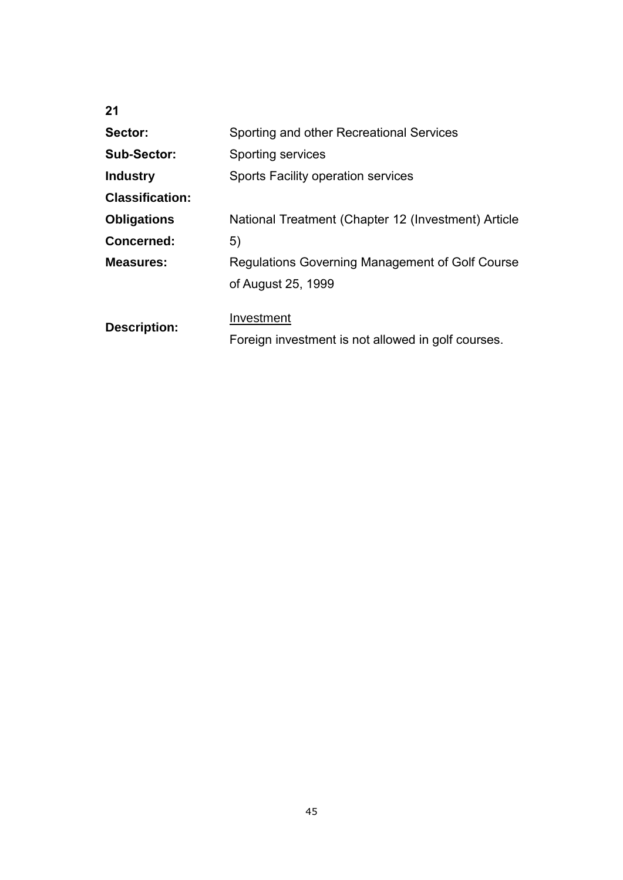| 21                     |                                                     |
|------------------------|-----------------------------------------------------|
| Sector:                | Sporting and other Recreational Services            |
| Sub-Sector:            | Sporting services                                   |
| <b>Industry</b>        | <b>Sports Facility operation services</b>           |
| <b>Classification:</b> |                                                     |
| <b>Obligations</b>     | National Treatment (Chapter 12 (Investment) Article |
| Concerned:             | 5)                                                  |
| <b>Measures:</b>       | Regulations Governing Management of Golf Course     |
|                        | of August 25, 1999                                  |
|                        |                                                     |
| <b>Description:</b>    | Investment                                          |
|                        | Foreign investment is not allowed in golf courses.  |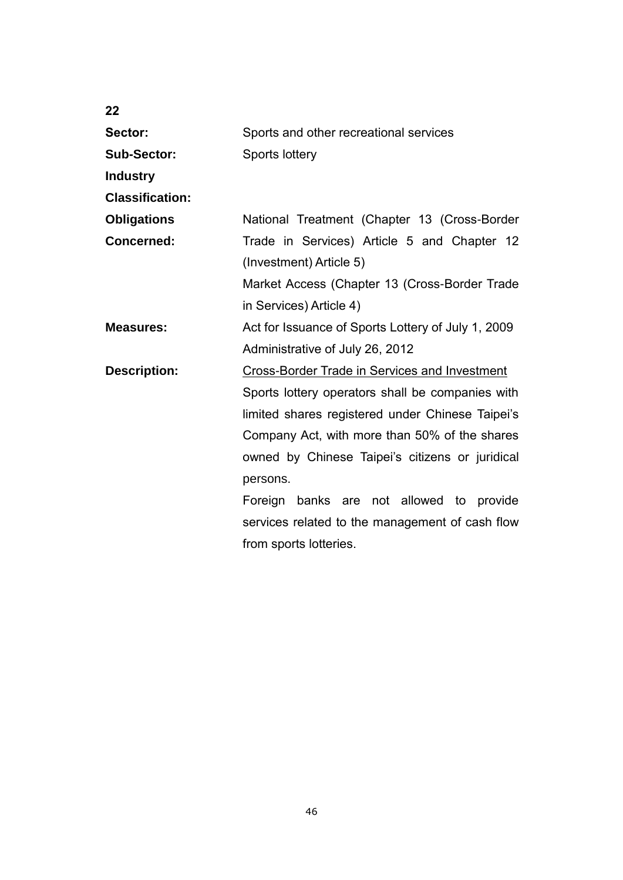| 22                     |                                                    |
|------------------------|----------------------------------------------------|
| Sector:                | Sports and other recreational services             |
| <b>Sub-Sector:</b>     | Sports lottery                                     |
| <b>Industry</b>        |                                                    |
| <b>Classification:</b> |                                                    |
| <b>Obligations</b>     | National Treatment (Chapter 13 (Cross-Border       |
| <b>Concerned:</b>      | Trade in Services) Article 5 and Chapter 12        |
|                        | (Investment) Article 5)                            |
|                        | Market Access (Chapter 13 (Cross-Border Trade      |
|                        | in Services) Article 4)                            |
| <b>Measures:</b>       | Act for Issuance of Sports Lottery of July 1, 2009 |
|                        | Administrative of July 26, 2012                    |
| <b>Description:</b>    | Cross-Border Trade in Services and Investment      |
|                        | Sports lottery operators shall be companies with   |
|                        | limited shares registered under Chinese Taipei's   |
|                        | Company Act, with more than 50% of the shares      |
|                        | owned by Chinese Taipei's citizens or juridical    |
|                        | persons.                                           |
|                        | Foreign banks are not allowed to provide           |
|                        | services related to the management of cash flow    |
|                        | from sports lotteries.                             |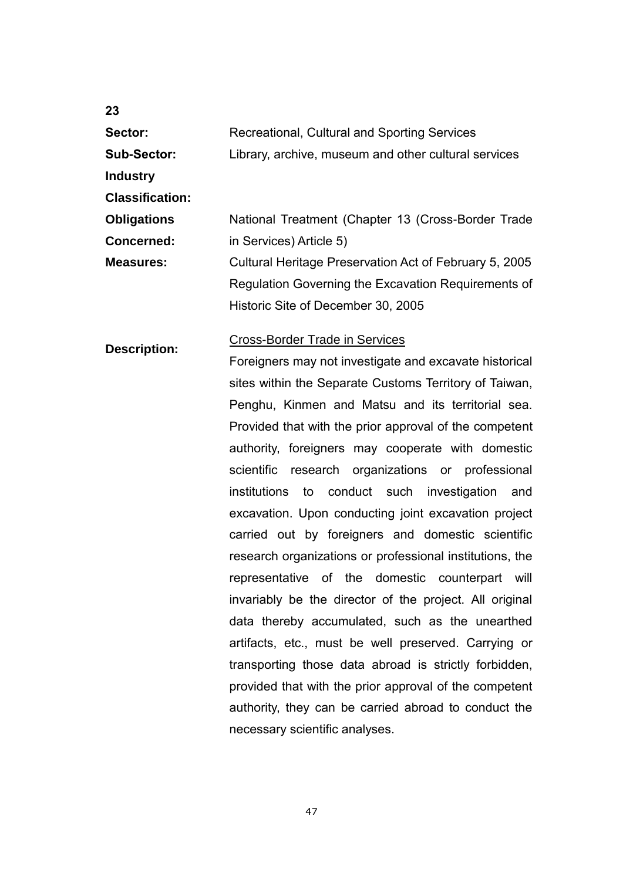| Sector:                | Recreational, Cultural and Sporting Services            |
|------------------------|---------------------------------------------------------|
| <b>Sub-Sector:</b>     | Library, archive, museum and other cultural services    |
| <b>Industry</b>        |                                                         |
| <b>Classification:</b> |                                                         |
| <b>Obligations</b>     | National Treatment (Chapter 13 (Cross-Border Trade      |
| <b>Concerned:</b>      | in Services) Article 5)                                 |
| <b>Measures:</b>       | Cultural Heritage Preservation Act of February 5, 2005  |
|                        | Regulation Governing the Excavation Requirements of     |
|                        | Historic Site of December 30, 2005                      |
| <b>Description:</b>    | <b>Cross-Border Trade in Services</b>                   |
|                        | Foreigners may not investigate and excavate historical  |
|                        | sites within the Separate Customs Territory of Taiwan,  |
|                        | Penghu, Kinmen and Matsu and its territorial sea.       |
|                        | Provided that with the prior approval of the competent  |
|                        | authority, foreigners may cooperate with domestic       |
|                        | scientific research organizations or professional       |
|                        | institutions<br>to<br>conduct such investigation<br>and |

excavation. Upon conducting joint excavation project

carried out by foreigners and domestic scientific

research organizations or professional institutions, the

representative of the domestic counterpart will

invariably be the director of the project. All original

data thereby accumulated, such as the unearthed

artifacts, etc., must be well preserved. Carrying or

transporting those data abroad is strictly forbidden,

provided that with the prior approval of the competent

authority, they can be carried abroad to conduct the

47

necessary scientific analyses.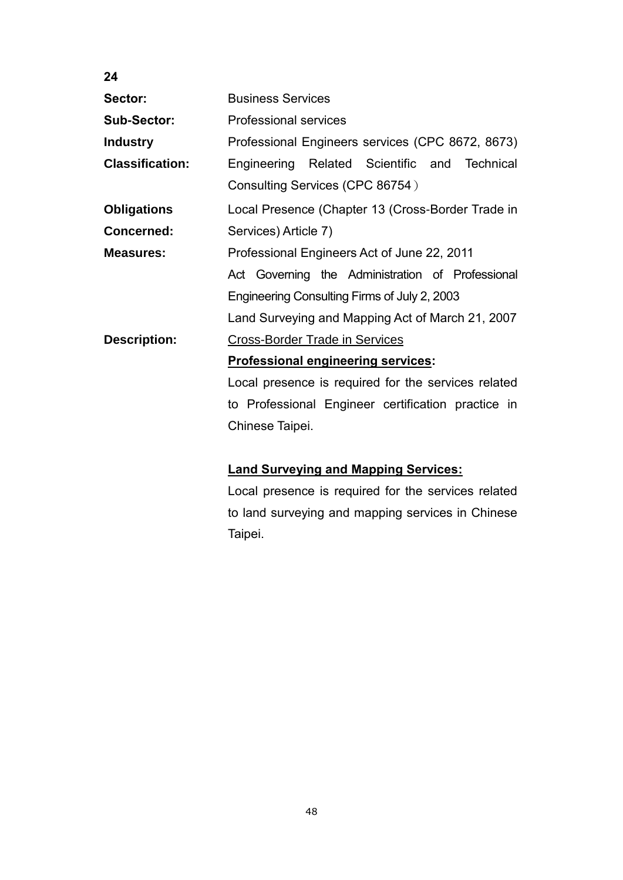| 24                     |                                                     |
|------------------------|-----------------------------------------------------|
| Sector:                | <b>Business Services</b>                            |
| <b>Sub-Sector:</b>     | <b>Professional services</b>                        |
| <b>Industry</b>        | Professional Engineers services (CPC 8672, 8673)    |
| <b>Classification:</b> | Engineering Related Scientific and Technical        |
|                        | Consulting Services (CPC 86754)                     |
| <b>Obligations</b>     | Local Presence (Chapter 13 (Cross-Border Trade in   |
| <b>Concerned:</b>      | Services) Article 7)                                |
| <b>Measures:</b>       | Professional Engineers Act of June 22, 2011         |
|                        | Act Governing the Administration of Professional    |
|                        | Engineering Consulting Firms of July 2, 2003        |
|                        | Land Surveying and Mapping Act of March 21, 2007    |
| <b>Description:</b>    | <b>Cross-Border Trade in Services</b>               |
|                        | Professional engineering services:                  |
|                        | Local presence is required for the services related |
|                        | to Professional Engineer certification practice in  |
|                        | Chinese Taipei.                                     |
|                        |                                                     |
|                        | <b>Land Surveying and Mapping Services:</b>         |

Local presence is required for the services related to land surveying and mapping services in Chinese Taipei.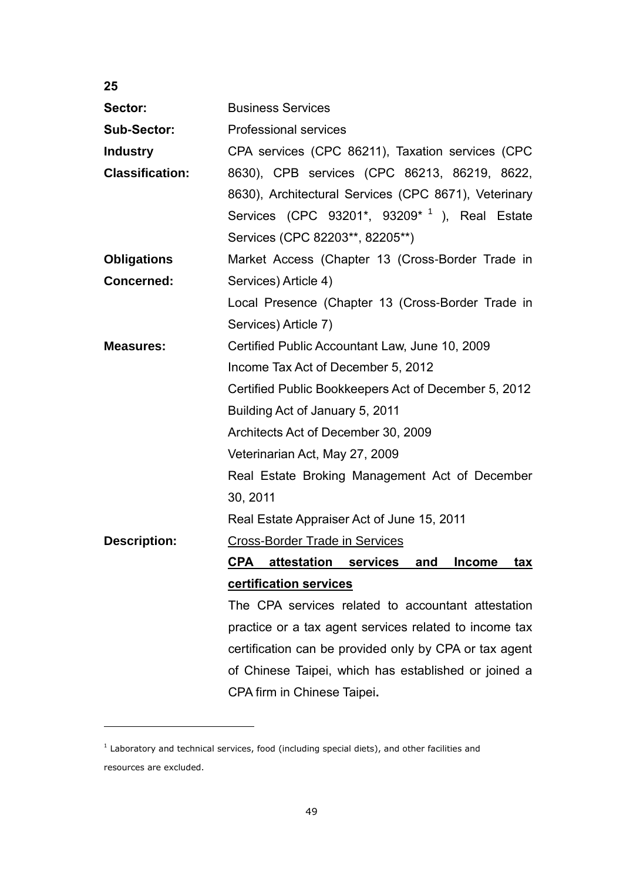| 25                     |                                                                |
|------------------------|----------------------------------------------------------------|
| Sector:                | <b>Business Services</b>                                       |
| <b>Sub-Sector:</b>     | <b>Professional services</b>                                   |
| <b>Industry</b>        | CPA services (CPC 86211), Taxation services (CPC               |
| <b>Classification:</b> | 8630), CPB services (CPC 86213, 86219, 8622,                   |
|                        | 8630), Architectural Services (CPC 8671), Veterinary           |
|                        | Services (CPC 93201*, 93209* <sup>1</sup> ), Real Estate       |
|                        | Services (CPC 82203**, 82205**)                                |
| <b>Obligations</b>     | Market Access (Chapter 13 (Cross-Border Trade in               |
| <b>Concerned:</b>      | Services) Article 4)                                           |
|                        | Local Presence (Chapter 13 (Cross-Border Trade in              |
|                        | Services) Article 7)                                           |
| <b>Measures:</b>       | Certified Public Accountant Law, June 10, 2009                 |
|                        | Income Tax Act of December 5, 2012                             |
|                        | Certified Public Bookkeepers Act of December 5, 2012           |
|                        | Building Act of January 5, 2011                                |
|                        | Architects Act of December 30, 2009                            |
|                        | Veterinarian Act, May 27, 2009                                 |
|                        | Real Estate Broking Management Act of December                 |
|                        | 30, 2011                                                       |
|                        | Real Estate Appraiser Act of June 15, 2011                     |
| <b>Description:</b>    | <b>Cross-Border Trade in Services</b>                          |
|                        | attestation services and<br><u>Income</u><br>CPA<br><u>tax</u> |
|                        | certification services                                         |
|                        | The CPA services related to accountant attestation             |
|                        | practice or a tax agent services related to income tax         |
|                        | certification can be provided only by CPA or tax agent         |
|                        | of Chinese Taipei, which has established or joined a           |
|                        | CPA firm in Chinese Taipei.                                    |

 $<sup>1</sup>$  Laboratory and technical services, food (including special diets), and other facilities and</sup> resources are excluded.

 $\overline{a}$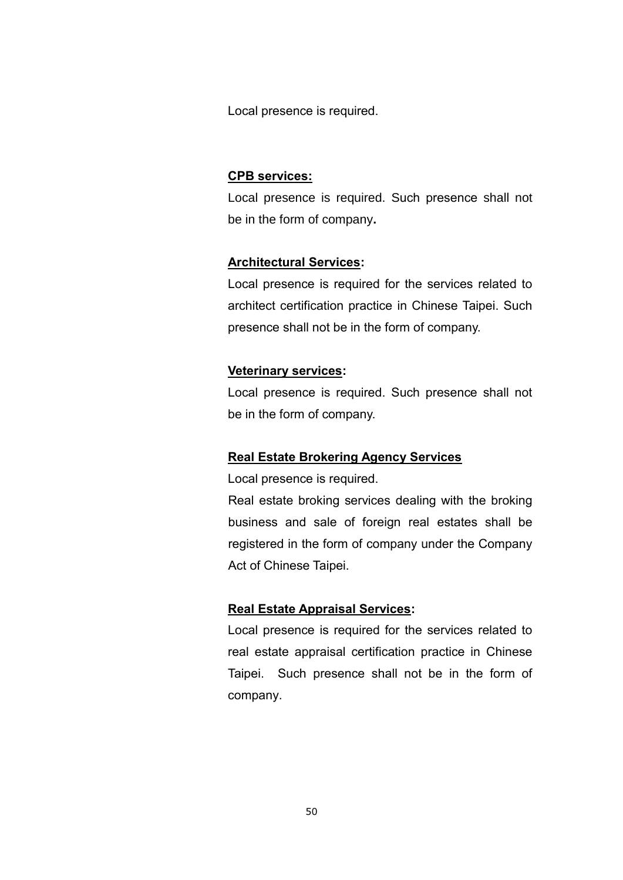Local presence is required.

#### **CPB services:**

Local presence is required. Such presence shall not be in the form of company**.**

#### **Architectural Services:**

Local presence is required for the services related to architect certification practice in Chinese Taipei. Such presence shall not be in the form of company.

## **Veterinary services:**

Local presence is required. Such presence shall not be in the form of company.

#### **Real Estate Brokering Agency Services**

Local presence is required.

Real estate broking services dealing with the broking business and sale of foreign real estates shall be registered in the form of company under the Company Act of Chinese Taipei.

### **Real Estate Appraisal Services:**

Local presence is required for the services related to real estate appraisal certification practice in Chinese Taipei. Such presence shall not be in the form of company.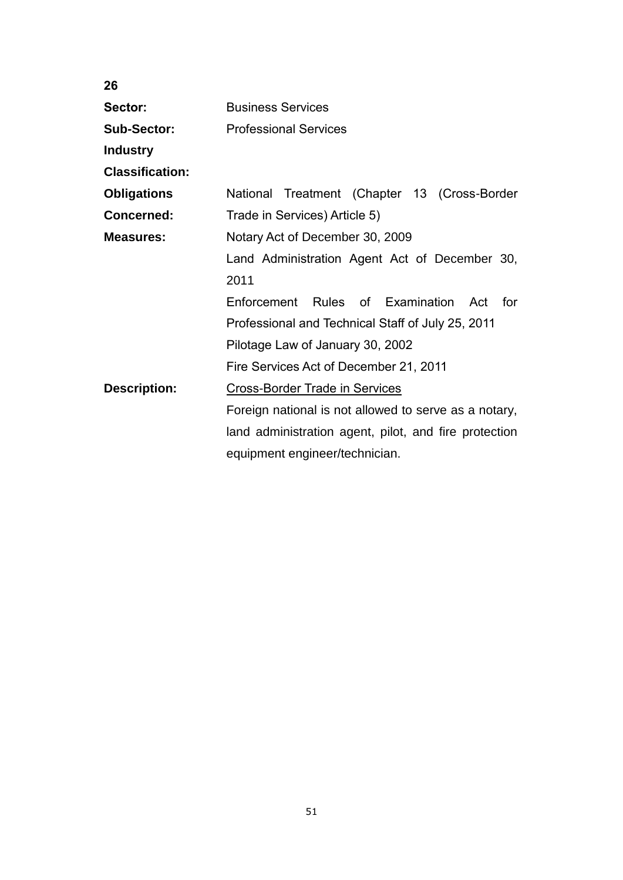| 26                     |                                                       |
|------------------------|-------------------------------------------------------|
| Sector:                | <b>Business Services</b>                              |
| Sub-Sector:            | <b>Professional Services</b>                          |
| <b>Industry</b>        |                                                       |
| <b>Classification:</b> |                                                       |
| <b>Obligations</b>     | National Treatment (Chapter 13 (Cross-Border          |
| <b>Concerned:</b>      | Trade in Services) Article 5)                         |
| <b>Measures:</b>       | Notary Act of December 30, 2009                       |
|                        | Land Administration Agent Act of December 30,         |
|                        | 2011                                                  |
|                        | Enforcement Rules of Examination Act<br>for           |
|                        | Professional and Technical Staff of July 25, 2011     |
|                        | Pilotage Law of January 30, 2002                      |
|                        | Fire Services Act of December 21, 2011                |
| <b>Description:</b>    | <b>Cross-Border Trade in Services</b>                 |
|                        | Foreign national is not allowed to serve as a notary, |
|                        | land administration agent, pilot, and fire protection |
|                        | equipment engineer/technician.                        |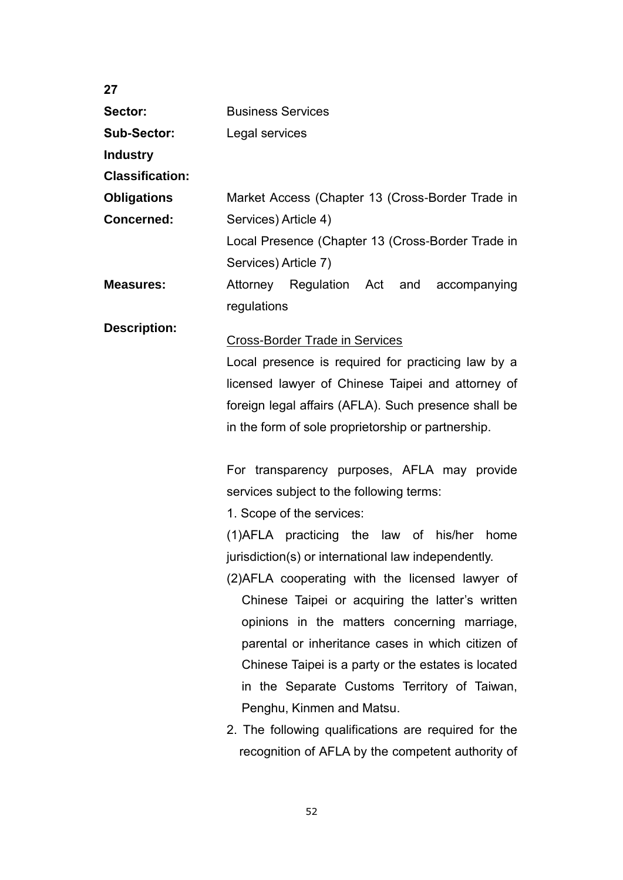| 27                     |                                                      |
|------------------------|------------------------------------------------------|
| Sector:                | <b>Business Services</b>                             |
| <b>Sub-Sector:</b>     | Legal services                                       |
| <b>Industry</b>        |                                                      |
| <b>Classification:</b> |                                                      |
| <b>Obligations</b>     | Market Access (Chapter 13 (Cross-Border Trade in     |
| <b>Concerned:</b>      | Services) Article 4)                                 |
|                        | Local Presence (Chapter 13 (Cross-Border Trade in    |
|                        | Services) Article 7)                                 |
| <b>Measures:</b>       | Attorney Regulation Act and<br>accompanying          |
|                        | regulations                                          |
| <b>Description:</b>    |                                                      |
|                        | <b>Cross-Border Trade in Services</b>                |
|                        | Local presence is required for practicing law by a   |
|                        | licensed lawyer of Chinese Taipei and attorney of    |
|                        | foreign legal affairs (AFLA). Such presence shall be |
|                        | in the form of sole proprietorship or partnership.   |
|                        |                                                      |
|                        | For transparency purposes, AFLA may provide          |
|                        | services subject to the following terms:             |
|                        | 1. Scope of the services:                            |
|                        | (1)AFLA practicing the law of<br>his/her home        |
|                        | jurisdiction(s) or international law independently.  |
|                        | (2) AFLA cooperating with the licensed lawyer of     |
|                        | Chinese Taipei or acquiring the latter's written     |
|                        | opinions in the matters concerning marriage,         |
|                        | parental or inheritance cases in which citizen of    |
|                        | Chinese Taipei is a party or the estates is located  |
|                        | in the Separate Customs Territory of Taiwan,         |
|                        | Penghu, Kinmen and Matsu.                            |
|                        | 2. The following qualifications are required for the |
|                        | recognition of AFLA by the competent authority of    |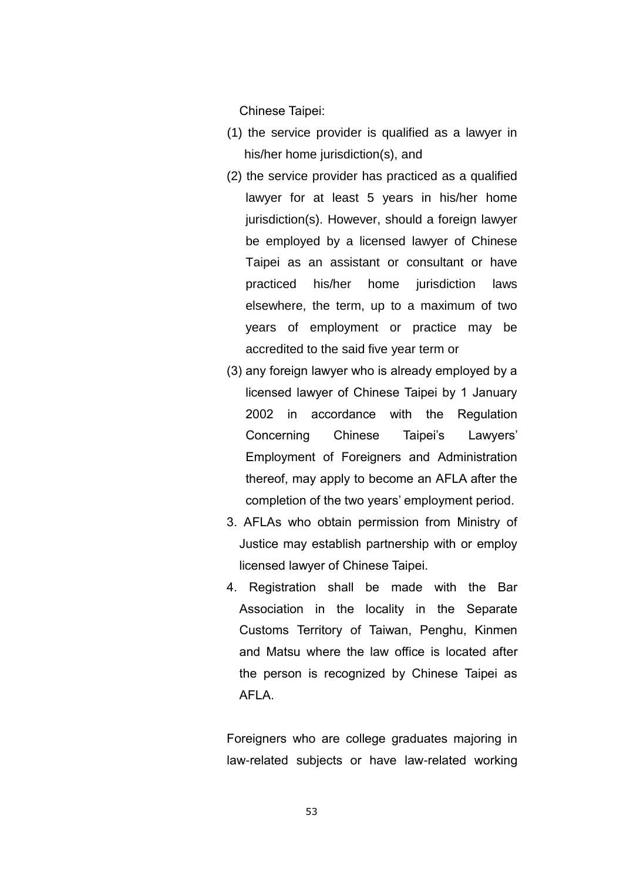Chinese Taipei:

- (1) the service provider is qualified as a lawyer in his/her home jurisdiction(s), and
- (2) the service provider has practiced as a qualified lawyer for at least 5 years in his/her home jurisdiction(s). However, should a foreign lawyer be employed by a licensed lawyer of Chinese Taipei as an assistant or consultant or have practiced his/her home jurisdiction laws elsewhere, the term, up to a maximum of two years of employment or practice may be accredited to the said five year term or
- (3) any foreign lawyer who is already employed by a licensed lawyer of Chinese Taipei by 1 January 2002 in accordance with the Regulation Concerning Chinese Taipei"s Lawyers" Employment of Foreigners and Administration thereof, may apply to become an AFLA after the completion of the two years" employment period.
- 3. AFLAs who obtain permission from Ministry of Justice may establish partnership with or employ licensed lawyer of Chinese Taipei.
- 4. Registration shall be made with the Bar Association in the locality in the Separate Customs Territory of Taiwan, Penghu, Kinmen and Matsu where the law office is located after the person is recognized by Chinese Taipei as AFLA.

Foreigners who are college graduates majoring in law-related subjects or have law-related working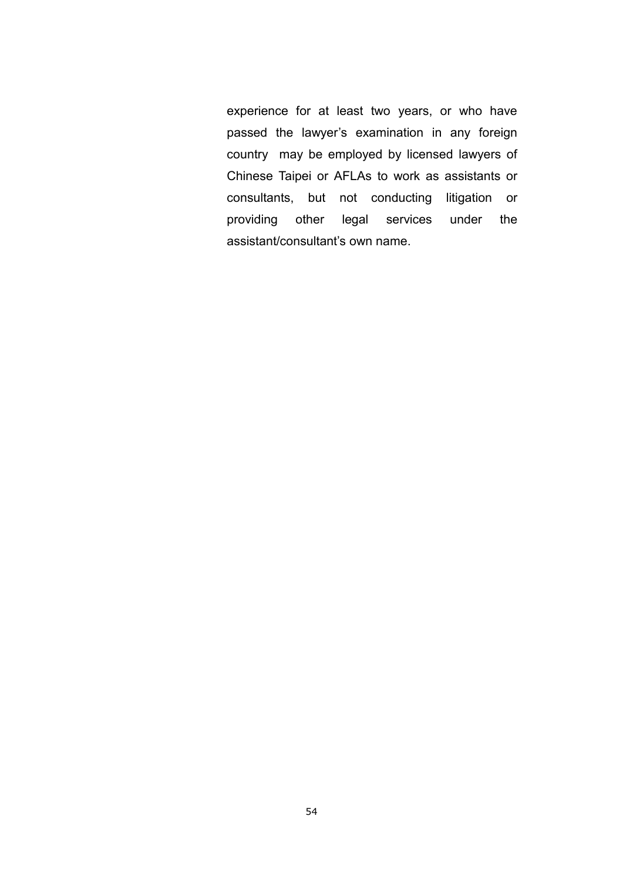experience for at least two years, or who have passed the lawyer's examination in any foreign country may be employed by licensed lawyers of Chinese Taipei or AFLAs to work as assistants or consultants, but not conducting litigation or providing other legal services under the assistant/consultant's own name.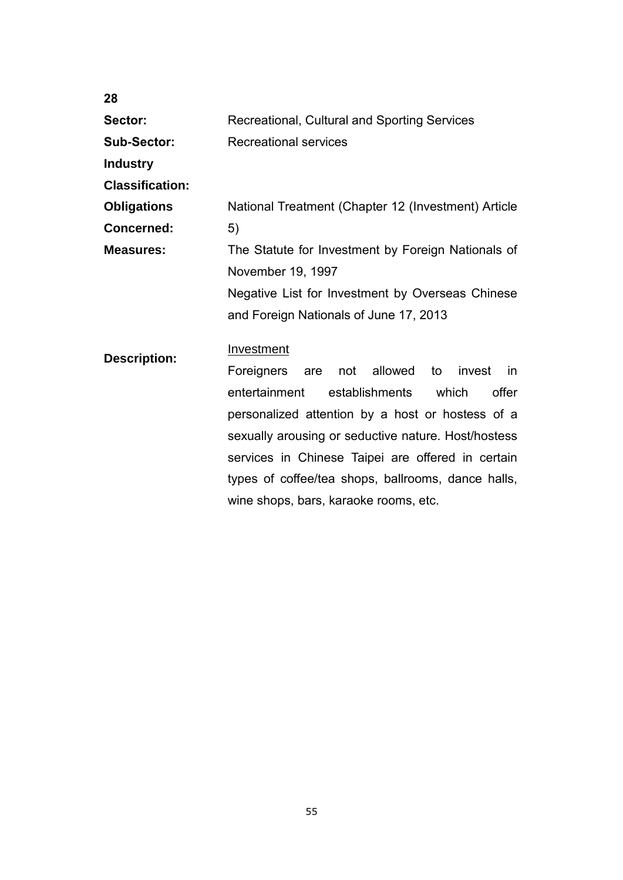| 28                     |                                                             |
|------------------------|-------------------------------------------------------------|
| Sector:                | Recreational, Cultural and Sporting Services                |
| <b>Sub-Sector:</b>     | <b>Recreational services</b>                                |
| <b>Industry</b>        |                                                             |
| <b>Classification:</b> |                                                             |
| <b>Obligations</b>     | National Treatment (Chapter 12 (Investment) Article         |
| <b>Concerned:</b>      | 5)                                                          |
| <b>Measures:</b>       | The Statute for Investment by Foreign Nationals of          |
|                        | November 19, 1997                                           |
|                        | Negative List for Investment by Overseas Chinese            |
|                        | and Foreign Nationals of June 17, 2013                      |
| <b>Description:</b>    | Investment                                                  |
|                        | are not allowed<br><b>Foreigners</b><br>to<br>invest<br>in. |
|                        | entertainment<br>establishments which<br>offer              |
|                        | personalized attention by a host or hostess of a            |
|                        | sexually arousing or seductive nature. Host/hostess         |
|                        | services in Chinese Taipei are offered in certain           |
|                        | types of coffee/tea shops, ballrooms, dance halls,          |
|                        | wine shops, bars, karaoke rooms, etc.                       |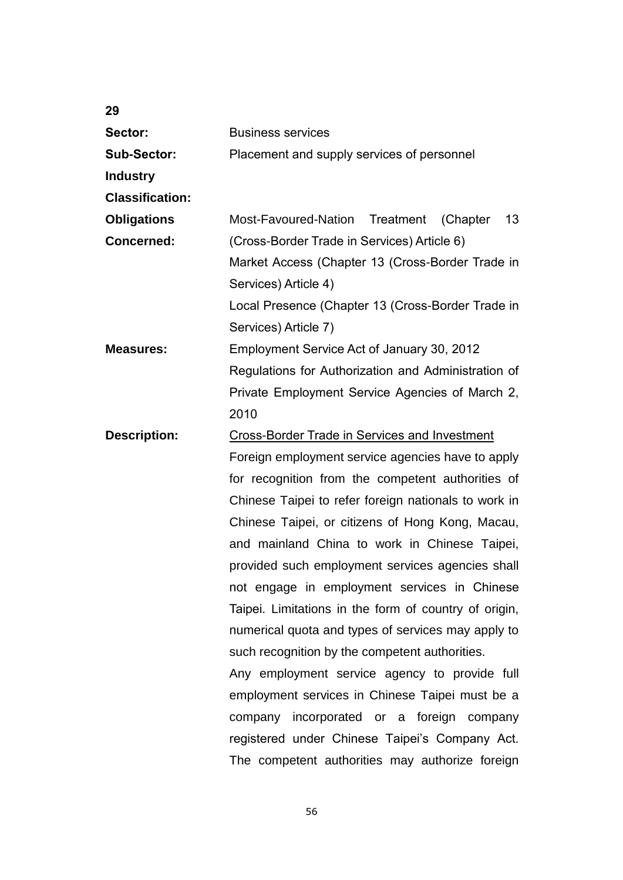| 29                     |                                                       |
|------------------------|-------------------------------------------------------|
| Sector:                | <b>Business services</b>                              |
| <b>Sub-Sector:</b>     | Placement and supply services of personnel            |
| <b>Industry</b>        |                                                       |
| <b>Classification:</b> |                                                       |
| <b>Obligations</b>     | Most-Favoured-Nation<br>Treatment<br>13<br>(Chapter)  |
| <b>Concerned:</b>      | (Cross-Border Trade in Services) Article 6)           |
|                        | Market Access (Chapter 13 (Cross-Border Trade in      |
|                        | Services) Article 4)                                  |
|                        | Local Presence (Chapter 13 (Cross-Border Trade in     |
|                        | Services) Article 7)                                  |
| <b>Measures:</b>       | Employment Service Act of January 30, 2012            |
|                        | Regulations for Authorization and Administration of   |
|                        | Private Employment Service Agencies of March 2,       |
|                        | 2010                                                  |
| <b>Description:</b>    | <b>Cross-Border Trade in Services and Investment</b>  |
|                        | Foreign employment service agencies have to apply     |
|                        | for recognition from the competent authorities of     |
|                        | Chinese Taipei to refer foreign nationals to work in  |
|                        | Chinese Taipei, or citizens of Hong Kong, Macau,      |
|                        | and mainland China to work in Chinese Taipei,         |
|                        | provided such employment services agencies shall      |
|                        | not engage in employment services in Chinese          |
|                        | Taipei. Limitations in the form of country of origin, |
|                        | numerical quota and types of services may apply to    |
|                        | such recognition by the competent authorities.        |
|                        | Any employment service agency to provide full         |
|                        | employment services in Chinese Taipei must be a       |
|                        | incorporated or a foreign<br>company<br>company       |
|                        | registered under Chinese Taipei's Company Act.        |
|                        | The competent authorities may authorize foreign       |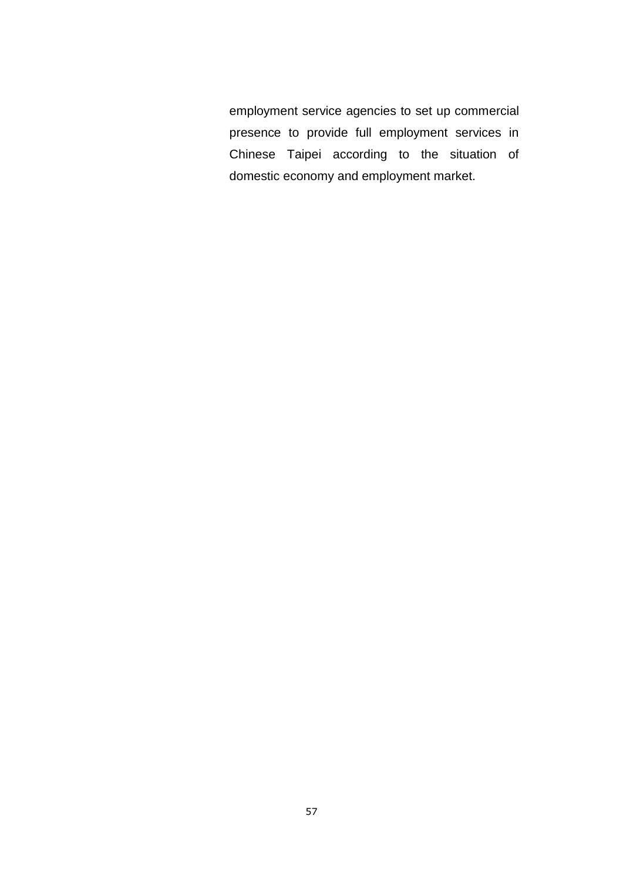employment service agencies to set up commercial presence to provide full employment services in Chinese Taipei according to the situation of domestic economy and employment market.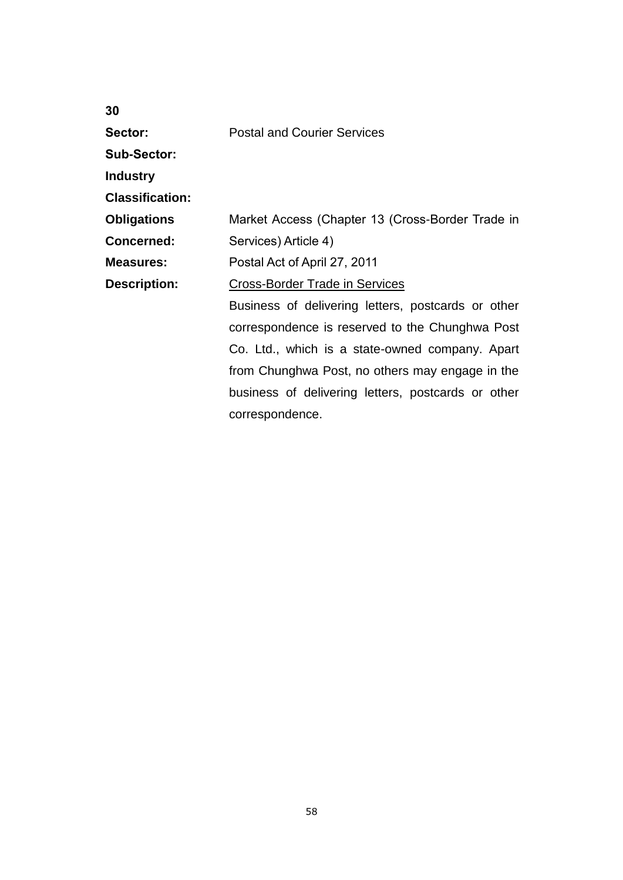**Sector:**

Postal and Courier Services

**Sub-Sector:**

**Industry** 

**Classification:**

**Obligations** Market Access (Chapter 13 (Cross-Border Trade in

**Concerned:** Services) Article 4)

**Measures:** Postal Act of April 27, 2011

**Description:** Cross-Border Trade in Services

Business of delivering letters, postcards or other correspondence is reserved to the Chunghwa Post Co. Ltd., which is a state-owned company. Apart from Chunghwa Post, no others may engage in the business of delivering letters, postcards or other correspondence.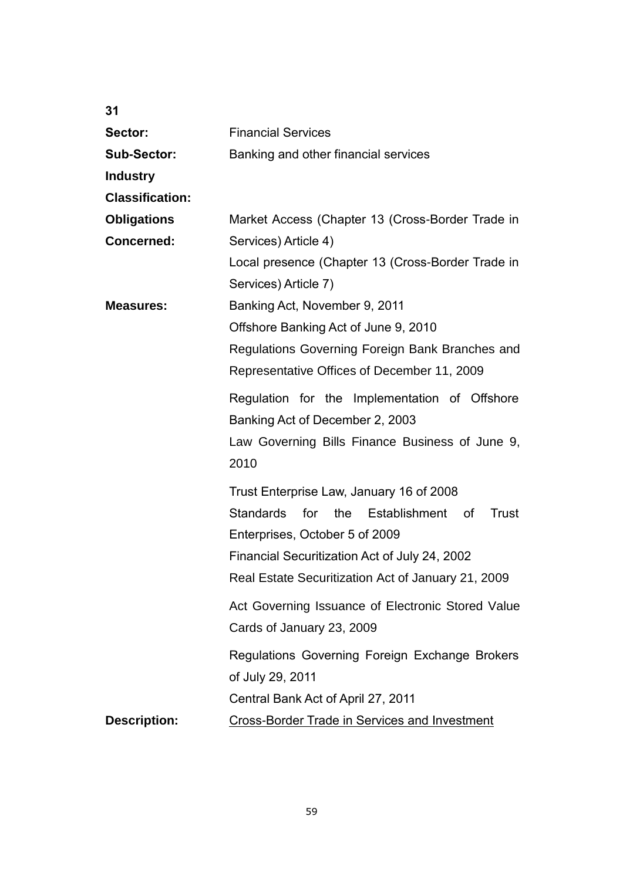| 31                     |                                                                                                     |
|------------------------|-----------------------------------------------------------------------------------------------------|
| Sector:                | <b>Financial Services</b>                                                                           |
| <b>Sub-Sector:</b>     | Banking and other financial services                                                                |
| <b>Industry</b>        |                                                                                                     |
| <b>Classification:</b> |                                                                                                     |
| <b>Obligations</b>     | Market Access (Chapter 13 (Cross-Border Trade in                                                    |
| <b>Concerned:</b>      | Services) Article 4)                                                                                |
|                        | Local presence (Chapter 13 (Cross-Border Trade in<br>Services) Article 7)                           |
| <b>Measures:</b>       | Banking Act, November 9, 2011                                                                       |
|                        | Offshore Banking Act of June 9, 2010                                                                |
|                        | Regulations Governing Foreign Bank Branches and                                                     |
|                        | Representative Offices of December 11, 2009                                                         |
|                        | Regulation for the Implementation of Offshore<br>Banking Act of December 2, 2003                    |
|                        | Law Governing Bills Finance Business of June 9,<br>2010                                             |
|                        | Trust Enterprise Law, January 16 of 2008                                                            |
|                        | <b>Standards</b><br>for<br>the<br>Establishment of<br>Trust                                         |
|                        | Enterprises, October 5 of 2009                                                                      |
|                        | Financial Securitization Act of July 24, 2002<br>Real Estate Securitization Act of January 21, 2009 |
|                        | Act Governing Issuance of Electronic Stored Value<br>Cards of January 23, 2009                      |
|                        | Regulations Governing Foreign Exchange Brokers<br>of July 29, 2011                                  |
|                        | Central Bank Act of April 27, 2011                                                                  |
| <b>Description:</b>    | <b>Cross-Border Trade in Services and Investment</b>                                                |
|                        |                                                                                                     |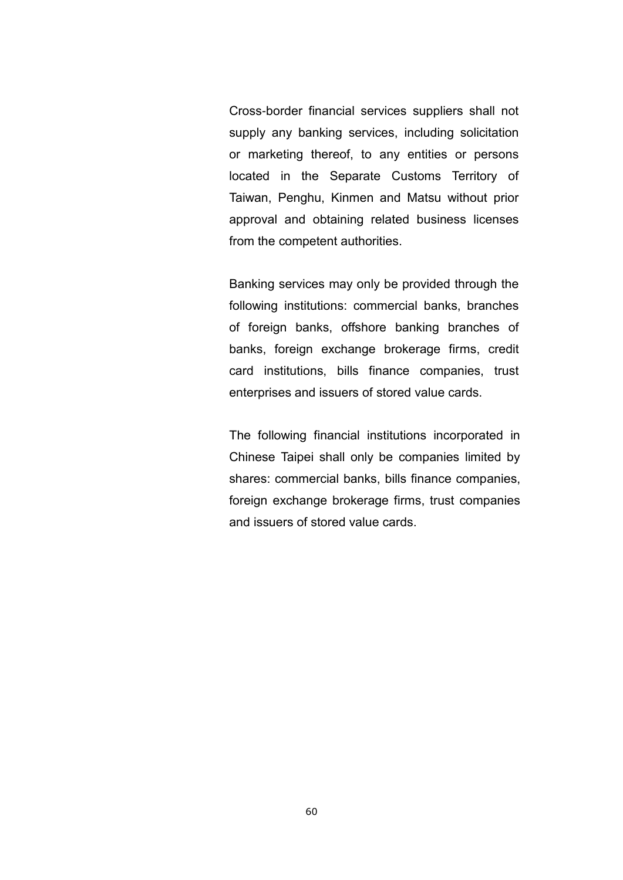Cross-border financial services suppliers shall not supply any banking services, including solicitation or marketing thereof, to any entities or persons located in the Separate Customs Territory of Taiwan, Penghu, Kinmen and Matsu without prior approval and obtaining related business licenses from the competent authorities.

Banking services may only be provided through the following institutions: commercial banks, branches of foreign banks, offshore banking branches of banks, foreign exchange brokerage firms, credit card institutions, bills finance companies, trust enterprises and issuers of stored value cards.

The following financial institutions incorporated in Chinese Taipei shall only be companies limited by shares: commercial banks, bills finance companies, foreign exchange brokerage firms, trust companies and issuers of stored value cards.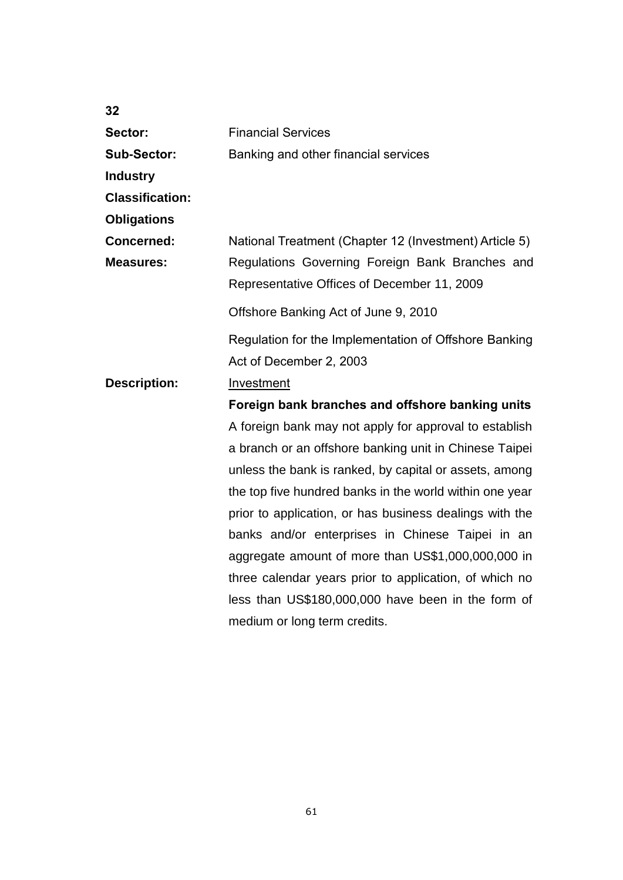| 32                     |                                                                                                |
|------------------------|------------------------------------------------------------------------------------------------|
| Sector:                | <b>Financial Services</b>                                                                      |
| <b>Sub-Sector:</b>     | Banking and other financial services                                                           |
| <b>Industry</b>        |                                                                                                |
| <b>Classification:</b> |                                                                                                |
| <b>Obligations</b>     |                                                                                                |
| <b>Concerned:</b>      | National Treatment (Chapter 12 (Investment) Article 5)                                         |
| <b>Measures:</b>       | Regulations Governing Foreign Bank Branches and<br>Representative Offices of December 11, 2009 |
|                        | Offshore Banking Act of June 9, 2010                                                           |
|                        | Regulation for the Implementation of Offshore Banking                                          |
|                        | Act of December 2, 2003                                                                        |
| <b>Description:</b>    | Investment                                                                                     |
|                        | Foreign bank branches and offshore banking units                                               |
|                        | A foreign bank may not apply for approval to establish                                         |
|                        | a branch or an offshore banking unit in Chinese Taipei                                         |
|                        | unless the bank is ranked, by capital or assets, among                                         |
|                        | the top five hundred banks in the world within one year                                        |
|                        | prior to application, or has business dealings with the                                        |
|                        | banks and/or enterprises in Chinese Taipei in an                                               |
|                        | aggregate amount of more than US\$1,000,000,000 in                                             |
|                        | three calendar years prior to application, of which no                                         |
|                        | less than US\$180,000,000 have been in the form of                                             |
|                        | medium or long term credits.                                                                   |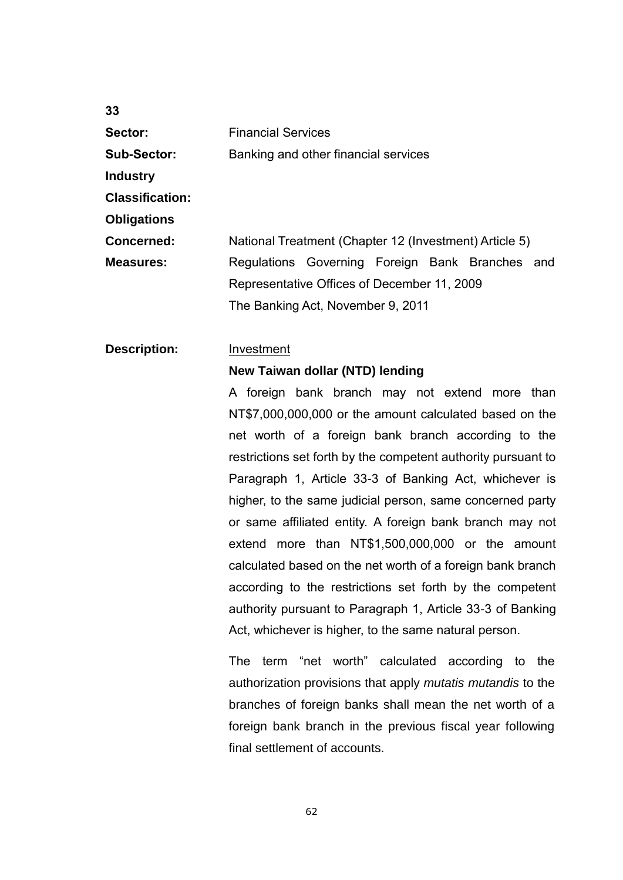| Sector:                | <b>Financial Services</b>                              |  |  |
|------------------------|--------------------------------------------------------|--|--|
| <b>Sub-Sector:</b>     | Banking and other financial services                   |  |  |
| <b>Industry</b>        |                                                        |  |  |
| <b>Classification:</b> |                                                        |  |  |
| <b>Obligations</b>     |                                                        |  |  |
| <b>Concerned:</b>      | National Treatment (Chapter 12 (Investment) Article 5) |  |  |
| Measures:              | Regulations Governing Foreign Bank Branches and        |  |  |
|                        | Representative Offices of December 11, 2009            |  |  |
|                        | The Banking Act, November 9, 2011                      |  |  |
|                        |                                                        |  |  |

## **Description:** Investment

#### **New Taiwan dollar (NTD) lending**

A foreign bank branch may not extend more than NT\$7,000,000,000 or the amount calculated based on the net worth of a foreign bank branch according to the restrictions set forth by the competent authority pursuant to Paragraph 1, Article 33-3 of Banking Act, whichever is higher, to the same judicial person, same concerned party or same affiliated entity. A foreign bank branch may not extend more than NT\$1,500,000,000 or the amount calculated based on the net worth of a foreign bank branch according to the restrictions set forth by the competent authority pursuant to Paragraph 1, Article 33-3 of Banking Act, whichever is higher, to the same natural person.

The term "net worth" calculated according to the authorization provisions that apply *mutatis mutandis* to the branches of foreign banks shall mean the net worth of a foreign bank branch in the previous fiscal year following final settlement of accounts.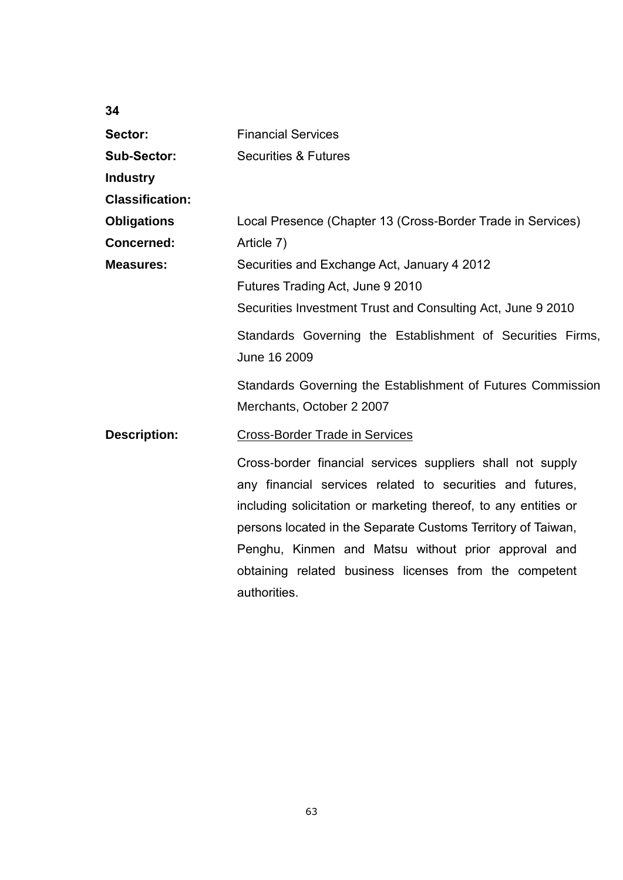| 34                     |                                                                 |  |
|------------------------|-----------------------------------------------------------------|--|
| Sector:                | <b>Financial Services</b>                                       |  |
| <b>Sub-Sector:</b>     | <b>Securities &amp; Futures</b>                                 |  |
| <b>Industry</b>        |                                                                 |  |
| <b>Classification:</b> |                                                                 |  |
| <b>Obligations</b>     | Local Presence (Chapter 13 (Cross-Border Trade in Services)     |  |
| <b>Concerned:</b>      | Article 7)                                                      |  |
| <b>Measures:</b>       | Securities and Exchange Act, January 4 2012                     |  |
|                        | Futures Trading Act, June 9 2010                                |  |
|                        | Securities Investment Trust and Consulting Act, June 9 2010     |  |
|                        | Standards Governing the Establishment of Securities Firms,      |  |
|                        | June 16 2009                                                    |  |
|                        | Standards Governing the Establishment of Futures Commission     |  |
|                        | Merchants, October 2 2007                                       |  |
| <b>Description:</b>    | <b>Cross-Border Trade in Services</b>                           |  |
|                        | Cross-border financial services suppliers shall not supply      |  |
|                        | any financial services related to securities and futures,       |  |
|                        | including solicitation or marketing thereof, to any entities or |  |
|                        | persons located in the Separate Customs Territory of Taiwan,    |  |
|                        | Penghu, Kinmen and Matsu without prior approval and             |  |
|                        | obtaining related business licenses from the competent          |  |
|                        | authorities.                                                    |  |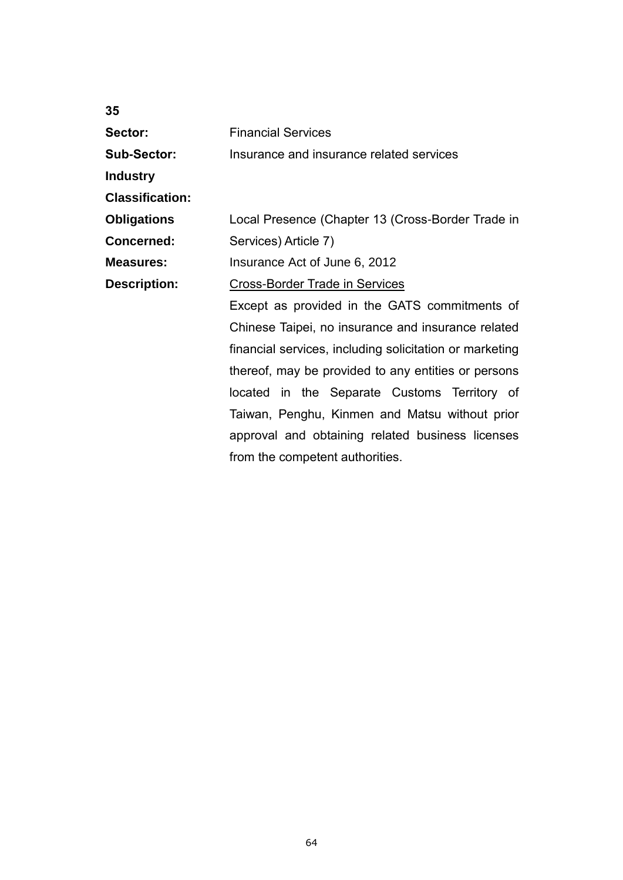| 35                     |                                                         |
|------------------------|---------------------------------------------------------|
| Sector:                | <b>Financial Services</b>                               |
| <b>Sub-Sector:</b>     | Insurance and insurance related services                |
| <b>Industry</b>        |                                                         |
| <b>Classification:</b> |                                                         |
| <b>Obligations</b>     | Local Presence (Chapter 13 (Cross-Border Trade in       |
| <b>Concerned:</b>      | Services) Article 7)                                    |
| <b>Measures:</b>       | Insurance Act of June 6, 2012                           |
| <b>Description:</b>    | Cross-Border Trade in Services                          |
|                        | Except as provided in the GATS commitments of           |
|                        | Chinese Taipei, no insurance and insurance related      |
|                        | financial services, including solicitation or marketing |
|                        | thereof, may be provided to any entities or persons     |
|                        | located in the Separate Customs Territory of            |
|                        | Taiwan, Penghu, Kinmen and Matsu without prior          |
|                        | approval and obtaining related business licenses        |
|                        | from the competent authorities.                         |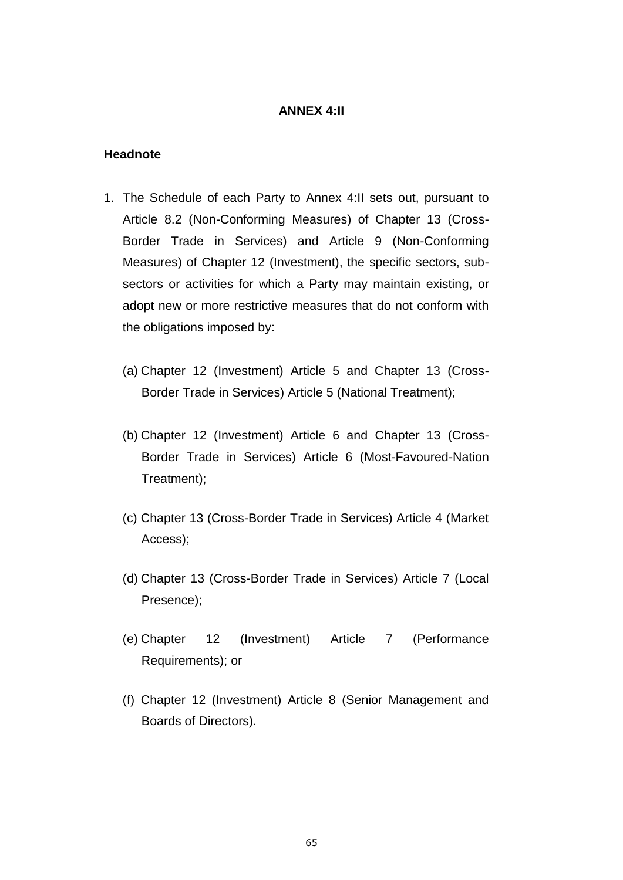## **ANNEX 4:II**

#### **Headnote**

- 1. The Schedule of each Party to Annex 4:II sets out, pursuant to Article 8.2 (Non-Conforming Measures) of Chapter 13 (Cross-Border Trade in Services) and Article 9 (Non-Conforming Measures) of Chapter 12 (Investment), the specific sectors, subsectors or activities for which a Party may maintain existing, or adopt new or more restrictive measures that do not conform with the obligations imposed by:
	- (a) Chapter 12 (Investment) Article 5 and Chapter 13 (Cross-Border Trade in Services) Article 5 (National Treatment);
	- (b) Chapter 12 (Investment) Article 6 and Chapter 13 (Cross-Border Trade in Services) Article 6 (Most-Favoured-Nation Treatment);
	- (c) Chapter 13 (Cross-Border Trade in Services) Article 4 (Market Access);
	- (d) Chapter 13 (Cross-Border Trade in Services) Article 7 (Local Presence);
	- (e) Chapter 12 (Investment) Article 7 (Performance Requirements); or
	- (f) Chapter 12 (Investment) Article 8 (Senior Management and Boards of Directors).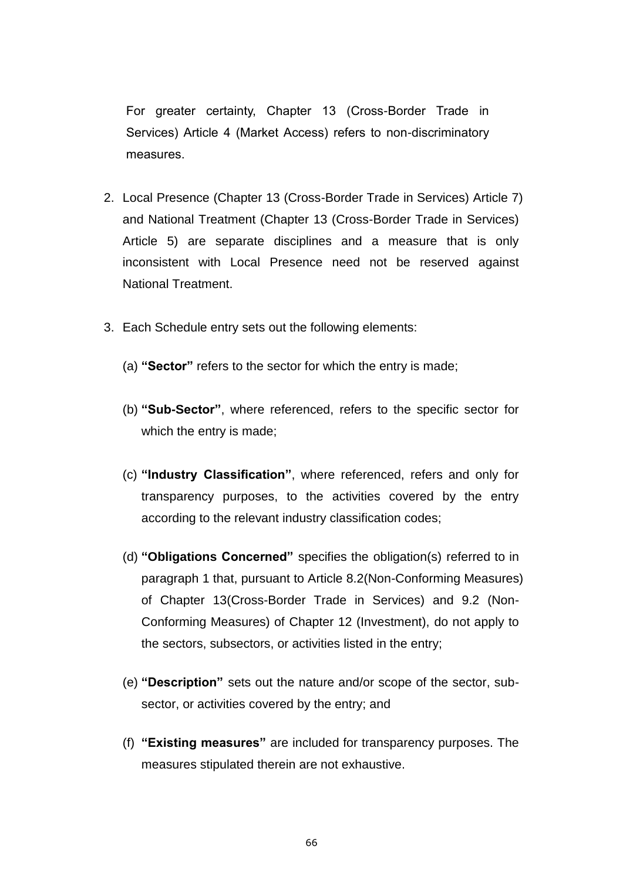For greater certainty, Chapter 13 (Cross-Border Trade in Services) Article 4 (Market Access) refers to non-discriminatory measures.

- 2. Local Presence (Chapter 13 (Cross-Border Trade in Services) Article 7) and National Treatment (Chapter 13 (Cross-Border Trade in Services) Article 5) are separate disciplines and a measure that is only inconsistent with Local Presence need not be reserved against National Treatment.
- 3. Each Schedule entry sets out the following elements:
	- (a) **"Sector"** refers to the sector for which the entry is made;
	- (b) **"Sub-Sector"**, where referenced, refers to the specific sector for which the entry is made;
	- (c) **"Industry Classification"**, where referenced, refers and only for transparency purposes, to the activities covered by the entry according to the relevant industry classification codes;
	- (d) **"Obligations Concerned"** specifies the obligation(s) referred to in paragraph 1 that, pursuant to Article 8.2(Non-Conforming Measures) of Chapter 13(Cross-Border Trade in Services) and 9.2 (Non-Conforming Measures) of Chapter 12 (Investment), do not apply to the sectors, subsectors, or activities listed in the entry;
	- (e) **"Description"** sets out the nature and/or scope of the sector, subsector, or activities covered by the entry; and
	- (f) **"Existing measures"** are included for transparency purposes. The measures stipulated therein are not exhaustive.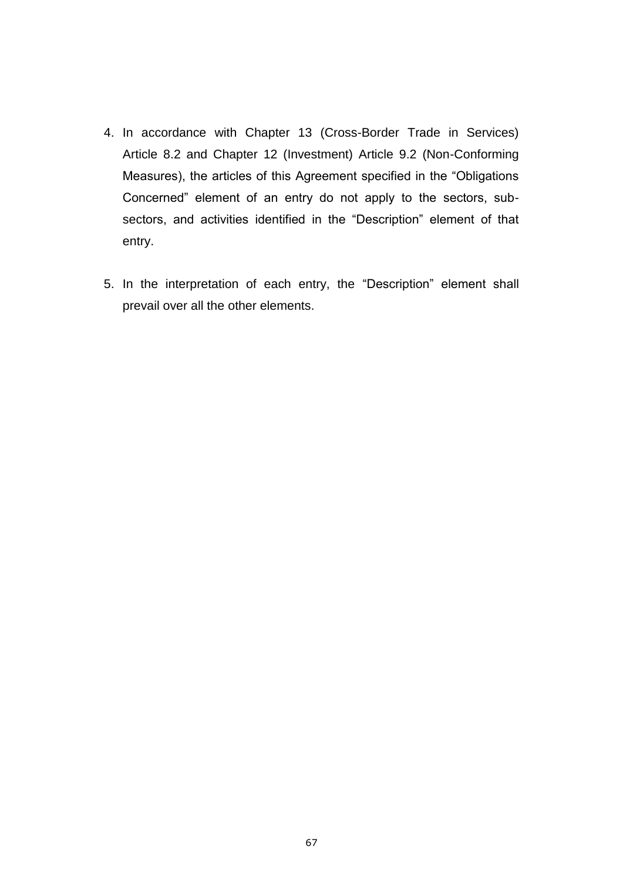- 4. In accordance with Chapter 13 (Cross-Border Trade in Services) Article 8.2 and Chapter 12 (Investment) Article 9.2 (Non-Conforming Measures), the articles of this Agreement specified in the "Obligations Concerned" element of an entry do not apply to the sectors, subsectors, and activities identified in the "Description" element of that entry.
- 5. In the interpretation of each entry, the "Description" element shall prevail over all the other elements.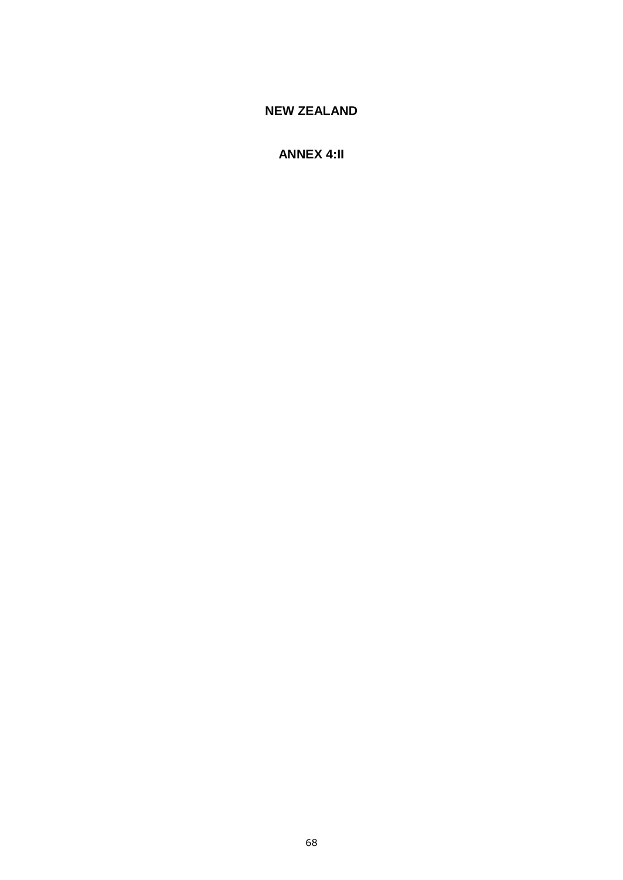# **NEW ZEALAND**

## **ANNEX 4:II**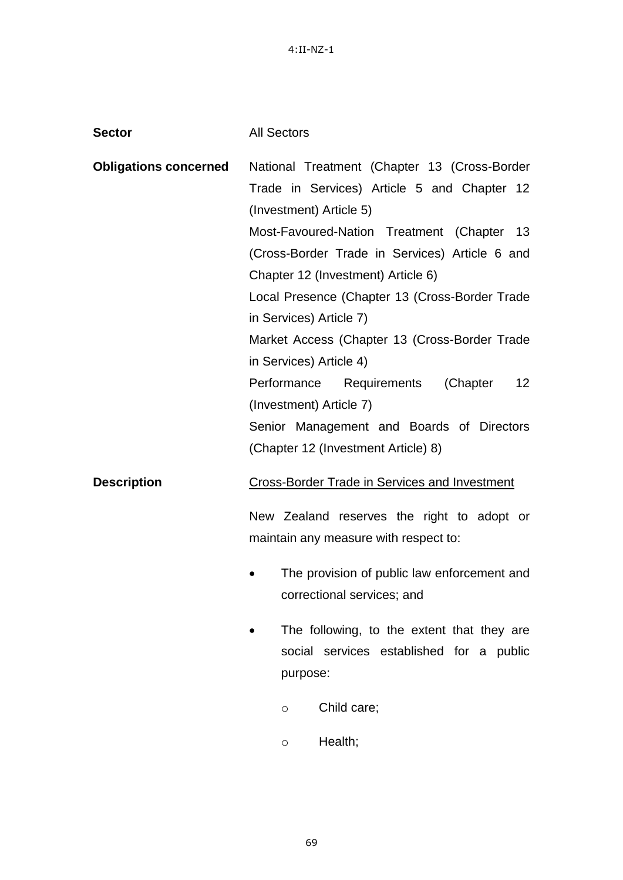4:II-NZ-1

| <b>Sector</b>                | <b>All Sectors</b>                                                                                                     |
|------------------------------|------------------------------------------------------------------------------------------------------------------------|
| <b>Obligations concerned</b> | National Treatment (Chapter 13 (Cross-Border<br>Trade in Services) Article 5 and Chapter 12<br>(Investment) Article 5) |
|                              | Most-Favoured-Nation Treatment (Chapter 13<br>(Cross-Border Trade in Services) Article 6 and                           |
|                              | Chapter 12 (Investment) Article 6)                                                                                     |
|                              | Local Presence (Chapter 13 (Cross-Border Trade<br>in Services) Article 7)                                              |
|                              | Market Access (Chapter 13 (Cross-Border Trade<br>in Services) Article 4)                                               |
|                              | Performance<br>Requirements<br>(Chapter<br>12 <sup>2</sup>                                                             |
|                              | (Investment) Article 7)                                                                                                |
|                              | Senior Management and Boards of Directors                                                                              |
|                              | (Chapter 12 (Investment Article) 8)                                                                                    |
| <b>Description</b>           | <b>Cross-Border Trade in Services and Investment</b>                                                                   |
|                              | New Zealand reserves the right to adopt or<br>maintain any measure with respect to:                                    |
|                              | The provision of public law enforcement and<br>correctional services; and                                              |
|                              | The following, to the extent that they are<br>social services established for a public<br>purpose:                     |
|                              | Child care;<br>O                                                                                                       |
|                              | Health;<br>O                                                                                                           |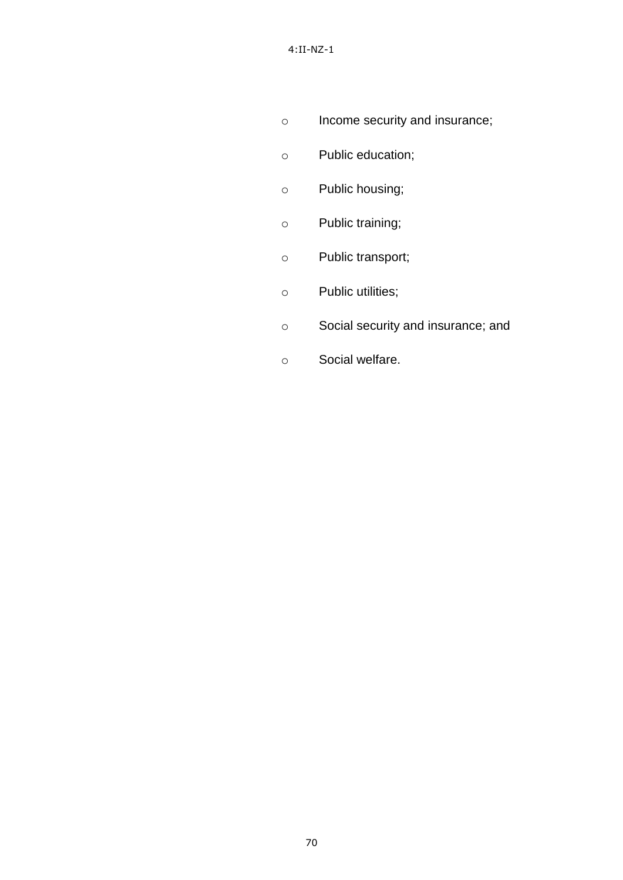- o Income security and insurance;
- o Public education;
- o Public housing;
- o Public training;
- o Public transport;
- o Public utilities;
- o Social security and insurance; and
- o Social welfare.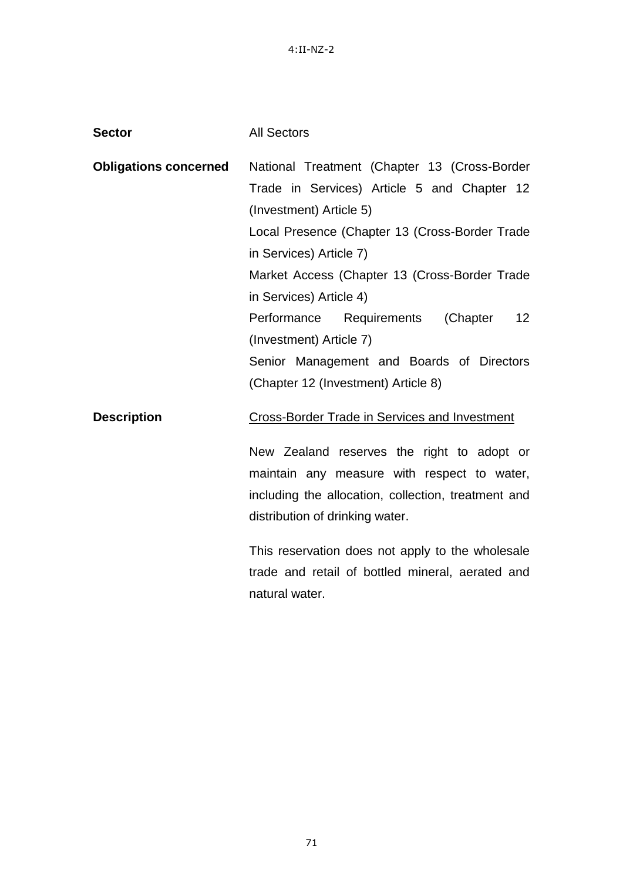4:II-NZ-2

| <b>Sector</b>                | <b>All Sectors</b>                                                                                                                                                                  |
|------------------------------|-------------------------------------------------------------------------------------------------------------------------------------------------------------------------------------|
| <b>Obligations concerned</b> | National Treatment (Chapter 13 (Cross-Border<br>Trade in Services) Article 5 and Chapter 12<br>(Investment) Article 5)                                                              |
|                              | Local Presence (Chapter 13 (Cross-Border Trade<br>in Services) Article 7)                                                                                                           |
|                              | Market Access (Chapter 13 (Cross-Border Trade<br>in Services) Article 4)                                                                                                            |
|                              | Performance Requirements<br>(Chapter<br>12 <sup>2</sup><br>(Investment) Article 7)                                                                                                  |
|                              | Senior Management and Boards of Directors<br>(Chapter 12 (Investment) Article 8)                                                                                                    |
| <b>Description</b>           | Cross-Border Trade in Services and Investment                                                                                                                                       |
|                              | New Zealand reserves the right to adopt or<br>maintain any measure with respect to water,<br>including the allocation, collection, treatment and<br>distribution of drinking water. |
|                              | This reservation does not apply to the wholesale<br>trade and retail of bottled mineral, aerated and<br>natural water.                                                              |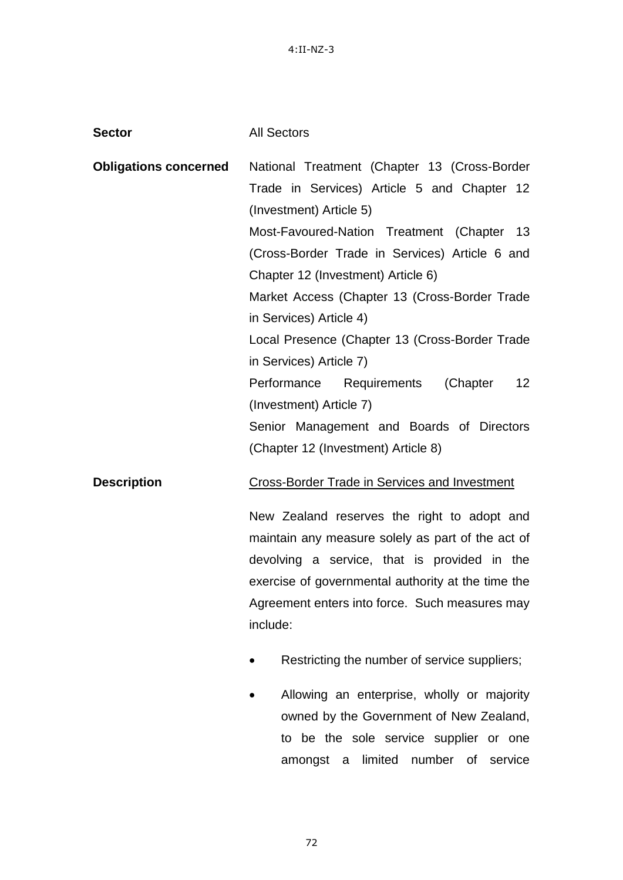4:II-NZ-3

| <b>Sector</b>                | <b>All Sectors</b>                                                                                                                                                                                                                                                   |
|------------------------------|----------------------------------------------------------------------------------------------------------------------------------------------------------------------------------------------------------------------------------------------------------------------|
| <b>Obligations concerned</b> | National Treatment (Chapter 13 (Cross-Border<br>Trade in Services) Article 5 and Chapter 12<br>(Investment) Article 5)                                                                                                                                               |
|                              | Most-Favoured-Nation Treatment (Chapter<br>- 13<br>(Cross-Border Trade in Services) Article 6 and<br>Chapter 12 (Investment) Article 6)<br>Market Access (Chapter 13 (Cross-Border Trade                                                                             |
|                              | in Services) Article 4)<br>Local Presence (Chapter 13 (Cross-Border Trade<br>in Services) Article 7)                                                                                                                                                                 |
|                              | (Chapter<br>12 <sup>2</sup><br>Performance<br>Requirements<br>(Investment) Article 7)<br>Senior Management and Boards of Directors<br>(Chapter 12 (Investment) Article 8)                                                                                            |
| <b>Description</b>           | <b>Cross-Border Trade in Services and Investment</b>                                                                                                                                                                                                                 |
|                              | New Zealand reserves the right to adopt and<br>maintain any measure solely as part of the act of<br>devolving a service, that is provided in the<br>exercise of governmental authority at the time the<br>Agreement enters into force. Such measures may<br>include: |
|                              | Restricting the number of service suppliers;                                                                                                                                                                                                                         |
|                              |                                                                                                                                                                                                                                                                      |

• Allowing an enterprise, wholly or majority owned by the Government of New Zealand, to be the sole service supplier or one amongst a limited number of service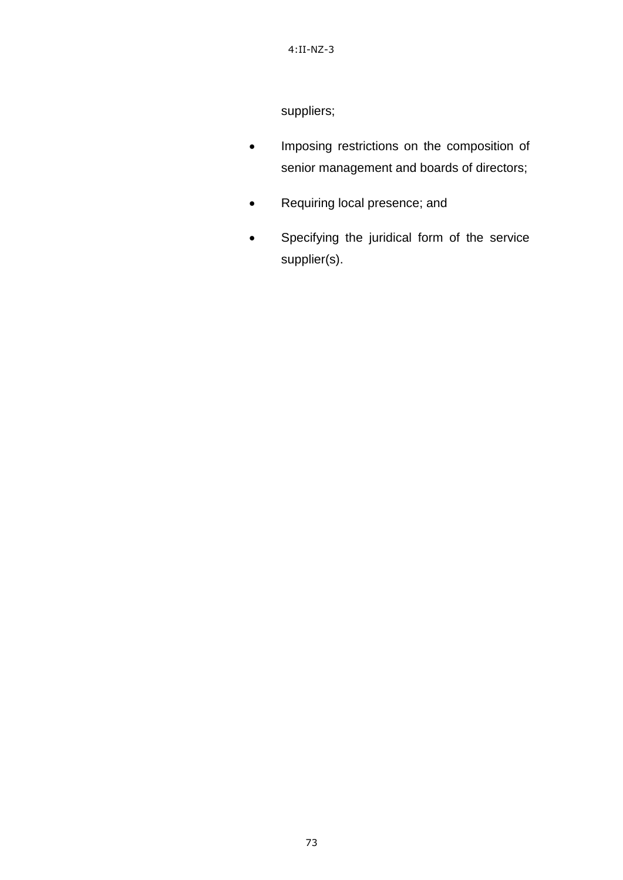suppliers;

- **•** Imposing restrictions on the composition of senior management and boards of directors;
- Requiring local presence; and
- Specifying the juridical form of the service supplier(s).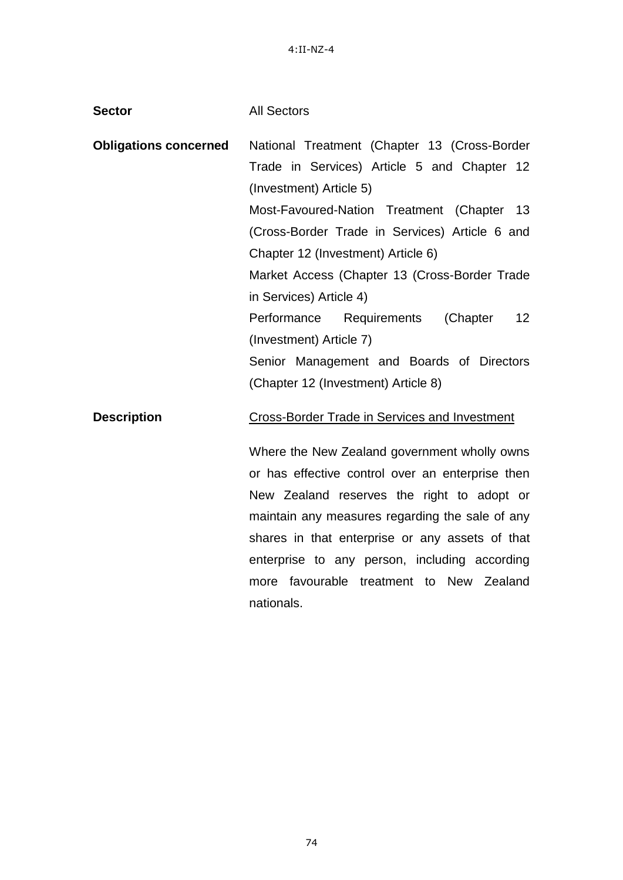**Sector** All Sectors

| <b>Obligations concerned</b> | National Treatment (Chapter 13 (Cross-Border     |
|------------------------------|--------------------------------------------------|
|                              | Trade in Services) Article 5 and Chapter 12      |
|                              | (Investment) Article 5)                          |
|                              | Most-Favoured-Nation Treatment (Chapter 13       |
|                              | (Cross-Border Trade in Services) Article 6 and   |
|                              | Chapter 12 (Investment) Article 6)               |
|                              | Market Access (Chapter 13 (Cross-Border Trade    |
|                              | in Services) Article 4)                          |
|                              | Performance Requirements<br>(Chapter<br>12       |
|                              | (Investment) Article 7)                          |
|                              | Senior Management and Boards of Directors        |
|                              | (Chapter 12 (Investment) Article 8)              |
| <b>Description</b>           | Cross-Border Trade in Services and Investment    |
|                              | Where the New Zealand government wholly owns     |
|                              | or has effective control over an enterprise then |
|                              | New Zealand reserves the right to adopt or       |
|                              | maintain any measures regarding the sale of any  |
|                              | shares in that enterprise or any assets of that  |
|                              | enterprise to any person, including according    |
|                              | favourable treatment to New Zealand<br>more      |
|                              | nationals.                                       |
|                              |                                                  |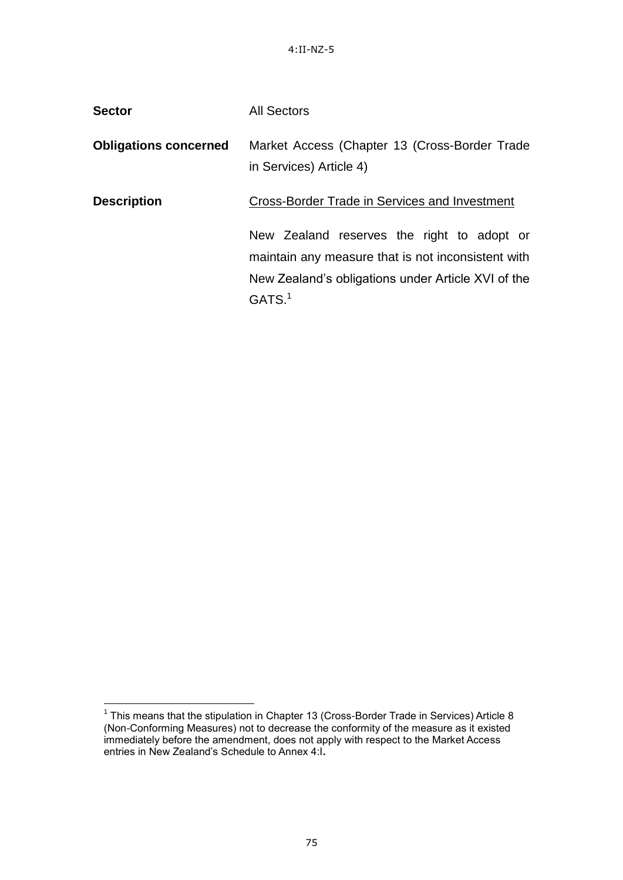**Sector All Sectors** 

|                              | טושטשש ווי                                                                                                                                                                   |
|------------------------------|------------------------------------------------------------------------------------------------------------------------------------------------------------------------------|
| <b>Obligations concerned</b> | Market Access (Chapter 13 (Cross-Border Trade<br>in Services) Article 4)                                                                                                     |
| <b>Description</b>           | Cross-Border Trade in Services and Investment                                                                                                                                |
|                              | New Zealand reserves the right to adopt or<br>maintain any measure that is not inconsistent with<br>New Zealand's obligations under Article XVI of the<br>GATS. <sup>1</sup> |

 1 This means that the stipulation in Chapter 13 (Cross-Border Trade in Services) Article 8 (Non-Conforming Measures) not to decrease the conformity of the measure as it existed immediately before the amendment, does not apply with respect to the Market Access entries in New Zealand"s Schedule to Annex 4:I**.**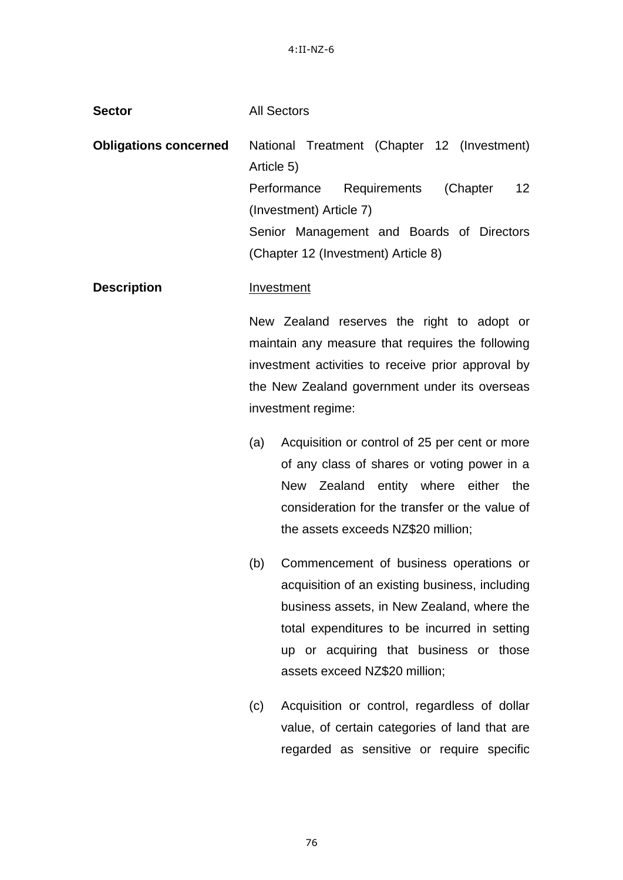**Obligations concerned** National Treatment (Chapter 12 (Investment)

Article 5)

**Sector** All Sectors

|                    |     | Requirements<br>12 <sub>2</sub><br>Performance<br>(Chapter |
|--------------------|-----|------------------------------------------------------------|
|                    |     | (Investment) Article 7)                                    |
|                    |     | Senior Management and Boards of Directors                  |
|                    |     | (Chapter 12 (Investment) Article 8)                        |
| <b>Description</b> |     | Investment                                                 |
|                    |     | New Zealand reserves the right to adopt or                 |
|                    |     | maintain any measure that requires the following           |
|                    |     | investment activities to receive prior approval by         |
|                    |     | the New Zealand government under its overseas              |
|                    |     | investment regime:                                         |
|                    | (a) | Acquisition or control of 25 per cent or more              |
|                    |     | of any class of shares or voting power in a                |
|                    |     | New Zealand entity where either the                        |
|                    |     | consideration for the transfer or the value of             |
|                    |     | the assets exceeds NZ\$20 million;                         |
|                    | (b) | Commencement of business operations or                     |
|                    |     | acquisition of an existing business, including             |
|                    |     | business assets, in New Zealand, where the                 |
|                    |     | total expenditures to be incurred in setting               |
|                    |     | up or acquiring that business or those                     |
|                    |     | assets exceed NZ\$20 million;                              |
|                    | (c) | Acquisition or control, regardless of dollar               |
|                    |     | value, of certain categories of land that are              |
|                    |     | regarded as sensitive or require specific                  |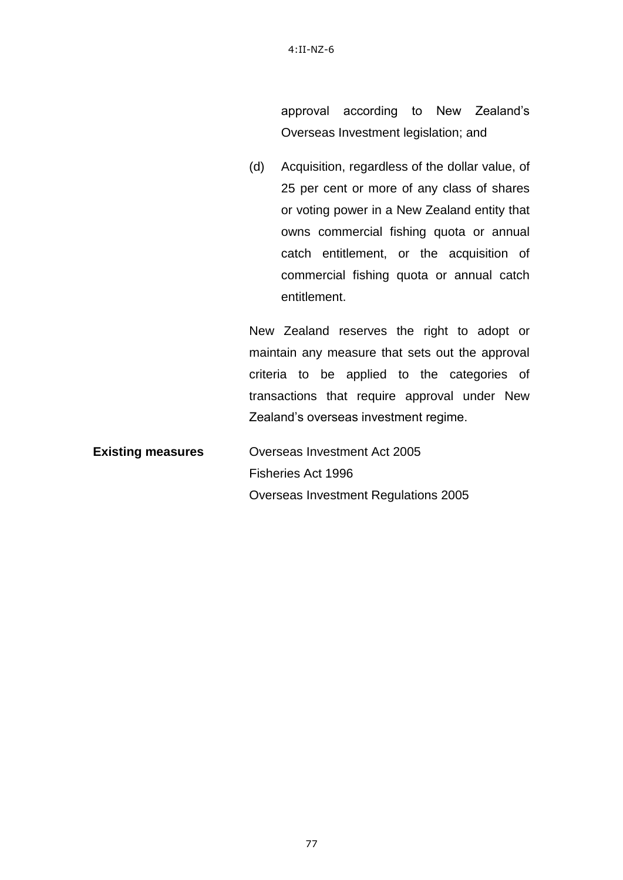approval according to New Zealand"s Overseas Investment legislation; and

(d) Acquisition, regardless of the dollar value, of 25 per cent or more of any class of shares or voting power in a New Zealand entity that owns commercial fishing quota or annual catch entitlement, or the acquisition of commercial fishing quota or annual catch entitlement.

New Zealand reserves the right to adopt or maintain any measure that sets out the approval criteria to be applied to the categories of transactions that require approval under New Zealand"s overseas investment regime.

**Existing measures Overseas Investment Act 2005** Fisheries Act 1996 Overseas Investment Regulations 2005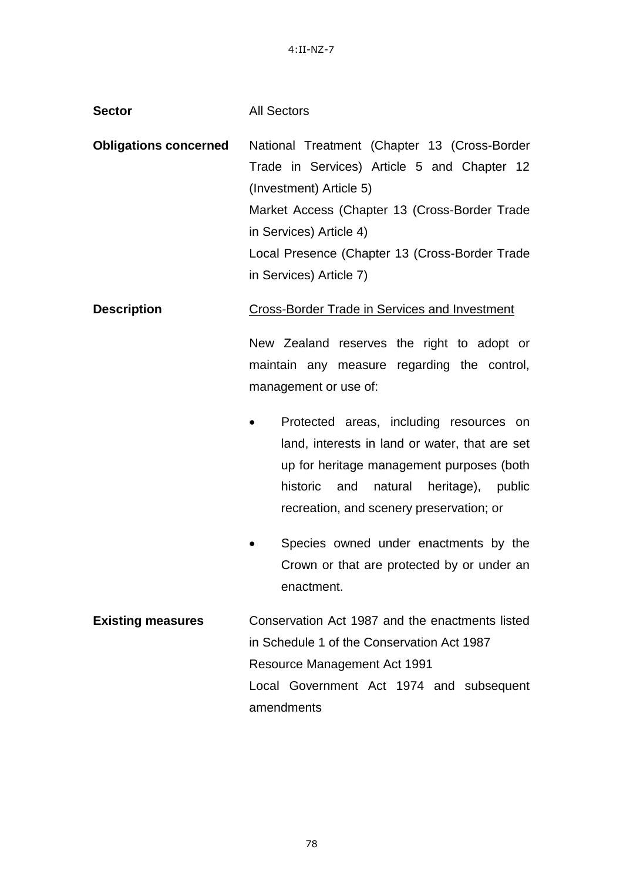4:II-NZ-7

## **Sector All Sectors**

**Obligations concerned** National Treatment (Chapter 13 (Cross-Border Trade in Services) Article 5 and Chapter 12 (Investment) Article 5) Market Access (Chapter 13 (Cross-Border Trade in Services) Article 4) Local Presence (Chapter 13 (Cross-Border Trade in Services) Article 7)

**Description Cross-Border Trade in Services and Investment** 

New Zealand reserves the right to adopt or maintain any measure regarding the control, management or use of:

- Protected areas, including resources on land, interests in land or water, that are set up for heritage management purposes (both historic and natural heritage), public recreation, and scenery preservation; or
- Species owned under enactments by the Crown or that are protected by or under an enactment.
- **Existing measures Conservation Act 1987 and the enactments listed** in Schedule 1 of the Conservation Act 1987 Resource Management Act 1991 Local Government Act 1974 and subsequent amendments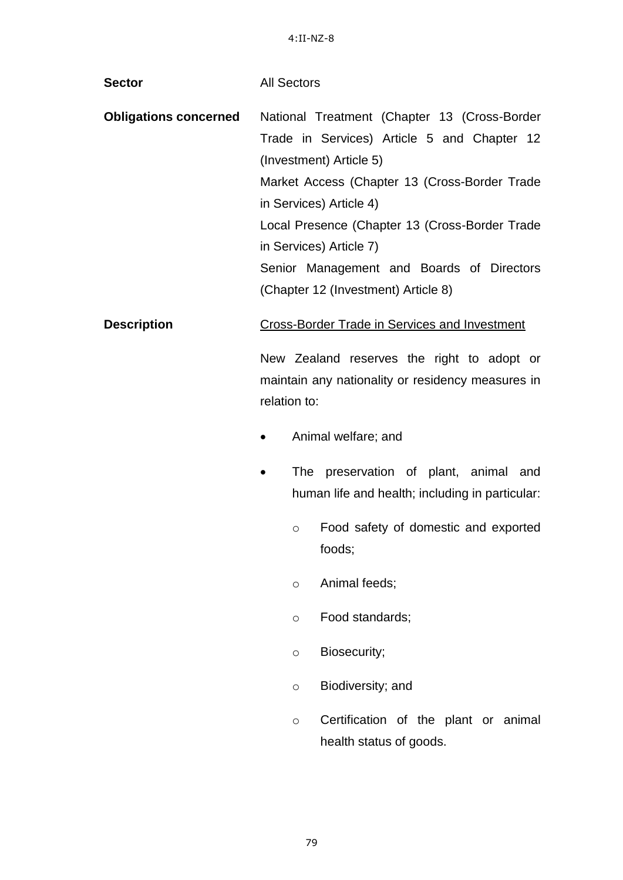| <b>Sector</b>                | <b>All Sectors</b> |         |                                                                                                                                                                                                                                                                                                                                                                     |
|------------------------------|--------------------|---------|---------------------------------------------------------------------------------------------------------------------------------------------------------------------------------------------------------------------------------------------------------------------------------------------------------------------------------------------------------------------|
| <b>Obligations concerned</b> |                    |         | National Treatment (Chapter 13 (Cross-Border<br>Trade in Services) Article 5 and Chapter 12<br>(Investment) Article 5)<br>Market Access (Chapter 13 (Cross-Border Trade<br>in Services) Article 4)<br>Local Presence (Chapter 13 (Cross-Border Trade<br>in Services) Article 7)<br>Senior Management and Boards of Directors<br>(Chapter 12 (Investment) Article 8) |
| <b>Description</b>           |                    |         | <b>Cross-Border Trade in Services and Investment</b>                                                                                                                                                                                                                                                                                                                |
|                              | relation to:       |         | New Zealand reserves the right to adopt or<br>maintain any nationality or residency measures in                                                                                                                                                                                                                                                                     |
|                              |                    |         | Animal welfare; and                                                                                                                                                                                                                                                                                                                                                 |
|                              |                    |         | The preservation of plant, animal and<br>human life and health; including in particular:                                                                                                                                                                                                                                                                            |
|                              |                    | $\circ$ | Food safety of domestic and exported<br>foods;                                                                                                                                                                                                                                                                                                                      |
|                              |                    | $\circ$ | Animal feeds;                                                                                                                                                                                                                                                                                                                                                       |
|                              |                    | $\circ$ | Food standards;                                                                                                                                                                                                                                                                                                                                                     |
|                              |                    | $\circ$ | Biosecurity;                                                                                                                                                                                                                                                                                                                                                        |
|                              |                    | $\circ$ | Biodiversity; and                                                                                                                                                                                                                                                                                                                                                   |
|                              |                    | $\circ$ | Certification of the plant or animal<br>health status of goods.                                                                                                                                                                                                                                                                                                     |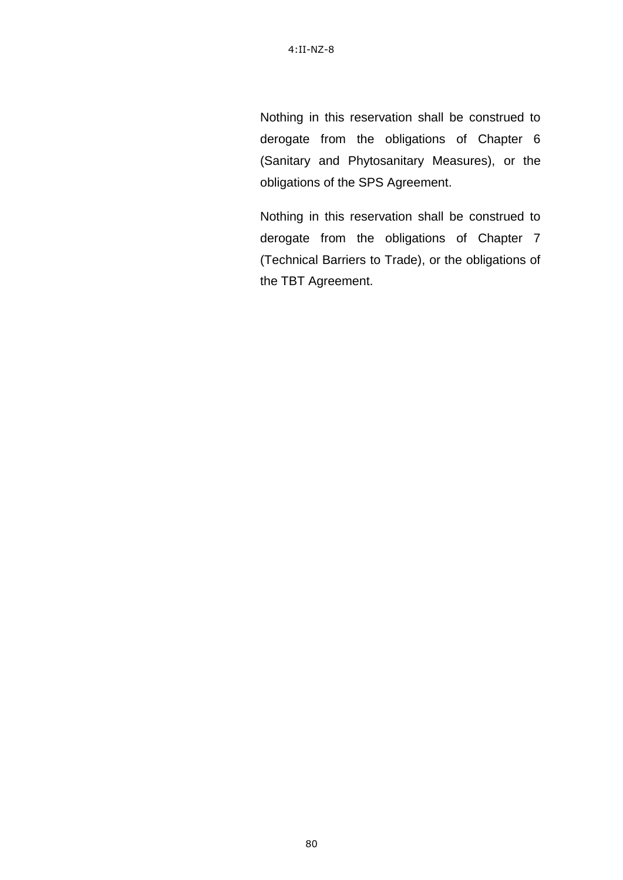Nothing in this reservation shall be construed to derogate from the obligations of Chapter 6 (Sanitary and Phytosanitary Measures), or the obligations of the SPS Agreement.

Nothing in this reservation shall be construed to derogate from the obligations of Chapter 7 (Technical Barriers to Trade), or the obligations of the TBT Agreement.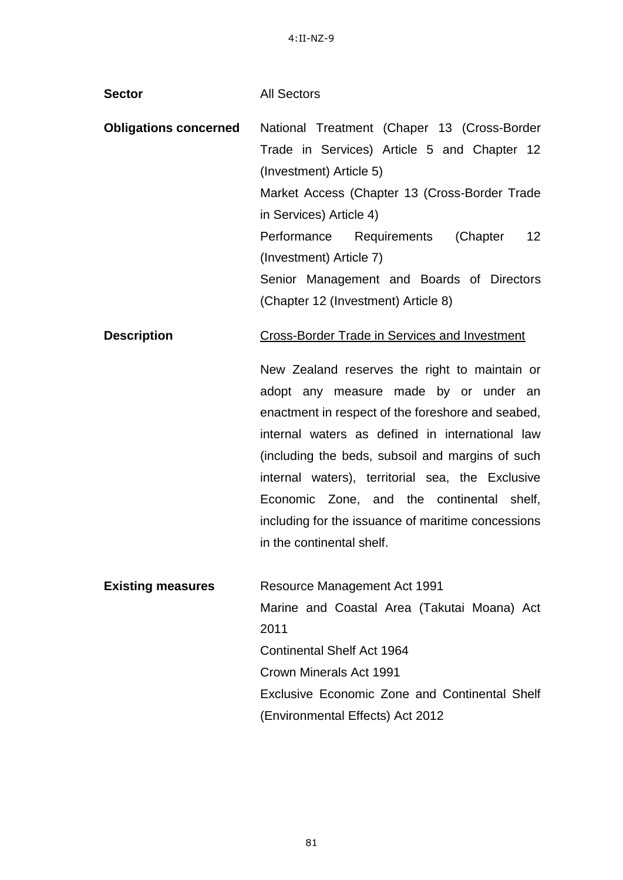| <b>Sector</b>                | <b>All Sectors</b>                                                                                                                                                                                                                                                                                                                                                                                                                                                                             |
|------------------------------|------------------------------------------------------------------------------------------------------------------------------------------------------------------------------------------------------------------------------------------------------------------------------------------------------------------------------------------------------------------------------------------------------------------------------------------------------------------------------------------------|
| <b>Obligations concerned</b> | National Treatment (Chaper 13 (Cross-Border<br>Trade in Services) Article 5 and Chapter 12<br>(Investment) Article 5)<br>Market Access (Chapter 13 (Cross-Border Trade<br>in Services) Article 4)<br>12<br>Performance Requirements (Chapter<br>(Investment) Article 7)<br>Senior Management and Boards of Directors<br>(Chapter 12 (Investment) Article 8)                                                                                                                                    |
| <b>Description</b>           | <b>Cross-Border Trade in Services and Investment</b><br>New Zealand reserves the right to maintain or<br>adopt any measure made by or under an<br>enactment in respect of the foreshore and seabed,<br>internal waters as defined in international law<br>(including the beds, subsoil and margins of such<br>internal waters), territorial sea, the Exclusive<br>Economic Zone, and the continental shelf,<br>including for the issuance of maritime concessions<br>in the continental shelf. |
| <b>Existing measures</b>     | <b>Resource Management Act 1991</b><br>Marine and Coastal Area (Takutai Moana) Act<br>2011<br><b>Continental Shelf Act 1964</b><br>Crown Minerals Act 1991<br>Exclusive Economic Zone and Continental Shelf<br>(Environmental Effects) Act 2012                                                                                                                                                                                                                                                |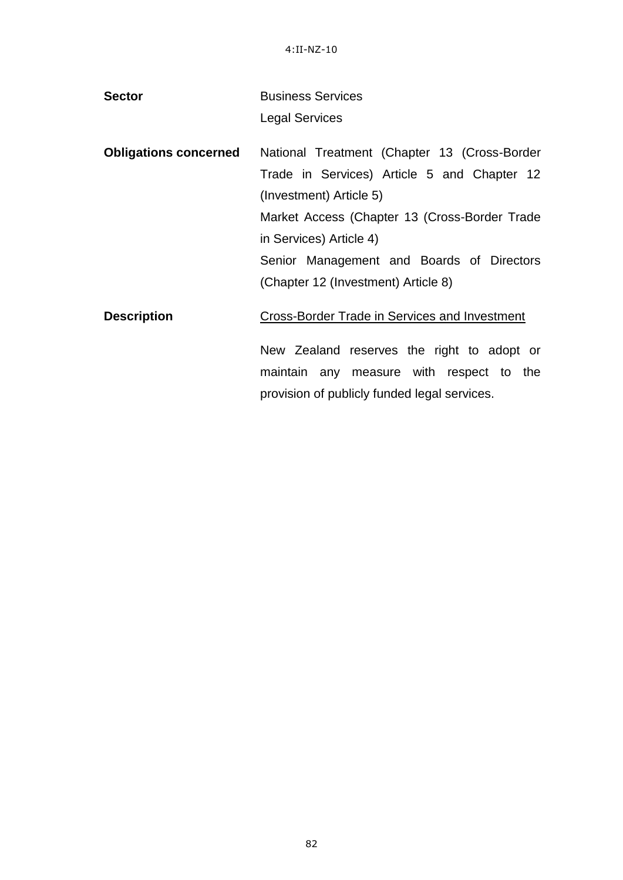| <b>Sector</b>                | <b>Business Services</b>                      |
|------------------------------|-----------------------------------------------|
|                              | <b>Legal Services</b>                         |
| <b>Obligations concerned</b> | National Treatment (Chapter 13 (Cross-Border  |
|                              | Trade in Services) Article 5 and Chapter 12   |
|                              | (Investment) Article 5)                       |
|                              | Market Access (Chapter 13 (Cross-Border Trade |
|                              | in Services) Article 4)                       |
|                              | Senior Management and Boards of Directors     |
|                              | (Chapter 12 (Investment) Article 8)           |
| <b>Description</b>           | Cross-Border Trade in Services and Investment |
|                              | New Zealand reserves the right to adopt or    |
|                              | maintain any measure with respect to the      |

provision of publicly funded legal services.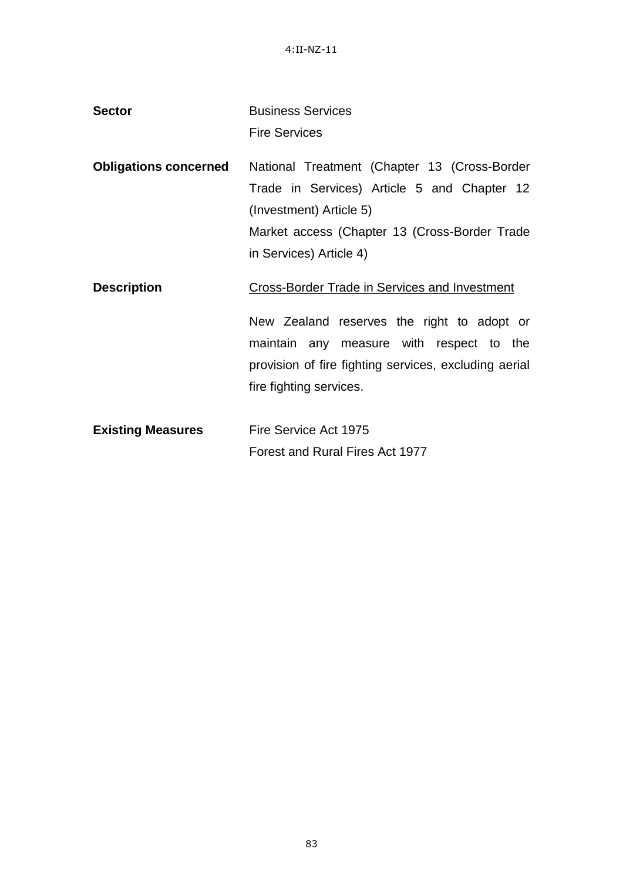| <b>Sector</b>                | <b>Business Services</b><br><b>Fire Services</b>                                                                                                                                                                                   |
|------------------------------|------------------------------------------------------------------------------------------------------------------------------------------------------------------------------------------------------------------------------------|
| <b>Obligations concerned</b> | National Treatment (Chapter 13 (Cross-Border<br>Trade in Services) Article 5 and Chapter 12<br>(Investment) Article 5)<br>Market access (Chapter 13 (Cross-Border Trade<br>in Services) Article 4)                                 |
| <b>Description</b>           | <b>Cross-Border Trade in Services and Investment</b><br>New Zealand reserves the right to adopt or<br>maintain any measure with respect to the<br>provision of fire fighting services, excluding aerial<br>fire fighting services. |
| <b>Existing Measures</b>     | Fire Service Act 1975<br>Forest and Rural Fires Act 1977                                                                                                                                                                           |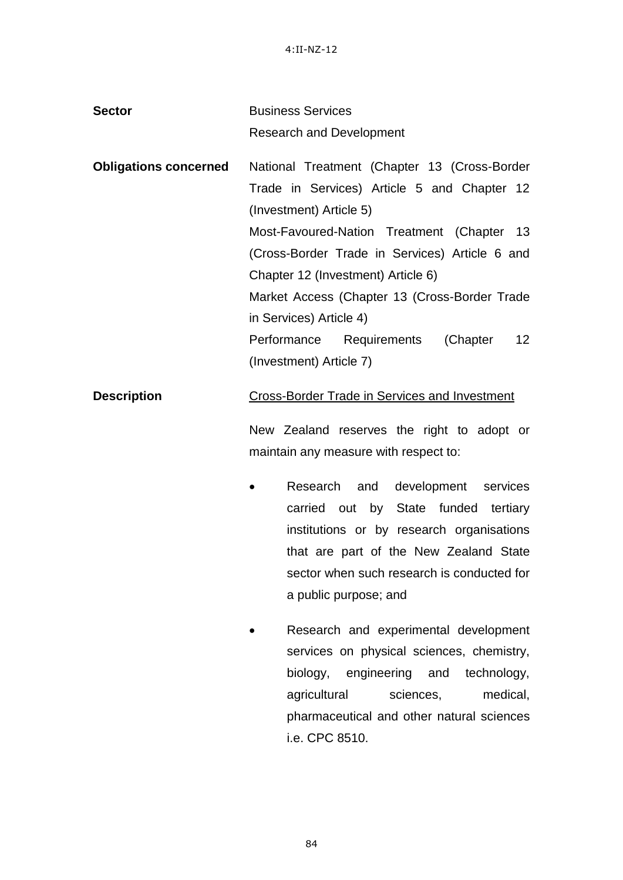| <b>Sector</b>                | <b>Business Services</b>                                |
|------------------------------|---------------------------------------------------------|
|                              | <b>Research and Development</b>                         |
| <b>Obligations concerned</b> | National Treatment (Chapter 13 (Cross-Border            |
|                              | Trade in Services) Article 5 and Chapter 12             |
|                              | (Investment) Article 5)                                 |
|                              | Most-Favoured-Nation Treatment (Chapter 13              |
|                              | (Cross-Border Trade in Services) Article 6 and          |
|                              | Chapter 12 (Investment) Article 6)                      |
|                              | Market Access (Chapter 13 (Cross-Border Trade           |
|                              | in Services) Article 4)                                 |
|                              | 12 <sub>2</sub><br>Performance Requirements<br>(Chapter |
|                              | (Investment) Article 7)                                 |
|                              |                                                         |

# **Description** Cross-Border Trade in Services and Investment

New Zealand reserves the right to adopt or maintain any measure with respect to:

- Research and development services carried out by State funded tertiary institutions or by research organisations that are part of the New Zealand State sector when such research is conducted for a public purpose; and
- Research and experimental development services on physical sciences, chemistry, biology, engineering and technology, agricultural sciences, medical, pharmaceutical and other natural sciences i.e. CPC 8510.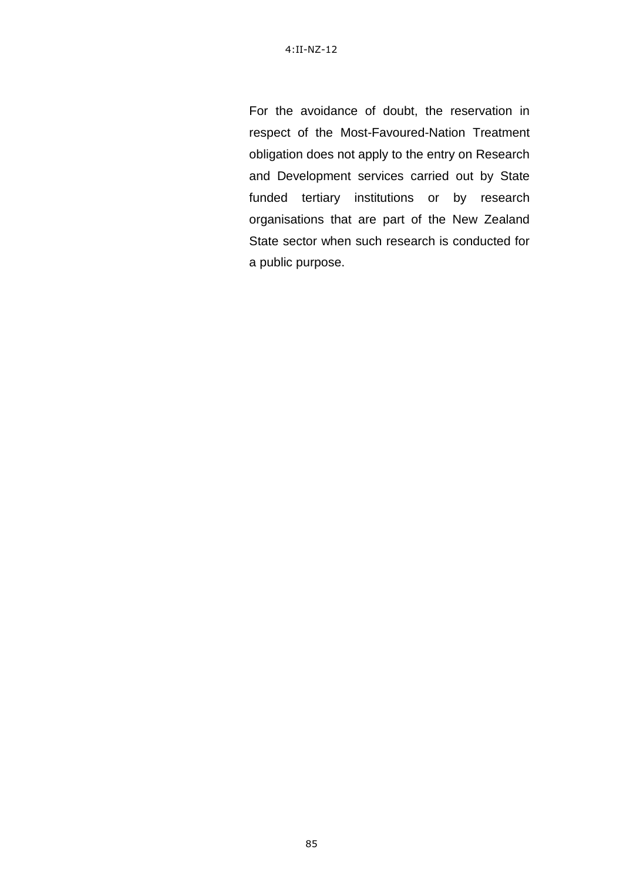For the avoidance of doubt, the reservation in respect of the Most-Favoured-Nation Treatment obligation does not apply to the entry on Research and Development services carried out by State funded tertiary institutions or by research organisations that are part of the New Zealand State sector when such research is conducted for a public purpose.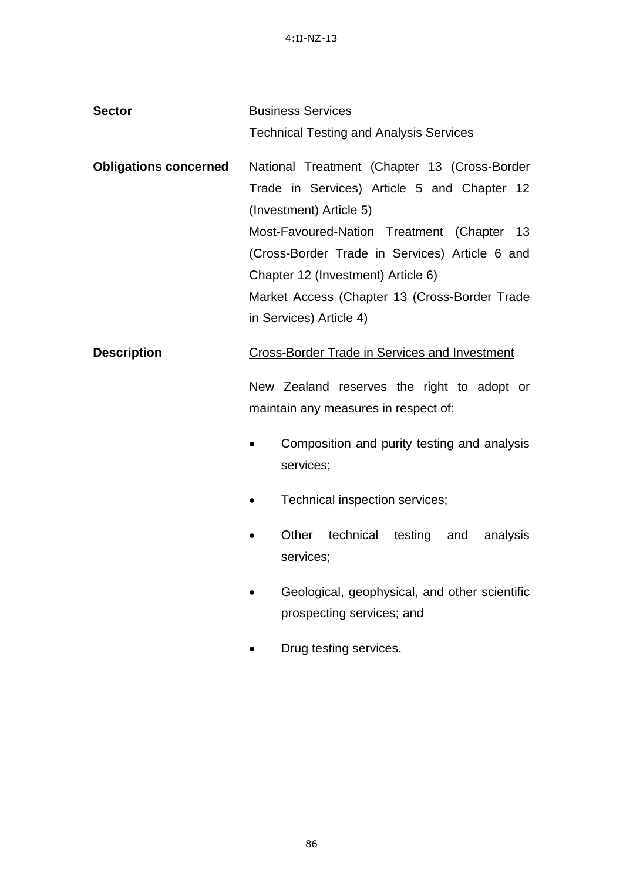| <b>Sector</b>                | <b>Business Services</b>                                                                                                                                                                                                                                                                                                                    |
|------------------------------|---------------------------------------------------------------------------------------------------------------------------------------------------------------------------------------------------------------------------------------------------------------------------------------------------------------------------------------------|
|                              | <b>Technical Testing and Analysis Services</b>                                                                                                                                                                                                                                                                                              |
| <b>Obligations concerned</b> | National Treatment (Chapter 13 (Cross-Border<br>Trade in Services) Article 5 and Chapter 12<br>(Investment) Article 5)<br>Most-Favoured-Nation Treatment (Chapter<br>13<br>(Cross-Border Trade in Services) Article 6 and<br>Chapter 12 (Investment) Article 6)<br>Market Access (Chapter 13 (Cross-Border Trade<br>in Services) Article 4) |
| <b>Description</b>           | <b>Cross-Border Trade in Services and Investment</b><br>New Zealand reserves the right to adopt or<br>maintain any measures in respect of:<br>Composition and purity testing and analysis<br>services;                                                                                                                                      |
|                              | Technical inspection services;                                                                                                                                                                                                                                                                                                              |
|                              | Other<br>technical testing and<br>analysis<br>services;                                                                                                                                                                                                                                                                                     |
|                              | Geological, geophysical, and other scientific<br>prospecting services; and                                                                                                                                                                                                                                                                  |

• Drug testing services.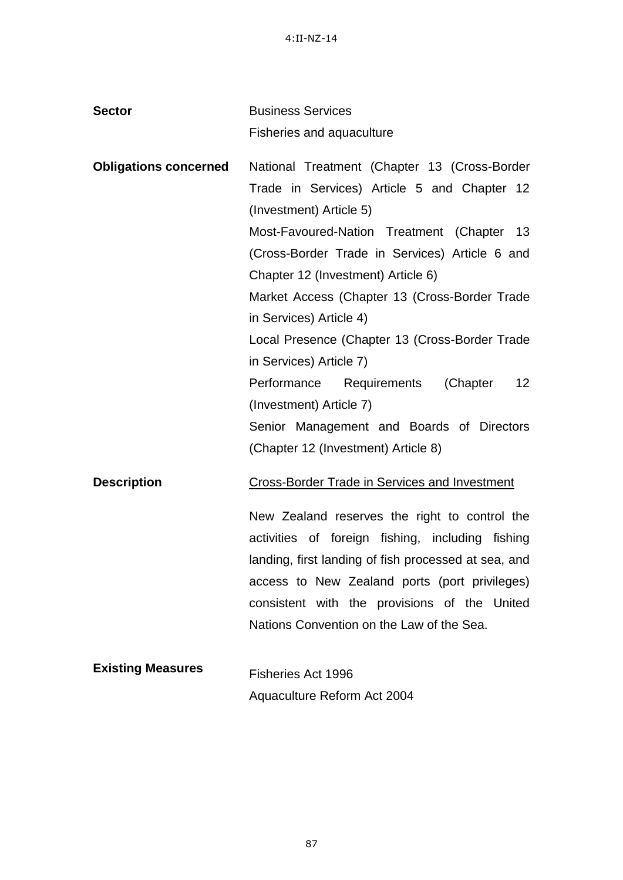| <b>Sector</b>                | <b>Business Services</b>                                                                                                                                                                                                                                                                                |
|------------------------------|---------------------------------------------------------------------------------------------------------------------------------------------------------------------------------------------------------------------------------------------------------------------------------------------------------|
|                              | <b>Fisheries and aquaculture</b>                                                                                                                                                                                                                                                                        |
| <b>Obligations concerned</b> | National Treatment (Chapter 13 (Cross-Border<br>Trade in Services) Article 5 and Chapter 12<br>(Investment) Article 5)                                                                                                                                                                                  |
|                              | Most-Favoured-Nation Treatment (Chapter 13<br>(Cross-Border Trade in Services) Article 6 and<br>Chapter 12 (Investment) Article 6)                                                                                                                                                                      |
|                              | Market Access (Chapter 13 (Cross-Border Trade<br>in Services) Article 4)                                                                                                                                                                                                                                |
|                              | Local Presence (Chapter 13 (Cross-Border Trade<br>in Services) Article 7)                                                                                                                                                                                                                               |
|                              | Performance Requirements (Chapter<br>12 <sup>2</sup><br>(Investment) Article 7)                                                                                                                                                                                                                         |
|                              | Senior Management and Boards of Directors<br>(Chapter 12 (Investment) Article 8)                                                                                                                                                                                                                        |
| <b>Description</b>           | <b>Cross-Border Trade in Services and Investment</b>                                                                                                                                                                                                                                                    |
|                              | New Zealand reserves the right to control the<br>activities of foreign fishing, including fishing<br>landing, first landing of fish processed at sea, and<br>access to New Zealand ports (port privileges)<br>consistent with the provisions of the United<br>Nations Convention on the Law of the Sea. |
| <b>Existing Measures</b>     | Fisheries Act 1996<br>Aquaculture Reform Act 2004                                                                                                                                                                                                                                                       |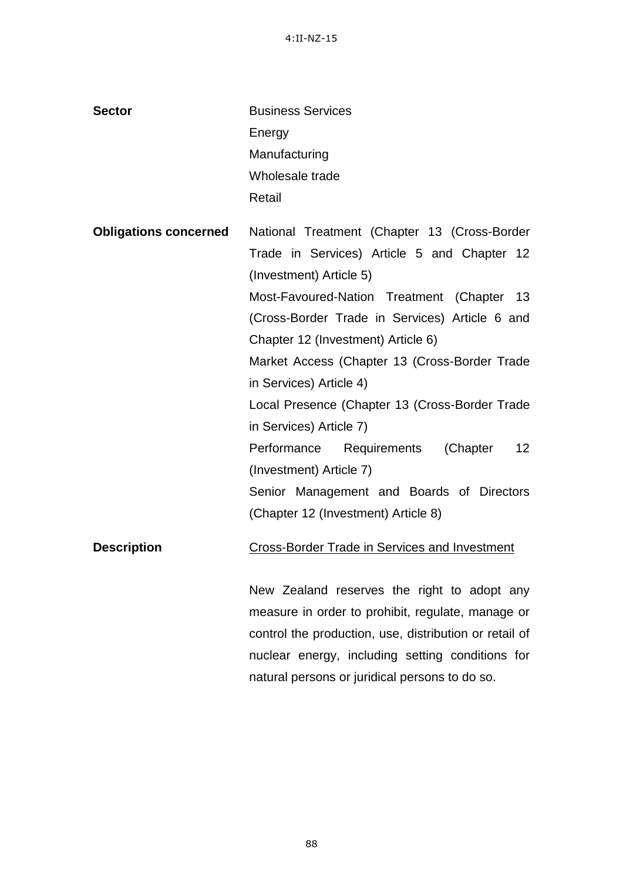| <b>Sector</b>                | <b>Business Services</b>                                   |
|------------------------------|------------------------------------------------------------|
|                              | Energy                                                     |
|                              | Manufacturing                                              |
|                              | Wholesale trade                                            |
|                              | Retail                                                     |
| <b>Obligations concerned</b> | National Treatment (Chapter 13 (Cross-Border               |
|                              | Trade in Services) Article 5 and Chapter 12                |
|                              | (Investment) Article 5)                                    |
|                              | Most-Favoured-Nation Treatment (Chapter 13                 |
|                              | (Cross-Border Trade in Services) Article 6 and             |
|                              | Chapter 12 (Investment) Article 6)                         |
|                              | Market Access (Chapter 13 (Cross-Border Trade              |
|                              | in Services) Article 4)                                    |
|                              | Local Presence (Chapter 13 (Cross-Border Trade             |
|                              | in Services) Article 7)                                    |
|                              | (Chapter<br>Performance<br>Requirements<br>12 <sup>°</sup> |
|                              | (Investment) Article 7)                                    |
|                              | Senior Management and Boards of Directors                  |
|                              | (Chapter 12 (Investment) Article 8)                        |
| <b>Description</b>           | <b>Cross-Border Trade in Services and Investment</b>       |
|                              | New Zealand reserves the right to adopt any                |
|                              | measure in order to prohibit, regulate, manage or          |
|                              | control the production, use, distribution or retail of     |
|                              | nuclear energy, including setting conditions for           |
|                              | natural persons or juridical persons to do so.             |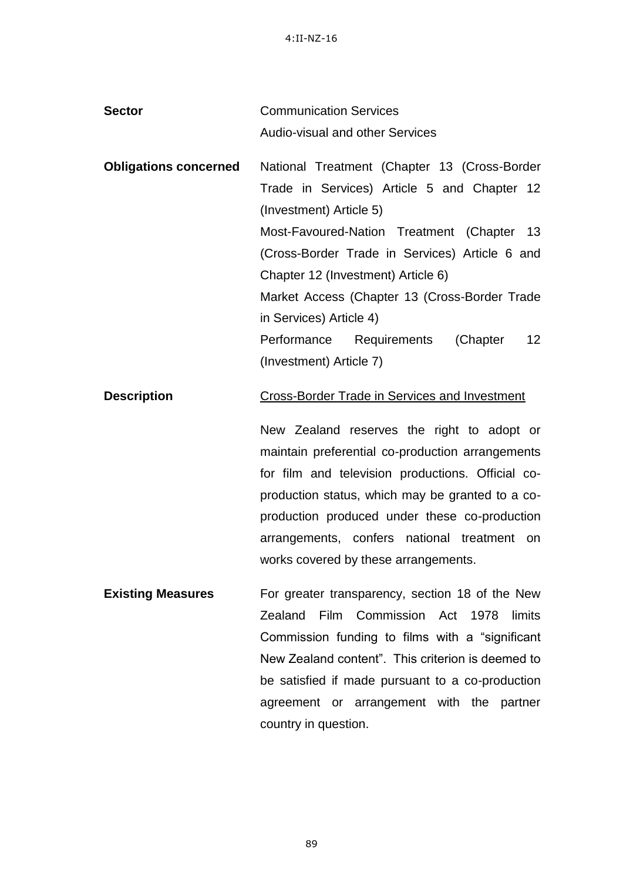| <b>Sector</b>                | <b>Communication Services</b>                                                                                                                       |
|------------------------------|-----------------------------------------------------------------------------------------------------------------------------------------------------|
|                              | <b>Audio-visual and other Services</b>                                                                                                              |
| <b>Obligations concerned</b> | National Treatment (Chapter 13 (Cross-Border                                                                                                        |
|                              | Trade in Services) Article 5 and Chapter 12                                                                                                         |
|                              | (Investment) Article 5)                                                                                                                             |
|                              | Most-Favoured-Nation Treatment (Chapter 13                                                                                                          |
|                              | (Cross-Border Trade in Services) Article 6 and                                                                                                      |
|                              | Chapter 12 (Investment) Article 6)                                                                                                                  |
|                              | Market Access (Chapter 13 (Cross-Border Trade                                                                                                       |
|                              | in Services) Article 4)                                                                                                                             |
|                              | (Chapter<br>12 <sup>2</sup><br>Performance Requirements                                                                                             |
|                              | (Investment) Article 7)                                                                                                                             |
| <b>Description</b>           | <b>Cross-Border Trade in Services and Investment</b>                                                                                                |
|                              | New Zealand reserves the right to adopt or<br>maintain preferential co-production arrangements<br>for film and television productions. Official co- |

production status, which may be granted to a coproduction produced under these co-production arrangements, confers national treatment on works covered by these arrangements.

**Existing Measures** For greater transparency, section 18 of the New Zealand Film Commission Act 1978 limits Commission funding to films with a "significant New Zealand content". This criterion is deemed to be satisfied if made pursuant to a co-production agreement or arrangement with the partner country in question.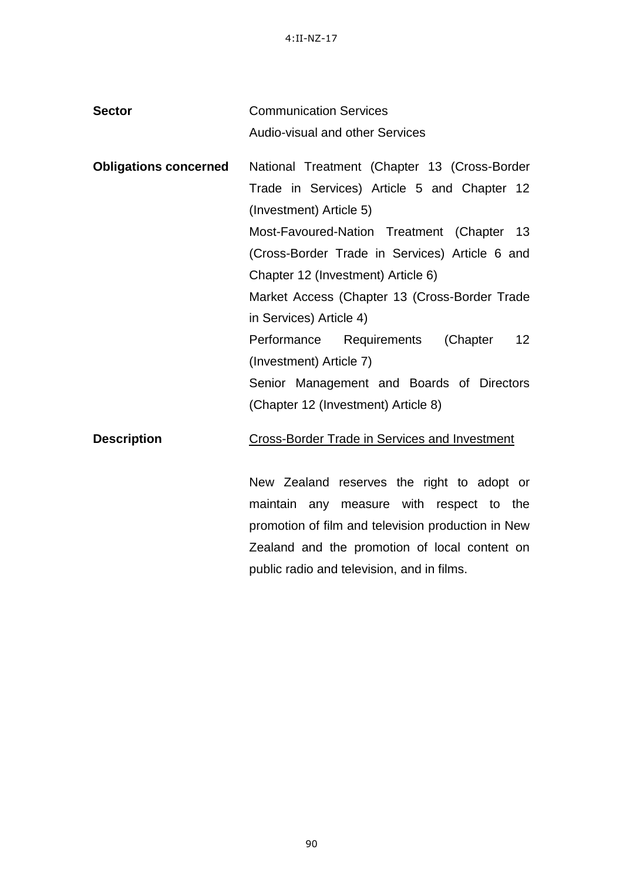| <b>Sector</b>                | <b>Communication Services</b>                           |
|------------------------------|---------------------------------------------------------|
|                              | <b>Audio-visual and other Services</b>                  |
| <b>Obligations concerned</b> | National Treatment (Chapter 13 (Cross-Border            |
|                              | Trade in Services) Article 5 and Chapter 12             |
|                              | (Investment) Article 5)                                 |
|                              | Most-Favoured-Nation Treatment (Chapter 13              |
|                              | (Cross-Border Trade in Services) Article 6 and          |
|                              | Chapter 12 (Investment) Article 6)                      |
|                              | Market Access (Chapter 13 (Cross-Border Trade           |
|                              | in Services) Article 4)                                 |
|                              | 12 <sup>2</sup><br>Performance Requirements<br>(Chapter |
|                              | (Investment) Article 7)                                 |
|                              | Senior Management and Boards of Directors               |
|                              | (Chapter 12 (Investment) Article 8)                     |
| <b>Description</b>           | <b>Cross-Border Trade in Services and Investment</b>    |

New Zealand reserves the right to adopt or maintain any measure with respect to the promotion of film and television production in New Zealand and the promotion of local content on public radio and television, and in films.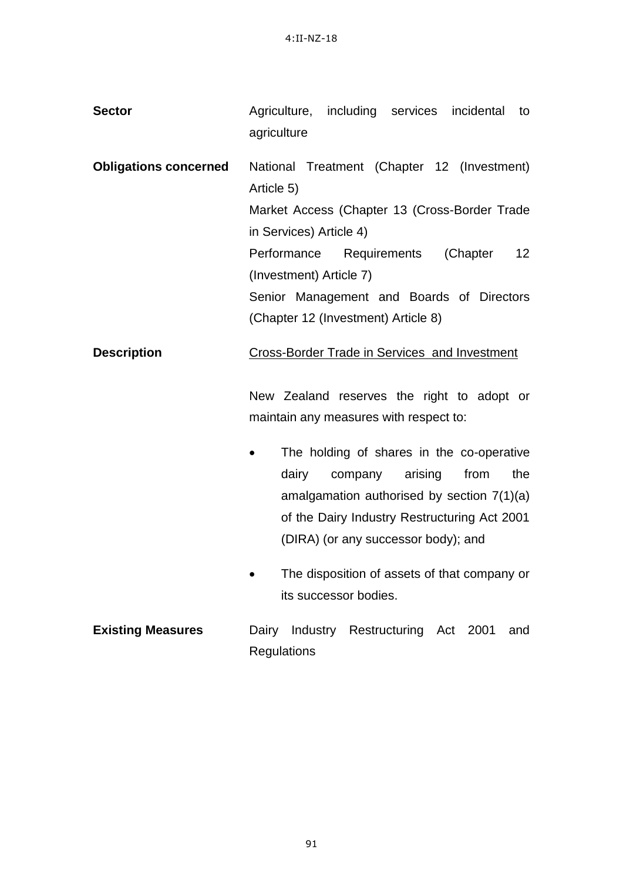| <b>Sector</b>                | Agriculture, including services incidental<br>to<br>agriculture                                                                                                                                                                |
|------------------------------|--------------------------------------------------------------------------------------------------------------------------------------------------------------------------------------------------------------------------------|
| <b>Obligations concerned</b> | National Treatment (Chapter 12 (Investment)<br>Article 5)<br>Market Access (Chapter 13 (Cross-Border Trade<br>in Services) Article 4)<br>Performance Requirements<br>(Chapter<br>12 <sup>2</sup>                               |
|                              | (Investment) Article 7)<br>Senior Management and Boards of Directors<br>(Chapter 12 (Investment) Article 8)                                                                                                                    |
| <b>Description</b>           | <b>Cross-Border Trade in Services and Investment</b><br>New Zealand reserves the right to adopt or<br>maintain any measures with respect to:                                                                                   |
|                              | The holding of shares in the co-operative<br>dairy<br>company<br>arising<br>from<br>the<br>amalgamation authorised by section $7(1)(a)$<br>of the Dairy Industry Restructuring Act 2001<br>(DIRA) (or any successor body); and |
|                              | The disposition of assets of that company or<br>its successor bodies.                                                                                                                                                          |
| <b>Existing Measures</b>     | Dairy Industry Restructuring Act 2001<br>and<br>Regulations                                                                                                                                                                    |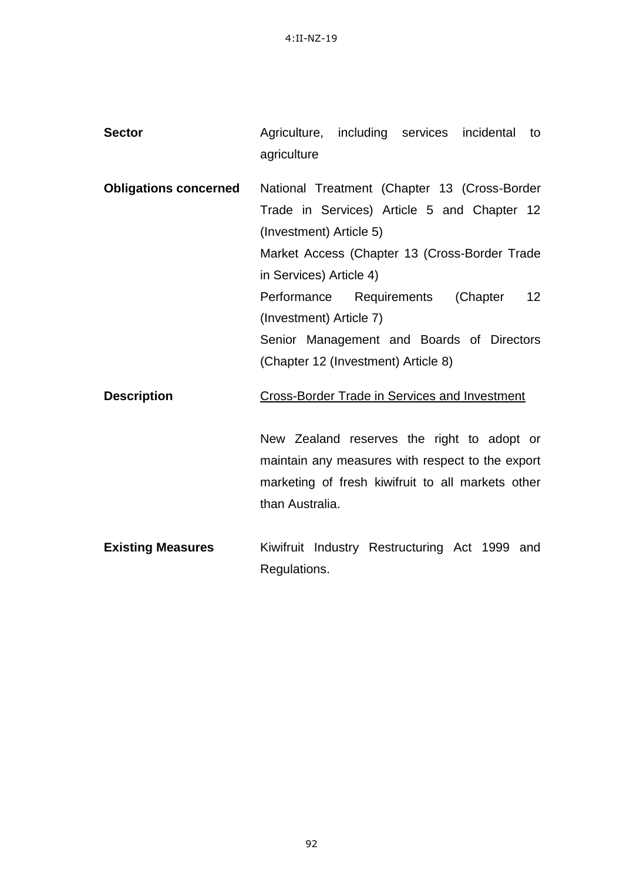| <b>Sector</b>                | Agriculture, including services<br>incidental<br>to<br>agriculture |
|------------------------------|--------------------------------------------------------------------|
| <b>Obligations concerned</b> | National Treatment (Chapter 13 (Cross-Border                       |
|                              | Trade in Services) Article 5 and Chapter 12                        |
|                              | (Investment) Article 5)                                            |
|                              | Market Access (Chapter 13 (Cross-Border Trade                      |
|                              | in Services) Article 4)                                            |
|                              | Performance Requirements (Chapter<br>12 <sup>°</sup>               |
|                              | (Investment) Article 7)                                            |
|                              | Senior Management and Boards of Directors                          |
|                              | (Chapter 12 (Investment) Article 8)                                |
| <b>Description</b>           | <b>Cross-Border Trade in Services and Investment</b>               |
|                              | New Zealand reserves the right to adopt or                         |
|                              | maintain any measures with respect to the export                   |
|                              | marketing of fresh kiwifruit to all markets other                  |
|                              | than Australia.                                                    |
| <b>Existing Measures</b>     | Kiwifruit Industry Restructuring Act 1999 and                      |
|                              | Regulations.                                                       |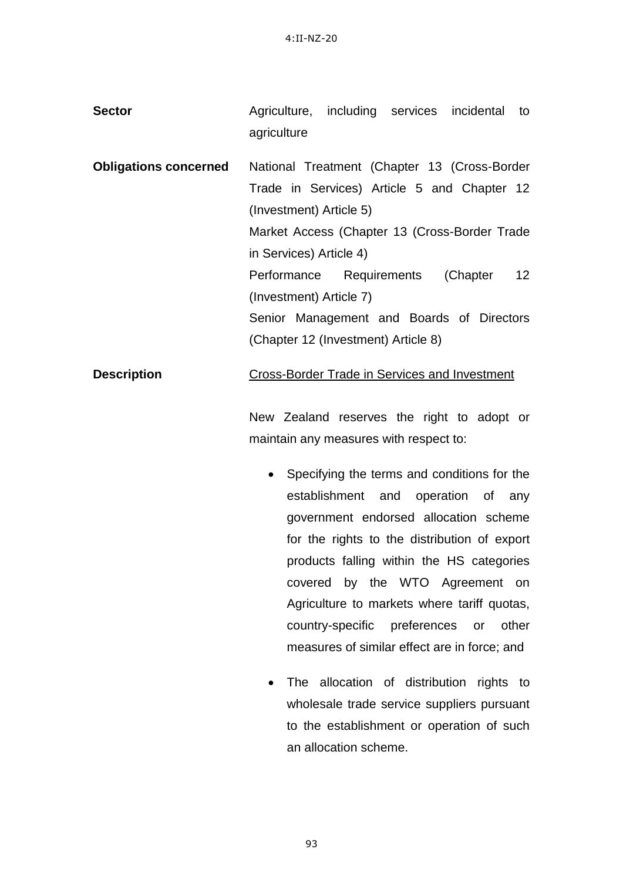| <b>Sector</b>                | Agriculture, including services incidental to<br>agriculture                                                           |
|------------------------------|------------------------------------------------------------------------------------------------------------------------|
| <b>Obligations concerned</b> | National Treatment (Chapter 13 (Cross-Border<br>Trade in Services) Article 5 and Chapter 12<br>(Investment) Article 5) |
|                              | Market Access (Chapter 13 (Cross-Border Trade)<br>in Services) Article 4)                                              |

Performance Requirements (Chapter 12 (Investment) Article 7)

Senior Management and Boards of Directors (Chapter 12 (Investment) Article 8)

### **Description Cross-Border Trade in Services and Investment**

New Zealand reserves the right to adopt or maintain any measures with respect to:

- Specifying the terms and conditions for the establishment and operation of any government endorsed allocation scheme for the rights to the distribution of export products falling within the HS categories covered by the WTO Agreement on Agriculture to markets where tariff quotas, country-specific preferences or other measures of similar effect are in force; and
- The allocation of distribution rights to wholesale trade service suppliers pursuant to the establishment or operation of such an allocation scheme.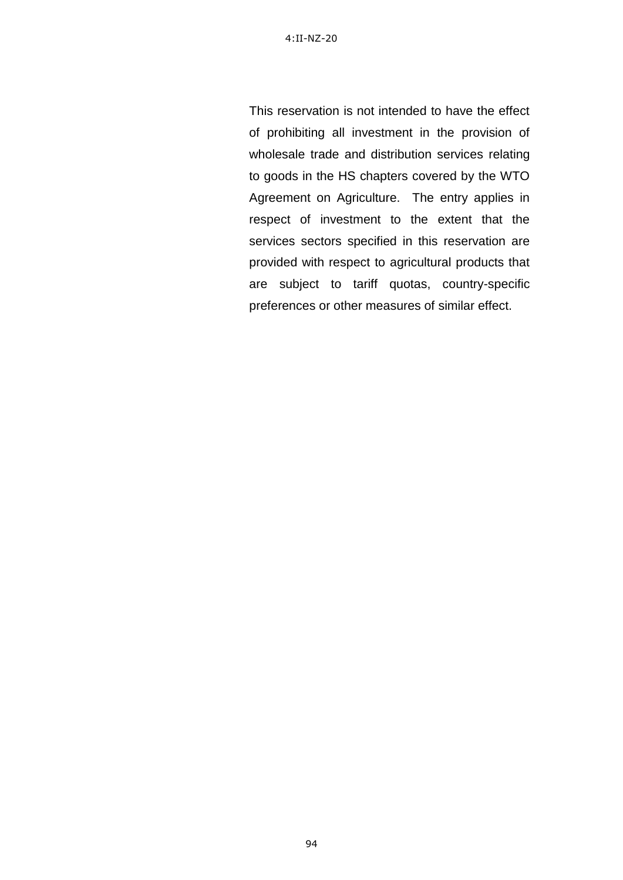This reservation is not intended to have the effect of prohibiting all investment in the provision of wholesale trade and distribution services relating to goods in the HS chapters covered by the WTO Agreement on Agriculture. The entry applies in respect of investment to the extent that the services sectors specified in this reservation are provided with respect to agricultural products that are subject to tariff quotas, country-specific preferences or other measures of similar effect.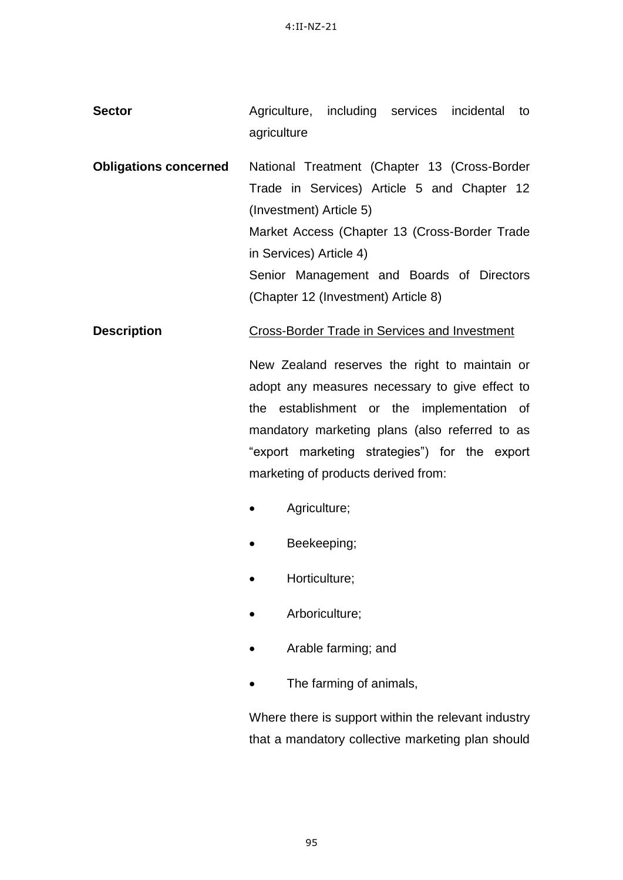**Sector Agriculture, including services incidental to** agriculture

**Obligations concerned** National Treatment (Chapter 13 (Cross-Border Trade in Services) Article 5 and Chapter 12 (Investment) Article 5) Market Access (Chapter 13 (Cross-Border Trade in Services) Article 4) Senior Management and Boards of Directors (Chapter 12 (Investment) Article 8)

#### **Description Cross-Border Trade in Services and Investment**

New Zealand reserves the right to maintain or adopt any measures necessary to give effect to the establishment or the implementation of mandatory marketing plans (also referred to as "export marketing strategies") for the export marketing of products derived from:

- Agriculture;
- Beekeeping;
- Horticulture;
- Arboriculture;
- Arable farming; and
- The farming of animals,

Where there is support within the relevant industry that a mandatory collective marketing plan should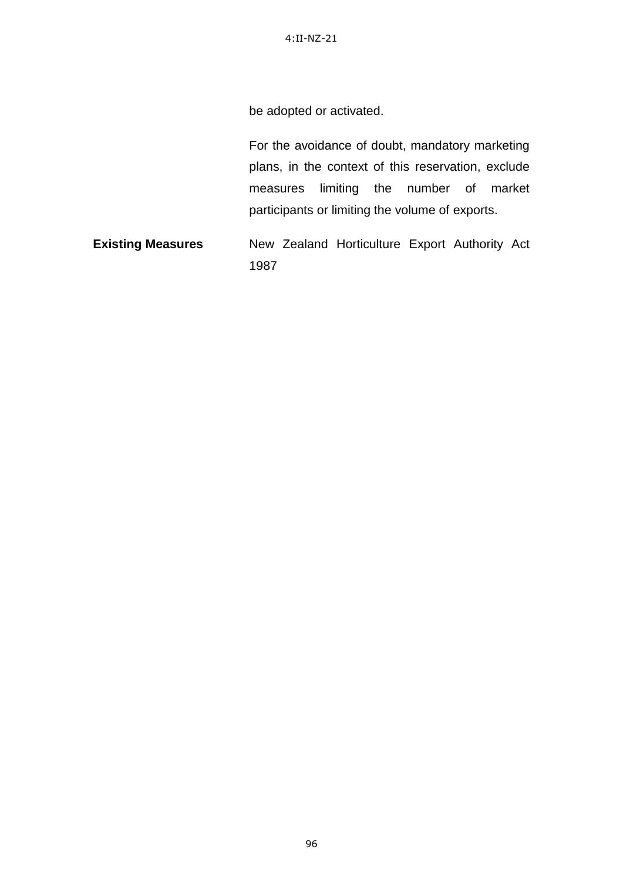4:II-NZ-21

be adopted or activated.

For the avoidance of doubt, mandatory marketing plans, in the context of this reservation, exclude measures limiting the number of market participants or limiting the volume of exports.

**Existing Measures** New Zealand Horticulture Export Authority Act 1987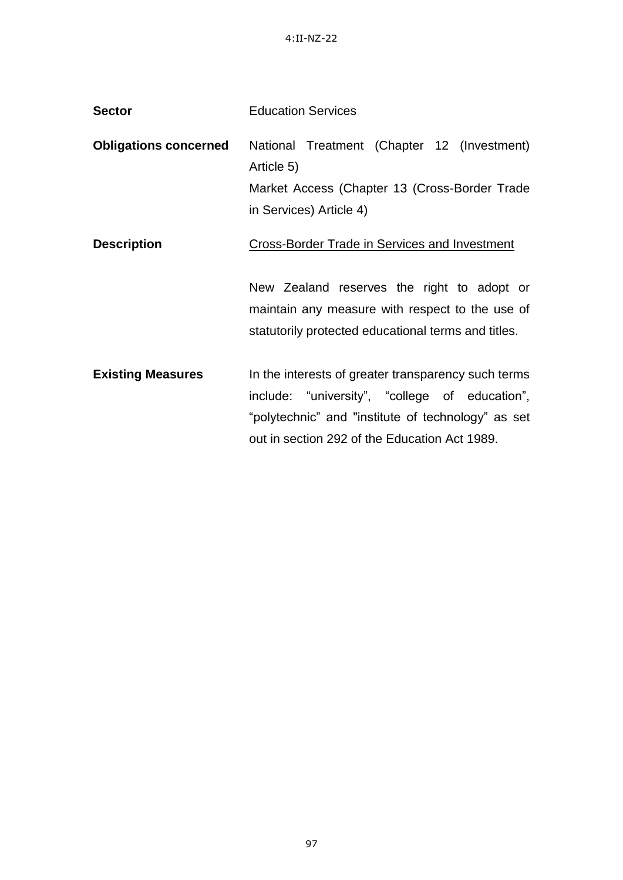| <b>Sector</b>                | <b>Education Services</b>                                                                                                                                                                                    |
|------------------------------|--------------------------------------------------------------------------------------------------------------------------------------------------------------------------------------------------------------|
| <b>Obligations concerned</b> | National Treatment (Chapter 12 (Investment)<br>Article 5)<br>Market Access (Chapter 13 (Cross-Border Trade<br>in Services) Article 4)                                                                        |
| <b>Description</b>           | <b>Cross-Border Trade in Services and Investment</b>                                                                                                                                                         |
|                              | New Zealand reserves the right to adopt or<br>maintain any measure with respect to the use of<br>statutorily protected educational terms and titles.                                                         |
| <b>Existing Measures</b>     | In the interests of greater transparency such terms<br>include: "university", "college of education",<br>"polytechnic" and "institute of technology" as set<br>out in section 292 of the Education Act 1989. |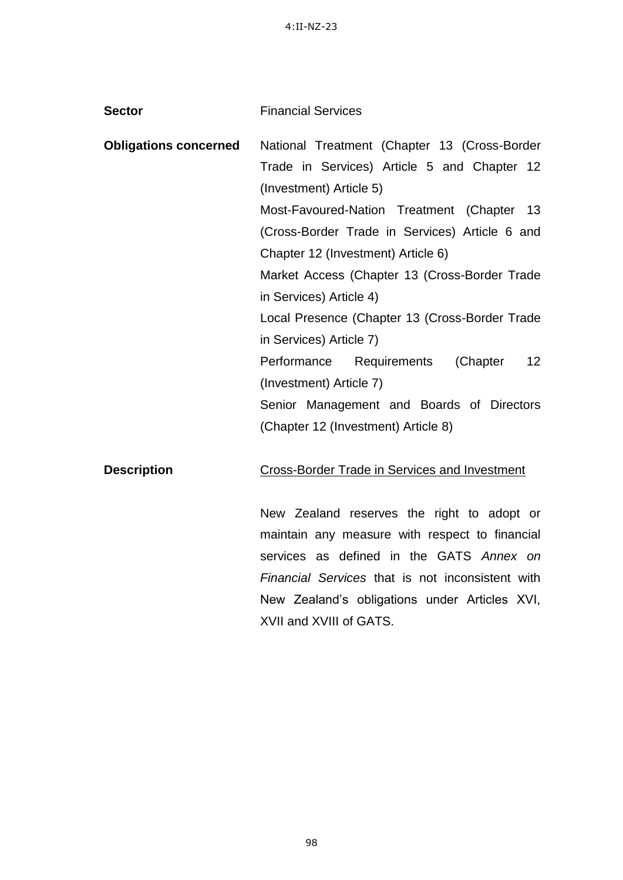| <b>Financial Services</b>                                   |
|-------------------------------------------------------------|
| National Treatment (Chapter 13 (Cross-Border                |
| Trade in Services) Article 5 and Chapter 12                 |
| (Investment) Article 5)                                     |
| Most-Favoured-Nation Treatment (Chapter 13                  |
| (Cross-Border Trade in Services) Article 6 and              |
| Chapter 12 (Investment) Article 6)                          |
| Market Access (Chapter 13 (Cross-Border Trade               |
| in Services) Article 4)                                     |
| Local Presence (Chapter 13 (Cross-Border Trade              |
| in Services) Article 7)                                     |
| 12 <sup>2</sup><br>Performance<br>Requirements<br>(Chapter) |
| (Investment) Article 7)                                     |
| Senior Management and Boards of Directors                   |
| (Chapter 12 (Investment) Article 8)                         |
|                                                             |
|                                                             |

**Description** Cross-Border Trade in Services and Investment

New Zealand reserves the right to adopt or maintain any measure with respect to financial services as defined in the GATS *Annex on Financial Services* that is not inconsistent with New Zealand"s obligations under Articles XVI, XVII and XVIII of GATS.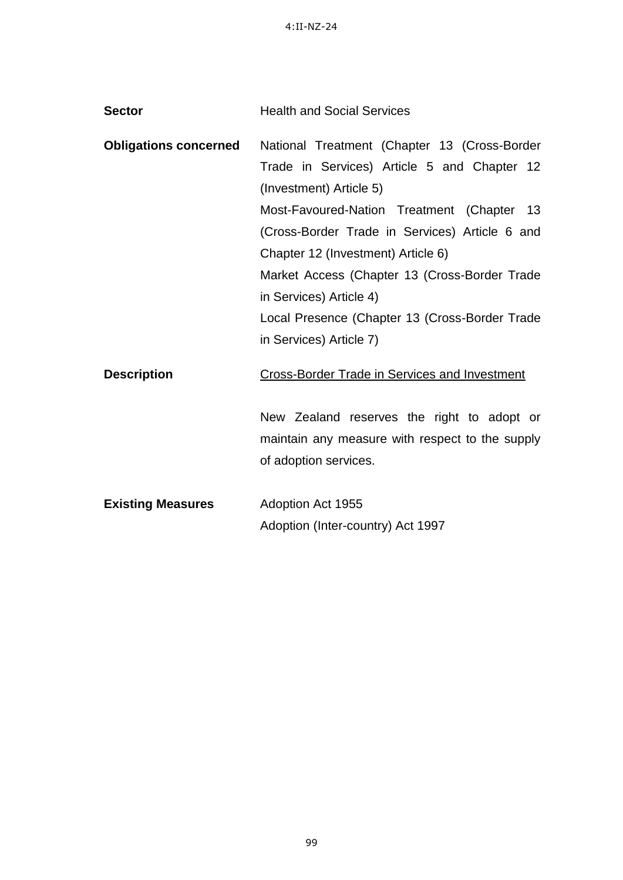| <b>Sector</b>                | <b>Health and Social Services</b>                                                           |
|------------------------------|---------------------------------------------------------------------------------------------|
| <b>Obligations concerned</b> | National Treatment (Chapter 13 (Cross-Border<br>Trade in Services) Article 5 and Chapter 12 |
|                              | (Investment) Article 5)                                                                     |
|                              | Most-Favoured-Nation Treatment (Chapter 13                                                  |
|                              | (Cross-Border Trade in Services) Article 6 and                                              |
|                              | Chapter 12 (Investment) Article 6)                                                          |
|                              | Market Access (Chapter 13 (Cross-Border Trade                                               |
|                              | in Services) Article 4)                                                                     |
|                              | Local Presence (Chapter 13 (Cross-Border Trade                                              |
|                              | in Services) Article 7)                                                                     |
| <b>Description</b>           | Cross-Border Trade in Services and Investment                                               |
|                              | New Zealand reserves the right to adopt or                                                  |
|                              | maintain any measure with respect to the supply                                             |
|                              | of adoption services.                                                                       |
| <b>Existing Measures</b>     | Adoption Act 1955                                                                           |
|                              | Adoption (Inter-country) Act 1997                                                           |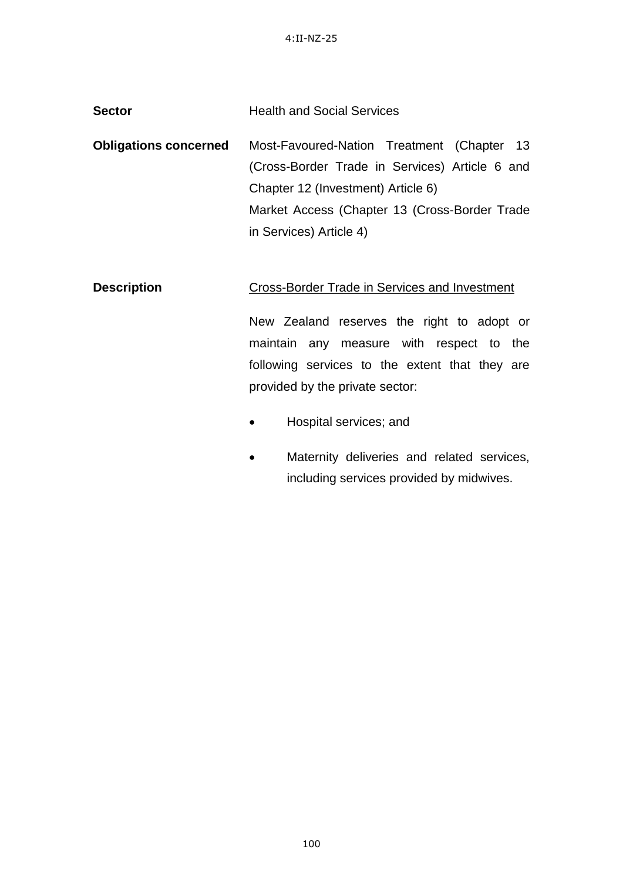| <b>Sector</b> | <b>Health and Social Services</b> |
|---------------|-----------------------------------|
|               |                                   |

**Obligations concerned** Most-Favoured-Nation Treatment (Chapter 13 (Cross-Border Trade in Services) Article 6 and Chapter 12 (Investment) Article 6) Market Access (Chapter 13 (Cross-Border Trade in Services) Article 4)

## **Description** Cross-Border Trade in Services and Investment

New Zealand reserves the right to adopt or maintain any measure with respect to the following services to the extent that they are provided by the private sector:

- Hospital services; and
- Maternity deliveries and related services, including services provided by midwives.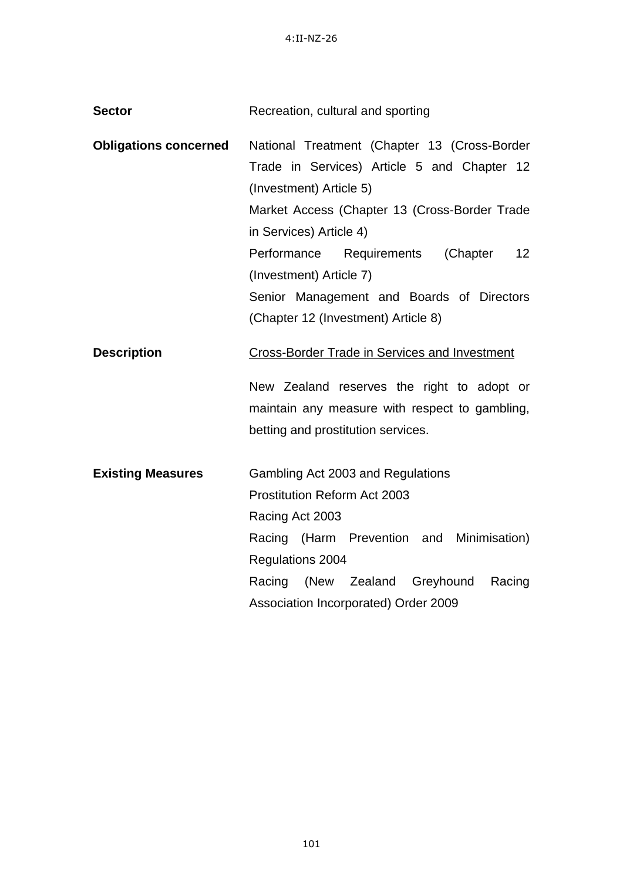| <b>Sector</b>                | Recreation, cultural and sporting                                                                                                                                                                                                                                                                                                                                               |
|------------------------------|---------------------------------------------------------------------------------------------------------------------------------------------------------------------------------------------------------------------------------------------------------------------------------------------------------------------------------------------------------------------------------|
| <b>Obligations concerned</b> | National Treatment (Chapter 13 (Cross-Border<br>Trade in Services) Article 5 and Chapter 12<br>(Investment) Article 5)<br>Market Access (Chapter 13 (Cross-Border Trade<br>in Services) Article 4)<br>(Chapter<br>Performance<br>Requirements<br>12 <sup>2</sup><br>(Investment) Article 7)<br>Senior Management and Boards of Directors<br>(Chapter 12 (Investment) Article 8) |
| <b>Description</b>           | <b>Cross-Border Trade in Services and Investment</b><br>New Zealand reserves the right to adopt or<br>maintain any measure with respect to gambling,<br>betting and prostitution services.                                                                                                                                                                                      |
| <b>Existing Measures</b>     | Gambling Act 2003 and Regulations<br>Prostitution Reform Act 2003<br>Racing Act 2003<br>Racing (Harm Prevention and Minimisation)<br>Regulations 2004<br>(New Zealand<br>Racing<br>Racing<br>Greyhound<br>Association Incorporated) Order 2009                                                                                                                                  |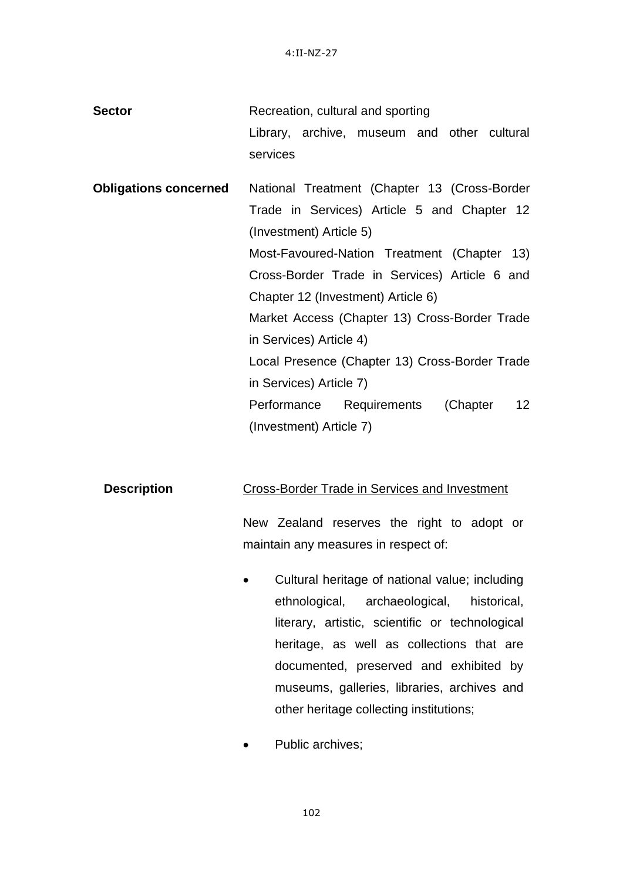| <b>Sector</b>                | Recreation, cultural and sporting                       |
|------------------------------|---------------------------------------------------------|
|                              | Library, archive, museum and other cultural             |
|                              | services                                                |
| <b>Obligations concerned</b> | National Treatment (Chapter 13 (Cross-Border            |
|                              | Trade in Services) Article 5 and Chapter 12             |
|                              | (Investment) Article 5)                                 |
|                              | Most-Favoured-Nation Treatment (Chapter 13)             |
|                              | Cross-Border Trade in Services) Article 6 and           |
|                              | Chapter 12 (Investment) Article 6)                      |
|                              | Market Access (Chapter 13) Cross-Border Trade           |
|                              | in Services) Article 4)                                 |
|                              | Local Presence (Chapter 13) Cross-Border Trade          |
|                              | in Services) Article 7)                                 |
|                              | 12 <sub>2</sub><br>Performance Requirements<br>(Chapter |
|                              | (Investment) Article 7)                                 |

### **Description** Cross-Border Trade in Services and Investment

New Zealand reserves the right to adopt or maintain any measures in respect of:

- Cultural heritage of national value; including ethnological, archaeological, historical, literary, artistic, scientific or technological heritage, as well as collections that are documented, preserved and exhibited by museums, galleries, libraries, archives and other heritage collecting institutions;
- Public archives;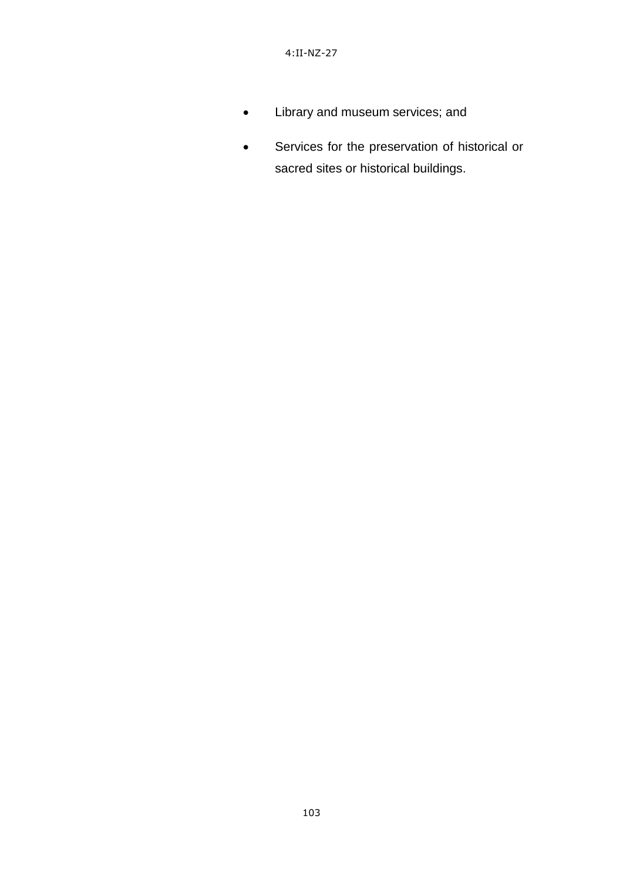- Library and museum services; and
- Services for the preservation of historical or sacred sites or historical buildings.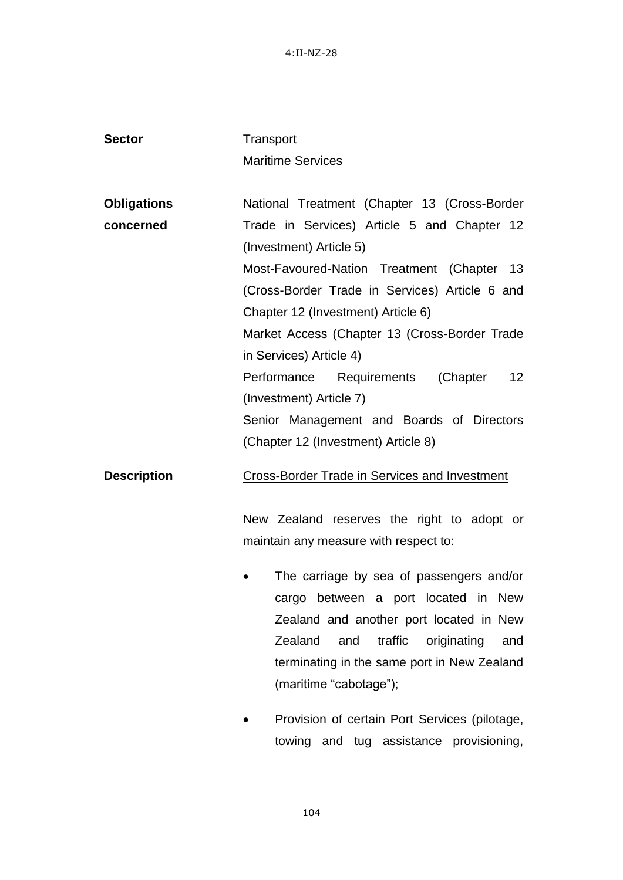4:II-NZ-28

| <b>Sector</b>      | Transport                                               |
|--------------------|---------------------------------------------------------|
|                    | <b>Maritime Services</b>                                |
|                    |                                                         |
| <b>Obligations</b> | National Treatment (Chapter 13 (Cross-Border            |
| concerned          | Trade in Services) Article 5 and Chapter 12             |
|                    | (Investment) Article 5)                                 |
|                    | Most-Favoured-Nation Treatment (Chapter 13              |
|                    | (Cross-Border Trade in Services) Article 6 and          |
|                    | Chapter 12 (Investment) Article 6)                      |
|                    | Market Access (Chapter 13 (Cross-Border Trade           |
|                    | in Services) Article 4)                                 |
|                    | Performance Requirements<br>(Chapter<br>12 <sup>2</sup> |
|                    | (Investment) Article 7)                                 |
|                    | Senior Management and Boards of Directors               |
|                    | (Chapter 12 (Investment) Article 8)                     |
|                    |                                                         |
| <b>Description</b> | <b>Cross-Border Trade in Services and Investment</b>    |
|                    |                                                         |
|                    | New Zealand reserves the right to adopt or              |
|                    | maintain any measure with respect to:                   |
|                    | The carriage by sea of passengers and/or                |
|                    | cargo between a port located in New                     |
|                    | Zealand and another port located in New                 |
|                    | Zealand<br>and<br>traffic<br>originating<br>and         |
|                    | terminating in the same port in New Zealand             |
|                    | (maritime "cabotage");                                  |
|                    |                                                         |
|                    | Provision of certain Port Services (pilotage,           |
|                    | towing and tug assistance provisioning,                 |

104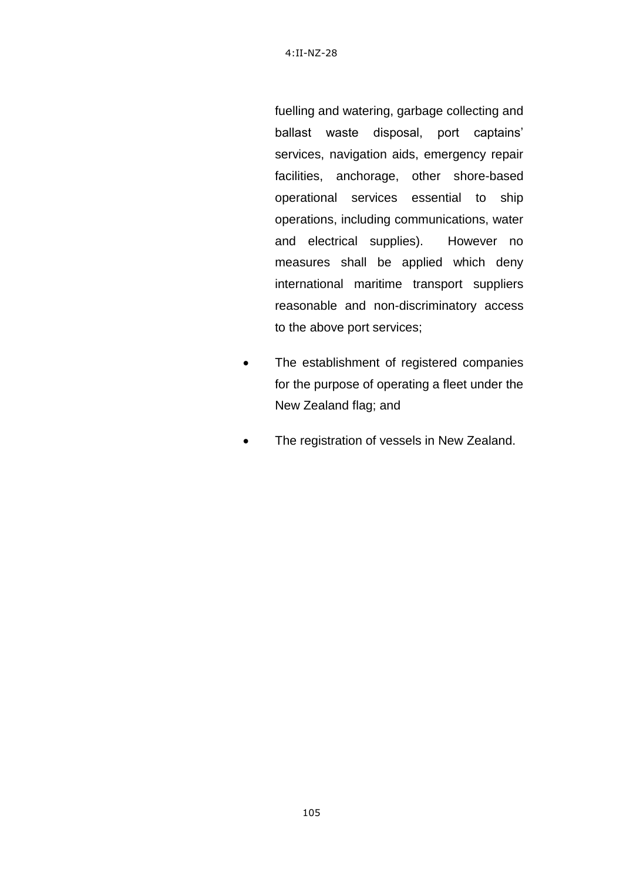fuelling and watering, garbage collecting and ballast waste disposal, port captains" services, navigation aids, emergency repair facilities, anchorage, other shore-based operational services essential to ship operations, including communications, water and electrical supplies). However no measures shall be applied which deny international maritime transport suppliers reasonable and non-discriminatory access to the above port services;

- The establishment of registered companies for the purpose of operating a fleet under the New Zealand flag; and
- The registration of vessels in New Zealand.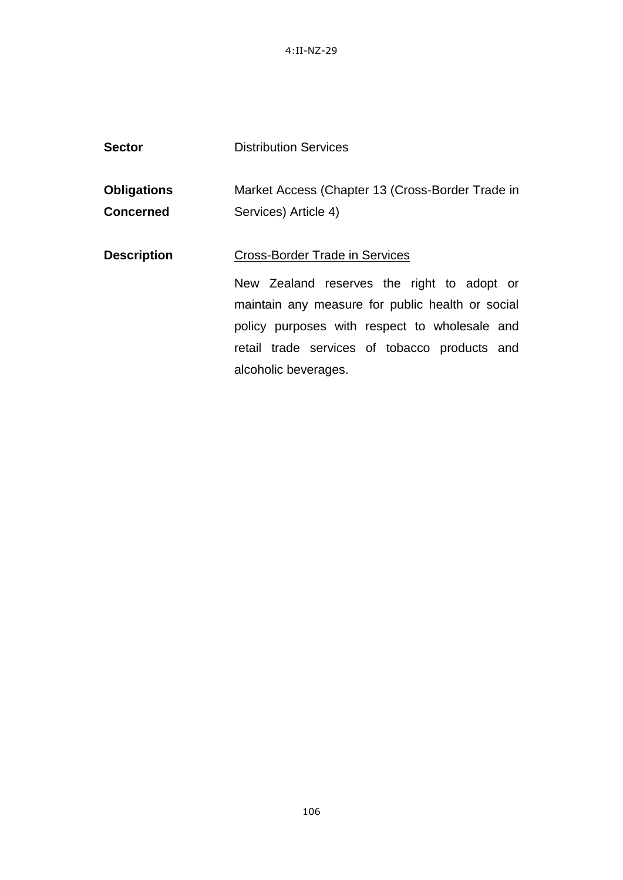4:II-NZ-29

| <b>Sector</b>                          | <b>Distribution Services</b>                                                                                                                                                                                                              |
|----------------------------------------|-------------------------------------------------------------------------------------------------------------------------------------------------------------------------------------------------------------------------------------------|
| <b>Obligations</b><br><b>Concerned</b> | Market Access (Chapter 13 (Cross-Border Trade in<br>Services) Article 4)                                                                                                                                                                  |
| <b>Description</b>                     | <b>Cross-Border Trade in Services</b><br>New Zealand reserves the right to adopt or<br>maintain any measure for public health or social<br>policy purposes with respect to wholesale and<br>retail trade services of tobacco products and |
|                                        | alcoholic beverages.                                                                                                                                                                                                                      |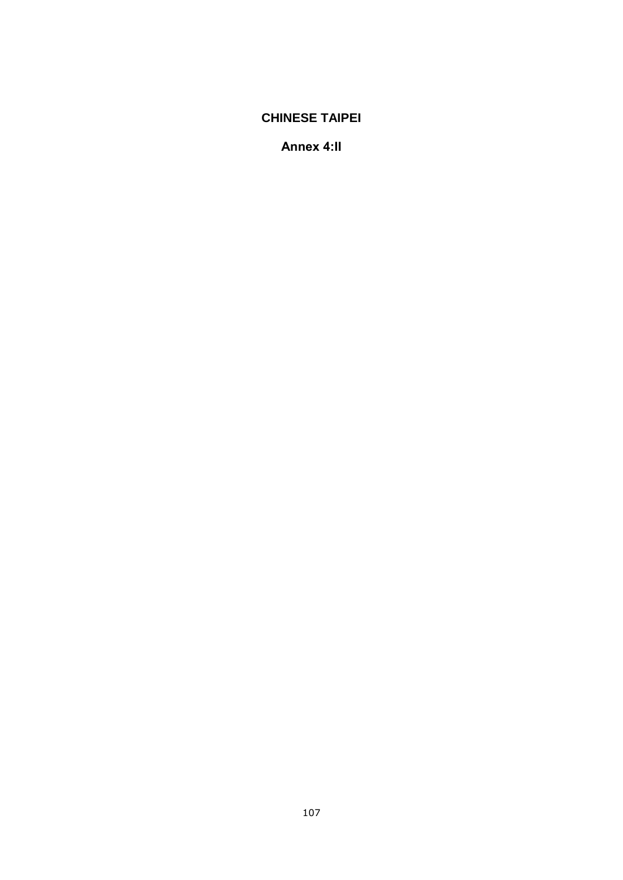# **CHINESE TAIPEI**

**Annex 4:II**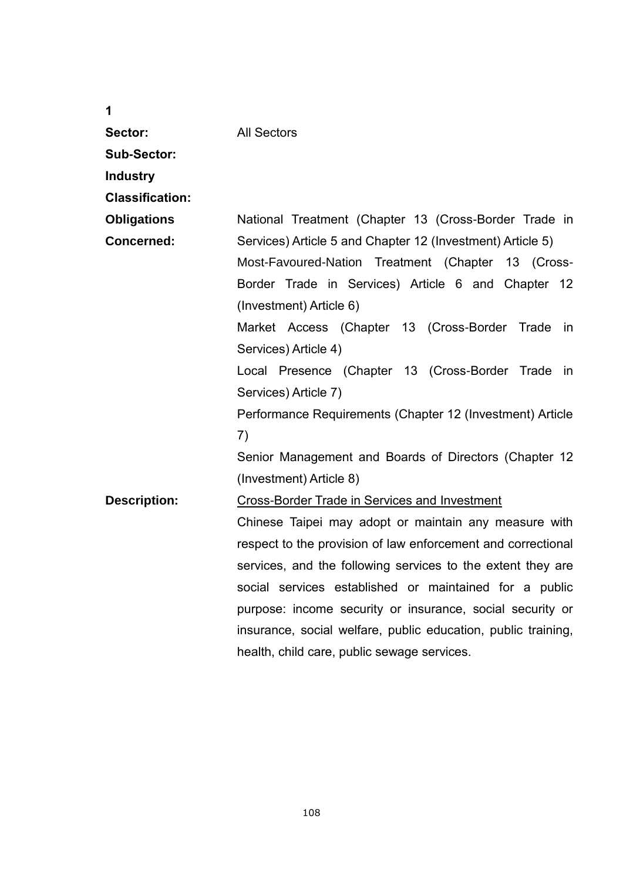| 1                      |                                                               |
|------------------------|---------------------------------------------------------------|
| Sector:                | <b>All Sectors</b>                                            |
| <b>Sub-Sector:</b>     |                                                               |
| <b>Industry</b>        |                                                               |
| <b>Classification:</b> |                                                               |
| <b>Obligations</b>     | National Treatment (Chapter 13 (Cross-Border Trade in         |
| <b>Concerned:</b>      | Services) Article 5 and Chapter 12 (Investment) Article 5)    |
|                        | Most-Favoured-Nation Treatment (Chapter 13 (Cross-            |
|                        | Border Trade in Services) Article 6 and Chapter 12            |
|                        | (Investment) Article 6)                                       |
|                        | Market Access (Chapter 13 (Cross-Border Trade<br>- in         |
|                        | Services) Article 4)                                          |
|                        | Local Presence (Chapter 13 (Cross-Border Trade<br>in          |
|                        | Services) Article 7)                                          |
|                        | Performance Requirements (Chapter 12 (Investment) Article     |
|                        | 7)                                                            |
|                        | Senior Management and Boards of Directors (Chapter 12         |
|                        | (Investment) Article 8)                                       |
| <b>Description:</b>    | Cross-Border Trade in Services and Investment                 |
|                        | Chinese Taipei may adopt or maintain any measure with         |
|                        | respect to the provision of law enforcement and correctional  |
|                        | services, and the following services to the extent they are   |
|                        | social services established or maintained for a public        |
|                        | purpose: income security or insurance, social security or     |
|                        | insurance, social welfare, public education, public training, |
|                        | health, child care, public sewage services.                   |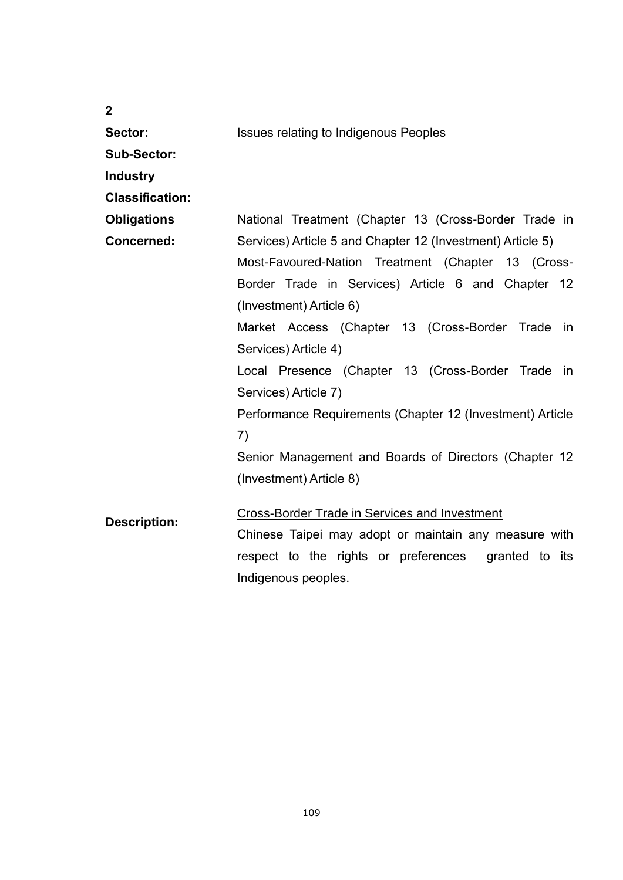| $\overline{2}$         |                                                            |
|------------------------|------------------------------------------------------------|
| Sector:                | <b>Issues relating to Indigenous Peoples</b>               |
| <b>Sub-Sector:</b>     |                                                            |
| <b>Industry</b>        |                                                            |
| <b>Classification:</b> |                                                            |
| <b>Obligations</b>     | National Treatment (Chapter 13 (Cross-Border Trade in      |
| <b>Concerned:</b>      | Services) Article 5 and Chapter 12 (Investment) Article 5) |
|                        | Most-Favoured-Nation Treatment (Chapter 13 (Cross-         |
|                        | Border Trade in Services) Article 6 and Chapter 12         |
|                        | (Investment) Article 6)                                    |
|                        | Market Access (Chapter 13 (Cross-Border Trade in           |
|                        | Services) Article 4)                                       |
|                        | Local Presence (Chapter 13 (Cross-Border Trade in          |
|                        | Services) Article 7)                                       |
|                        | Performance Requirements (Chapter 12 (Investment) Article  |
|                        | 7)                                                         |
|                        | Senior Management and Boards of Directors (Chapter 12      |
|                        | (Investment) Article 8)                                    |
|                        |                                                            |
| <b>Description:</b>    | <b>Cross-Border Trade in Services and Investment</b>       |
|                        | Chinese Taipei may adopt or maintain any measure with      |
|                        | respect to the rights or preferences<br>granted to its     |
|                        | Indigenous peoples.                                        |

109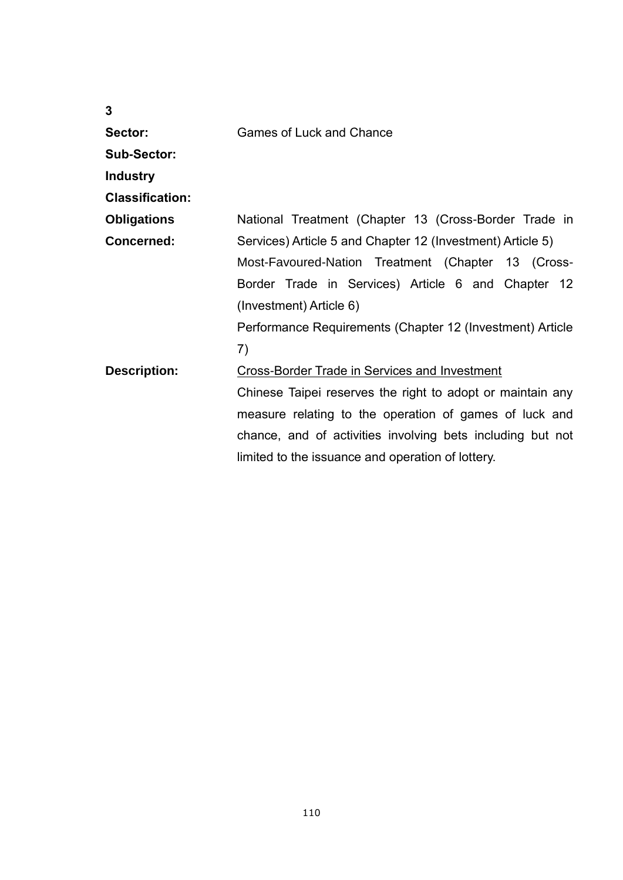| 3                      |                                                            |
|------------------------|------------------------------------------------------------|
| Sector:                | <b>Games of Luck and Chance</b>                            |
| <b>Sub-Sector:</b>     |                                                            |
| <b>Industry</b>        |                                                            |
| <b>Classification:</b> |                                                            |
| <b>Obligations</b>     | National Treatment (Chapter 13 (Cross-Border Trade in      |
| Concerned:             | Services) Article 5 and Chapter 12 (Investment) Article 5) |
|                        | Most-Favoured-Nation Treatment (Chapter 13 (Cross-         |
|                        | Border Trade in Services) Article 6 and Chapter 12         |
|                        | (Investment) Article 6)                                    |
|                        | Performance Requirements (Chapter 12 (Investment) Article  |
|                        | 7)                                                         |
| <b>Description:</b>    | <b>Cross-Border Trade in Services and Investment</b>       |
|                        | Chinese Taipei reserves the right to adopt or maintain any |
|                        | measure relating to the operation of games of luck and     |
|                        | chance, and of activities involving bets including but not |
|                        | limited to the issuance and operation of lottery.          |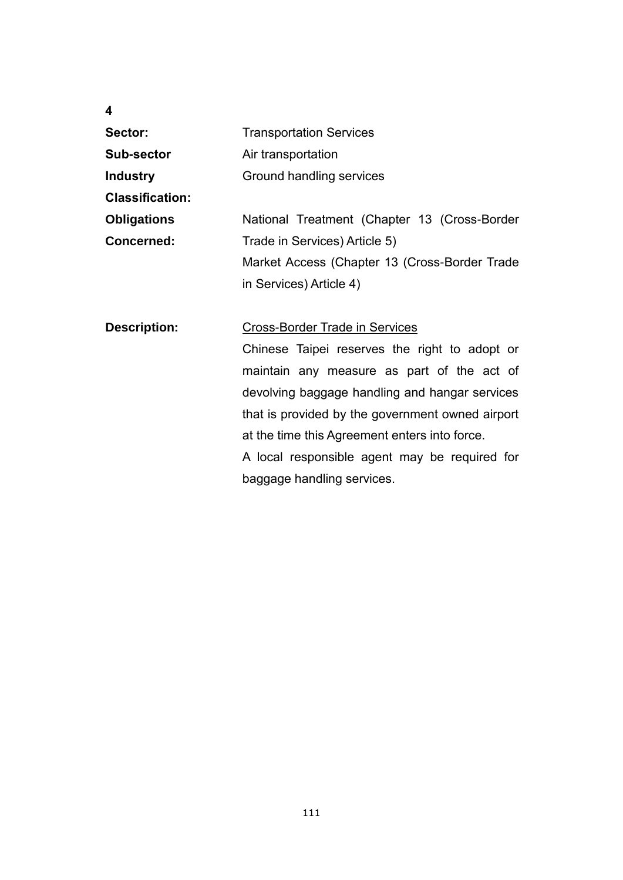| 4                      |                                                  |
|------------------------|--------------------------------------------------|
| Sector:                | <b>Transportation Services</b>                   |
| <b>Sub-sector</b>      | Air transportation                               |
| <b>Industry</b>        | Ground handling services                         |
| <b>Classification:</b> |                                                  |
| <b>Obligations</b>     | National Treatment (Chapter 13 (Cross-Border     |
| <b>Concerned:</b>      | Trade in Services) Article 5)                    |
|                        | Market Access (Chapter 13 (Cross-Border Trade    |
|                        | in Services) Article 4)                          |
|                        |                                                  |
| <b>Description:</b>    | <b>Cross-Border Trade in Services</b>            |
|                        | Chinese Taipei reserves the right to adopt or    |
|                        | maintain any measure as part of the act of       |
|                        | devolving baggage handling and hangar services   |
|                        | that is provided by the government owned airport |
|                        | at the time this Agreement enters into force.    |
|                        | A local responsible agent may be required for    |
|                        | baggage handling services.                       |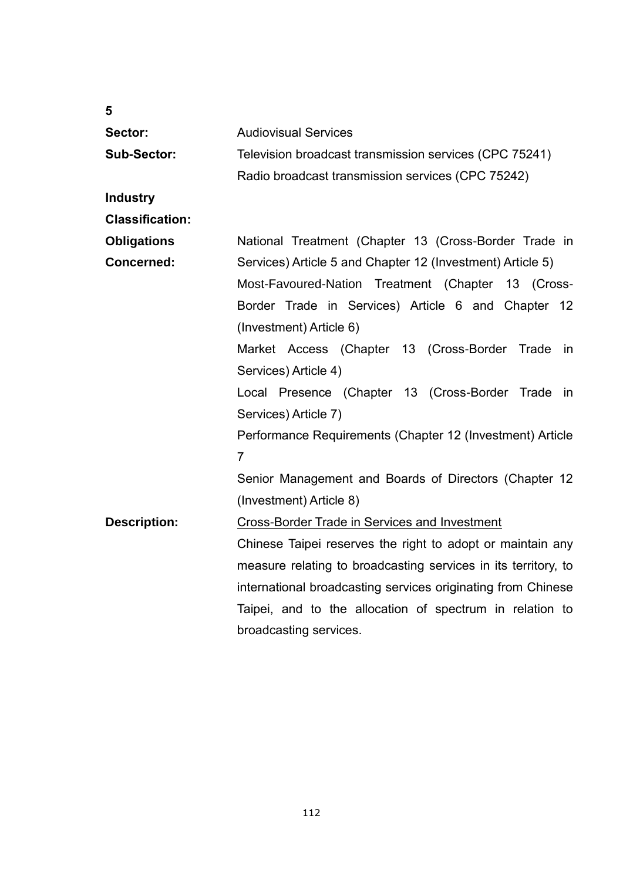| 5                      |                                                                |
|------------------------|----------------------------------------------------------------|
| Sector:                | <b>Audiovisual Services</b>                                    |
| <b>Sub-Sector:</b>     | Television broadcast transmission services (CPC 75241)         |
|                        | Radio broadcast transmission services (CPC 75242)              |
| <b>Industry</b>        |                                                                |
| <b>Classification:</b> |                                                                |
| <b>Obligations</b>     | National Treatment (Chapter 13 (Cross-Border Trade in          |
| <b>Concerned:</b>      | Services) Article 5 and Chapter 12 (Investment) Article 5)     |
|                        | Most-Favoured-Nation Treatment (Chapter 13 (Cross-             |
|                        | Border Trade in Services) Article 6 and Chapter 12             |
|                        | (Investment) Article 6)                                        |
|                        | Market Access (Chapter 13 (Cross-Border Trade<br>in            |
|                        | Services) Article 4)                                           |
|                        | Local Presence (Chapter 13 (Cross-Border Trade<br>in           |
|                        | Services) Article 7)                                           |
|                        | Performance Requirements (Chapter 12 (Investment) Article      |
|                        | 7                                                              |
|                        | Senior Management and Boards of Directors (Chapter 12          |
|                        | (Investment) Article 8)                                        |
| <b>Description:</b>    | <b>Cross-Border Trade in Services and Investment</b>           |
|                        | Chinese Taipei reserves the right to adopt or maintain any     |
|                        | measure relating to broadcasting services in its territory, to |
|                        | international broadcasting services originating from Chinese   |
|                        | Taipei, and to the allocation of spectrum in relation to       |
|                        | broadcasting services.                                         |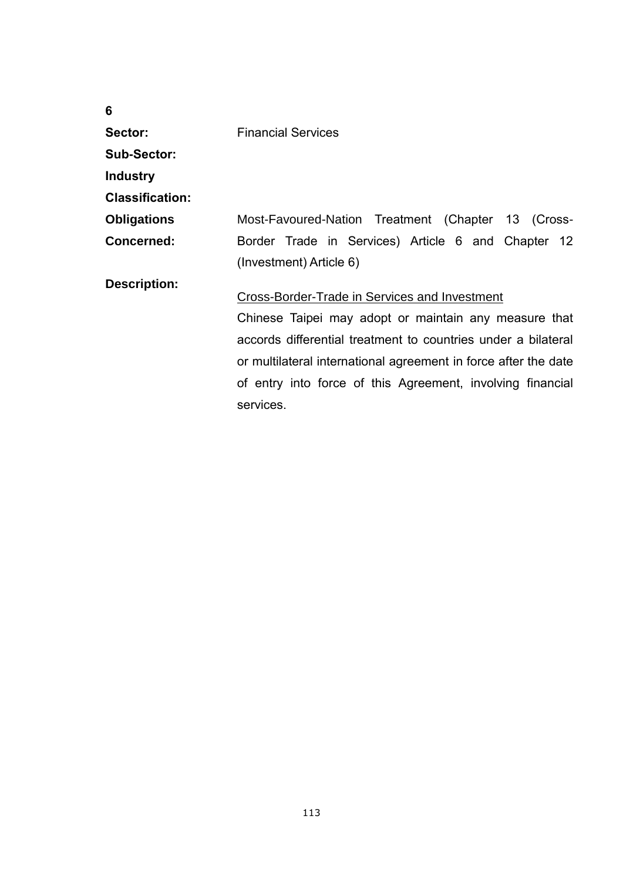| 6                      |                                                                                                                                                                                                                                                                                                                       |
|------------------------|-----------------------------------------------------------------------------------------------------------------------------------------------------------------------------------------------------------------------------------------------------------------------------------------------------------------------|
| Sector:                | <b>Financial Services</b>                                                                                                                                                                                                                                                                                             |
| <b>Sub-Sector:</b>     |                                                                                                                                                                                                                                                                                                                       |
| <b>Industry</b>        |                                                                                                                                                                                                                                                                                                                       |
| <b>Classification:</b> |                                                                                                                                                                                                                                                                                                                       |
| <b>Obligations</b>     | Most-Favoured-Nation Treatment (Chapter 13 (Cross-                                                                                                                                                                                                                                                                    |
| Concerned:             | Border Trade in Services) Article 6 and Chapter 12                                                                                                                                                                                                                                                                    |
|                        | (Investment) Article 6)                                                                                                                                                                                                                                                                                               |
| <b>Description:</b>    | Cross-Border-Trade in Services and Investment<br>Chinese Taipei may adopt or maintain any measure that<br>accords differential treatment to countries under a bilateral<br>or multilateral international agreement in force after the date<br>of entry into force of this Agreement, involving financial<br>services. |
|                        |                                                                                                                                                                                                                                                                                                                       |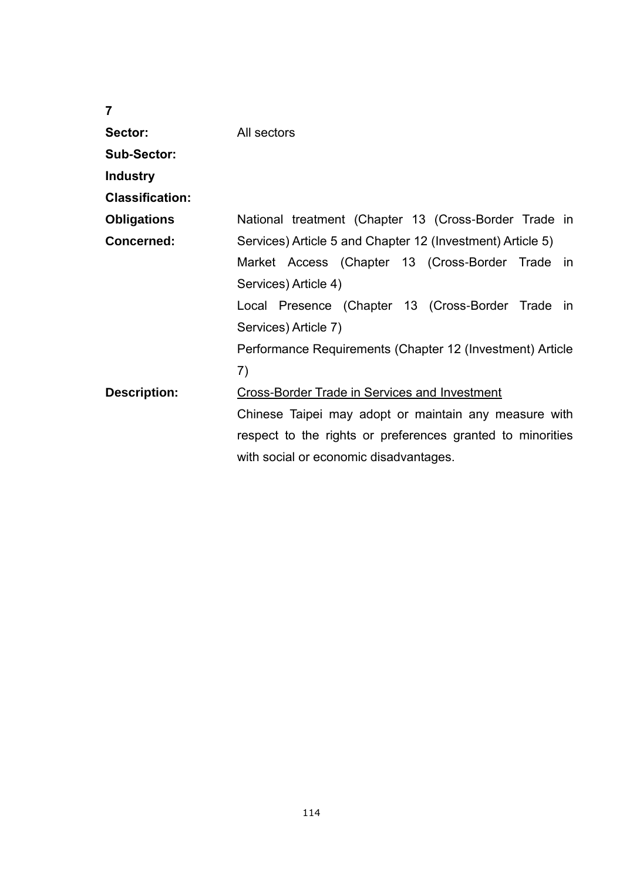| $\overline{7}$         |                                                            |
|------------------------|------------------------------------------------------------|
| Sector:                | All sectors                                                |
| <b>Sub-Sector:</b>     |                                                            |
| <b>Industry</b>        |                                                            |
| <b>Classification:</b> |                                                            |
| <b>Obligations</b>     | National treatment (Chapter 13 (Cross-Border Trade in      |
| <b>Concerned:</b>      | Services) Article 5 and Chapter 12 (Investment) Article 5) |
|                        | Market Access (Chapter 13 (Cross-Border Trade in           |
|                        | Services) Article 4)                                       |
|                        | Local Presence (Chapter 13 (Cross-Border Trade in          |
|                        | Services) Article 7)                                       |
|                        | Performance Requirements (Chapter 12 (Investment) Article  |
|                        | 7)                                                         |
| <b>Description:</b>    | <b>Cross-Border Trade in Services and Investment</b>       |
|                        | Chinese Taipei may adopt or maintain any measure with      |
|                        | respect to the rights or preferences granted to minorities |
|                        | with social or economic disadvantages.                     |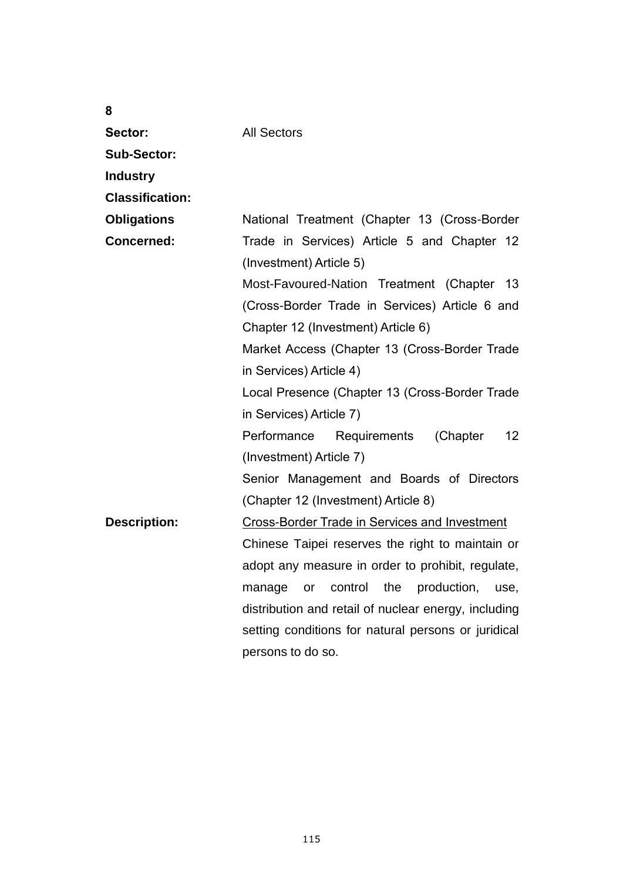| 8                      |                                                                        |
|------------------------|------------------------------------------------------------------------|
| Sector:                | <b>All Sectors</b>                                                     |
| <b>Sub-Sector:</b>     |                                                                        |
| <b>Industry</b>        |                                                                        |
| <b>Classification:</b> |                                                                        |
| <b>Obligations</b>     | National Treatment (Chapter 13 (Cross-Border                           |
| <b>Concerned:</b>      | Trade in Services) Article 5 and Chapter 12<br>(Investment) Article 5) |
|                        | Most-Favoured-Nation Treatment (Chapter 13                             |
|                        | (Cross-Border Trade in Services) Article 6 and                         |
|                        | Chapter 12 (Investment) Article 6)                                     |
|                        | Market Access (Chapter 13 (Cross-Border Trade                          |
|                        | in Services) Article 4)                                                |
|                        | Local Presence (Chapter 13 (Cross-Border Trade                         |
|                        | in Services) Article 7)                                                |
|                        | Performance<br>(Chapter<br>12 <sup>2</sup><br>Requirements             |
|                        | (Investment) Article 7)                                                |
|                        | Senior Management and Boards of Directors                              |
|                        | (Chapter 12 (Investment) Article 8)                                    |
| <b>Description:</b>    | <b>Cross-Border Trade in Services and Investment</b>                   |
|                        | Chinese Taipei reserves the right to maintain or                       |
|                        | adopt any measure in order to prohibit, regulate,                      |
|                        | the<br>production,<br>control<br>manage<br>or<br>use,                  |
|                        | distribution and retail of nuclear energy, including                   |
|                        | setting conditions for natural persons or juridical                    |
|                        | persons to do so.                                                      |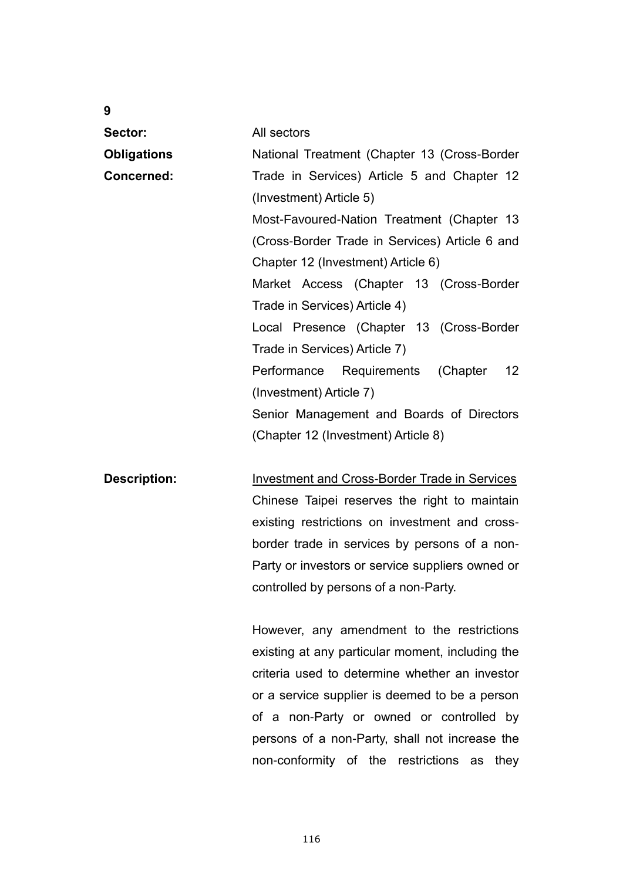| 9                   |                                                         |
|---------------------|---------------------------------------------------------|
| Sector:             | All sectors                                             |
| <b>Obligations</b>  | National Treatment (Chapter 13 (Cross-Border            |
| <b>Concerned:</b>   | Trade in Services) Article 5 and Chapter 12             |
|                     | (Investment) Article 5)                                 |
|                     | Most-Favoured-Nation Treatment (Chapter 13              |
|                     | (Cross-Border Trade in Services) Article 6 and          |
|                     | Chapter 12 (Investment) Article 6)                      |
|                     | Market Access (Chapter 13 (Cross-Border                 |
|                     | Trade in Services) Article 4)                           |
|                     | Local Presence (Chapter 13 (Cross-Border                |
|                     | Trade in Services) Article 7)                           |
|                     | (Chapter<br>12 <sup>°</sup><br>Performance Requirements |
|                     | (Investment) Article 7)                                 |
|                     | Senior Management and Boards of Directors               |
|                     | (Chapter 12 (Investment) Article 8)                     |
|                     |                                                         |
| <b>Description:</b> | <b>Investment and Cross-Border Trade in Services</b>    |
|                     | Chinese Taipei reserves the right to maintain           |
|                     | existing restrictions on investment and cross-          |
|                     | border trade in services by persons of a non-           |
|                     | Party or investors or service suppliers owned or        |
|                     | controlled by persons of a non-Party.                   |
|                     |                                                         |

However, any amendment to the restrictions existing at any particular moment, including the criteria used to determine whether an investor or a service supplier is deemed to be a person of a non-Party or owned or controlled by persons of a non-Party, shall not increase the non-conformity of the restrictions as they